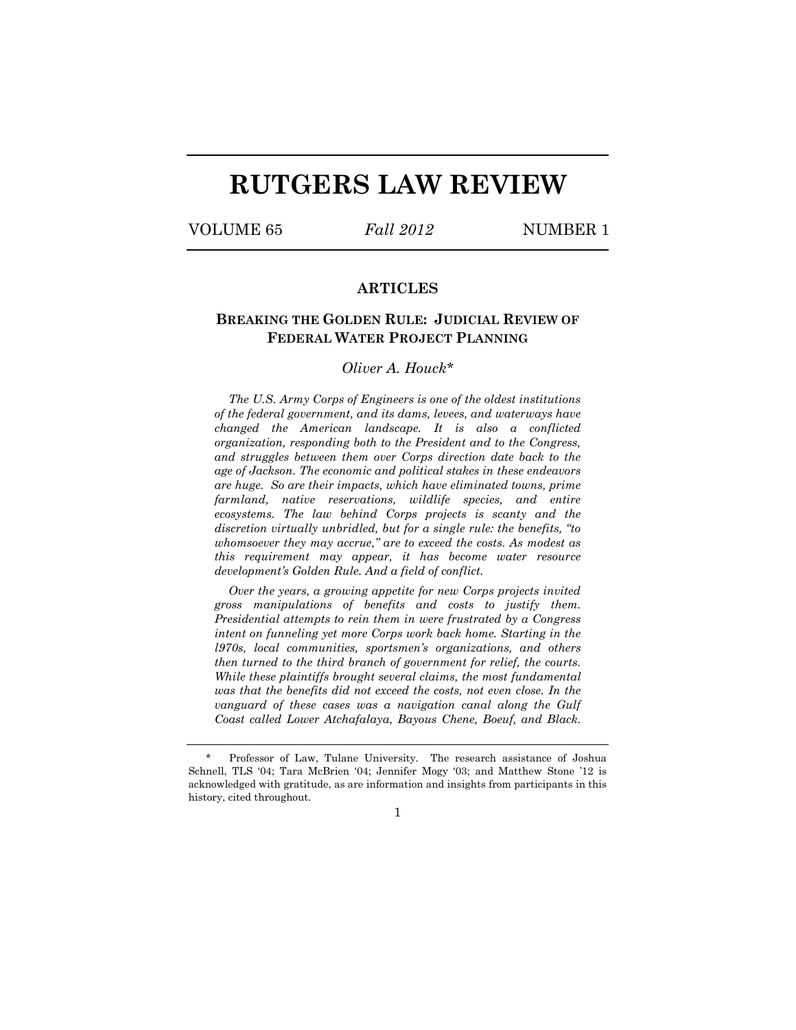# **RUTGERS LAW REVIEW**

VOLUME 65 *Fall 2012* NUMBER 1

# **ARTICLES**

# **BREAKING THE GOLDEN RULE: JUDICIAL REVIEW OF FEDERAL WATER PROJECT PLANNING**

## *Oliver A. Houck\**

*The U.S. Army Corps of Engineers is one of the oldest institutions of the federal government, and its dams, levees, and waterways have changed the American landscape. It is also a conflicted organization, responding both to the President and to the Congress, and struggles between them over Corps direction date back to the age of Jackson. The economic and political stakes in these endeavors are huge. So are their impacts, which have eliminated towns, prime farmland, native reservations, wildlife species, and entire ecosystems. The law behind Corps projects is scanty and the discretion virtually unbridled, but for a single rule: the benefits, "to whomsoever they may accrue," are to exceed the costs. As modest as this requirement may appear, it has become water resource development's Golden Rule. And a field of conflict.* 

*Over the years, a growing appetite for new Corps projects invited gross manipulations of benefits and costs to justify them. Presidential attempts to rein them in were frustrated by a Congress intent on funneling yet more Corps work back home. Starting in the l970s, local communities, sportsmen's organizations, and others then turned to the third branch of government for relief, the courts. While these plaintiffs brought several claims, the most fundamental was that the benefits did not exceed the costs, not even close. In the vanguard of these cases was a navigation canal along the Gulf Coast called Lower Atchafalaya, Bayous Chene, Boeuf, and Black.* 

1

Professor of Law, Tulane University. The research assistance of Joshua Schnell, TLS '04; Tara McBrien '04; Jennifer Mogy '03; and Matthew Stone '12 is acknowledged with gratitude, as are information and insights from participants in this history, cited throughout.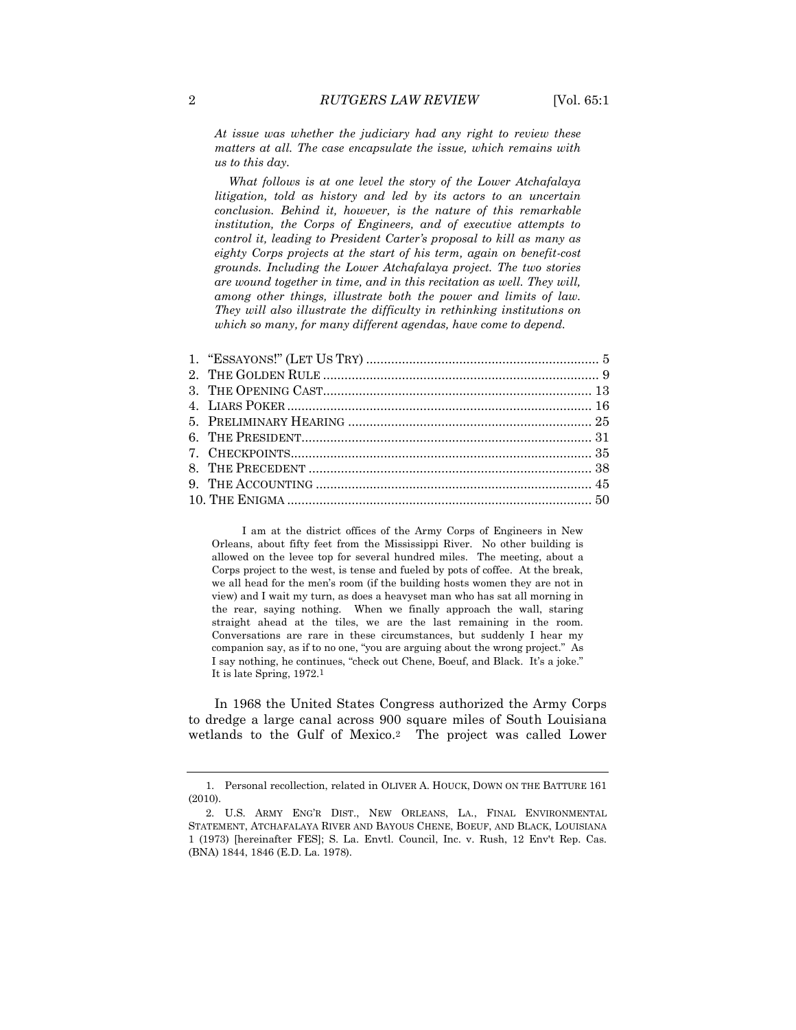*At issue was whether the judiciary had any right to review these matters at all. The case encapsulate the issue, which remains with us to this day.* 

*What follows is at one level the story of the Lower Atchafalaya litigation, told as history and led by its actors to an uncertain conclusion. Behind it, however, is the nature of this remarkable institution, the Corps of Engineers, and of executive attempts to control it, leading to President Carter's proposal to kill as many as eighty Corps projects at the start of his term, again on benefit-cost grounds. Including the Lower Atchafalaya project. The two stories are wound together in time, and in this recitation as well. They will, among other things, illustrate both the power and limits of law. They will also illustrate the difficulty in rethinking institutions on which so many, for many different agendas, have come to depend.* 

 I am at the district offices of the Army Corps of Engineers in New Orleans, about fifty feet from the Mississippi River. No other building is allowed on the levee top for several hundred miles. The meeting, about a Corps project to the west, is tense and fueled by pots of coffee. At the break, we all head for the men's room (if the building hosts women they are not in view) and I wait my turn, as does a heavyset man who has sat all morning in the rear, saying nothing. When we finally approach the wall, staring straight ahead at the tiles, we are the last remaining in the room. Conversations are rare in these circumstances, but suddenly I hear my companion say, as if to no one, "you are arguing about the wrong project." As I say nothing, he continues, "check out Chene, Boeuf, and Black. It's a joke." It is late Spring, 1972.1

<span id="page-1-0"></span>In 1968 the United States Congress authorized the Army Corps to dredge a large canal across 900 square miles of South Louisiana wetlands to the Gulf of Mexico.2 The project was called Lower

<sup>1.</sup> Personal recollection, related in OLIVER A. HOUCK, DOWN ON THE BATTURE 161 (2010).

<sup>2.</sup> U.S. ARMY ENG'R DIST., NEW ORLEANS, LA., FINAL ENVIRONMENTAL STATEMENT, ATCHAFALAYA RIVER AND BAYOUS CHENE, BOEUF, AND BLACK, LOUISIANA 1 (1973) [hereinafter FES]; S. La. Envtl. Council, Inc. v. Rush, 12 Env't Rep. Cas. (BNA) 1844, 1846 (E.D. La. 1978).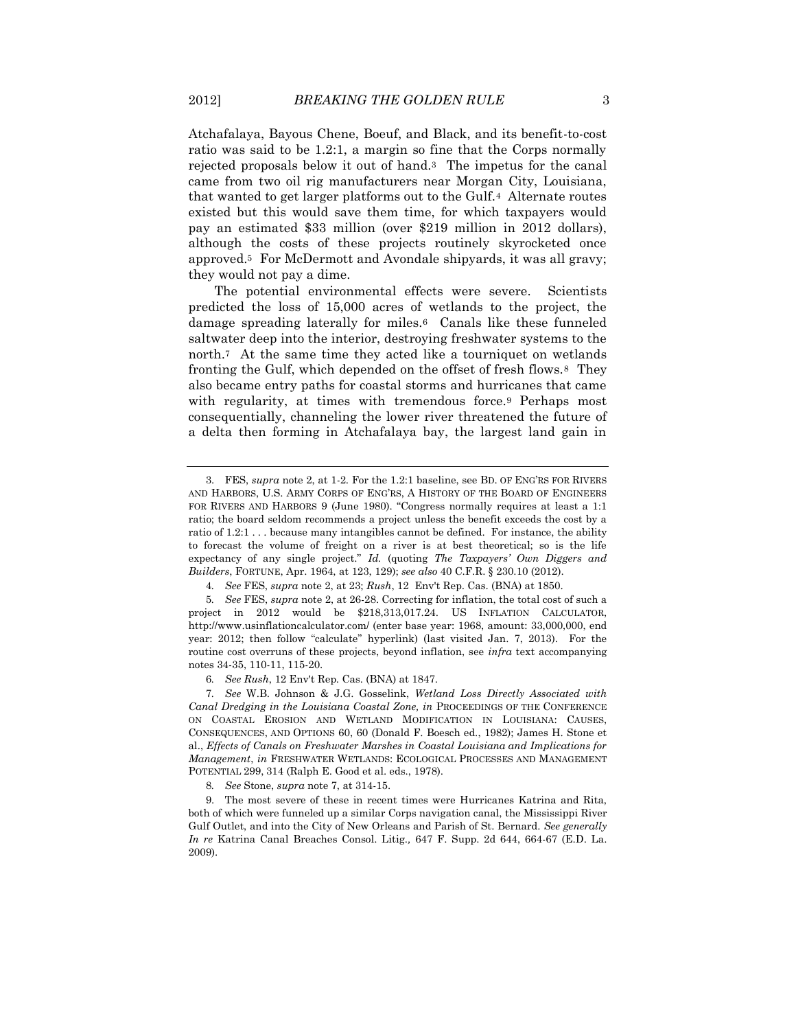<span id="page-2-0"></span>Atchafalaya, Bayous Chene, Boeuf, and Black, and its benefit-to-cost ratio was said to be 1.2:1, a margin so fine that the Corps normally rejected proposals below it out of hand.3 The impetus for the canal came from two oil rig manufacturers near Morgan City, Louisiana, that wanted to get larger platforms out to the Gulf.4 Alternate routes existed but this would save them time, for which taxpayers would pay an estimated \$33 million (over \$219 million in 2012 dollars), although the costs of these projects routinely skyrocketed once approved.5 For McDermott and Avondale shipyards, it was all gravy; they would not pay a dime.

The potential environmental effects were severe. Scientists predicted the loss of 15,000 acres of wetlands to the project, the damage spreading laterally for miles.6 Canals like these funneled saltwater deep into the interior, destroying freshwater systems to the north.7 At the same time they acted like a tourniquet on wetlands fronting the Gulf, which depended on the offset of fresh flows.8 They also became entry paths for coastal storms and hurricanes that came with regularity, at times with tremendous force.<sup>9</sup> Perhaps most consequentially, channeling the lower river threatened the future of a delta then forming in Atchafalaya bay, the largest land gain in

5*. See* FES, *supra* note 2, at 26-28. Correcting for inflation, the total cost of such a project in 2012 would be \$218,313,017.24. US INFLATION CALCULATOR, http://www.usinflationcalculator.com/ (enter base year: 1968, amount: 33,000,000, end year: 2012; then follow "calculate" hyperlink) (last visited Jan. 7, 2013). For the routine cost overruns of these projects, beyond inflation, see *infra* text accompanying notes 34-35, 110-11, 115-20.

6*. See Rush*, 12 Env't Rep. Cas. (BNA) at 1847.

7*. See* W.B. Johnson & J.G. Gosselink, *Wetland Loss Directly Associated with Canal Dredging in the Louisiana Coastal Zone, in* PROCEEDINGS OF THE CONFERENCE ON COASTAL EROSION AND WETLAND MODIFICATION IN LOUISIANA: CAUSES, CONSEQUENCES, AND OPTIONS 60, 60 (Donald F. Boesch ed., 1982); James H. Stone et al., *Effects of Canals on Freshwater Marshes in Coastal Louisiana and Implications for Management*, *in* FRESHWATER WETLANDS: ECOLOGICAL PROCESSES AND MANAGEMENT POTENTIAL 299, 314 (Ralph E. Good et al. eds., 1978).

8*. See* Stone, *supra* note 7, at 314-15.

9. The most severe of these in recent times were Hurricanes Katrina and Rita, both of which were funneled up a similar Corps navigation canal, the Mississippi River Gulf Outlet, and into the City of New Orleans and Parish of St. Bernard. *See generally In re* Katrina Canal Breaches Consol. Litig.*,* 647 F. Supp. 2d 644, 664-67 (E.D. La. 2009).

<sup>3.</sup> FES, *supra* note 2, at 1-2. For the 1.2:1 baseline, see BD. OF ENG'RS FOR RIVERS AND HARBORS, U.S. ARMY CORPS OF ENG'RS, A HISTORY OF THE BOARD OF ENGINEERS FOR RIVERS AND HARBORS 9 (June 1980). "Congress normally requires at least a 1:1 ratio; the board seldom recommends a project unless the benefit exceeds the cost by a ratio of 1.2:1 . . . because many intangibles cannot be defined. For instance, the ability to forecast the volume of freight on a river is at best theoretical; so is the life expectancy of any single project." *Id.* (quoting *The Taxpayers' Own Diggers and Builders*, FORTUNE, Apr. 1964, at 123, 129); *see also* 40 C.F.R. § 230.10 (2012).

<sup>4</sup>*. See* FES, *supra* note 2, at 23; *Rush*, 12 Env't Rep. Cas. (BNA) at 1850.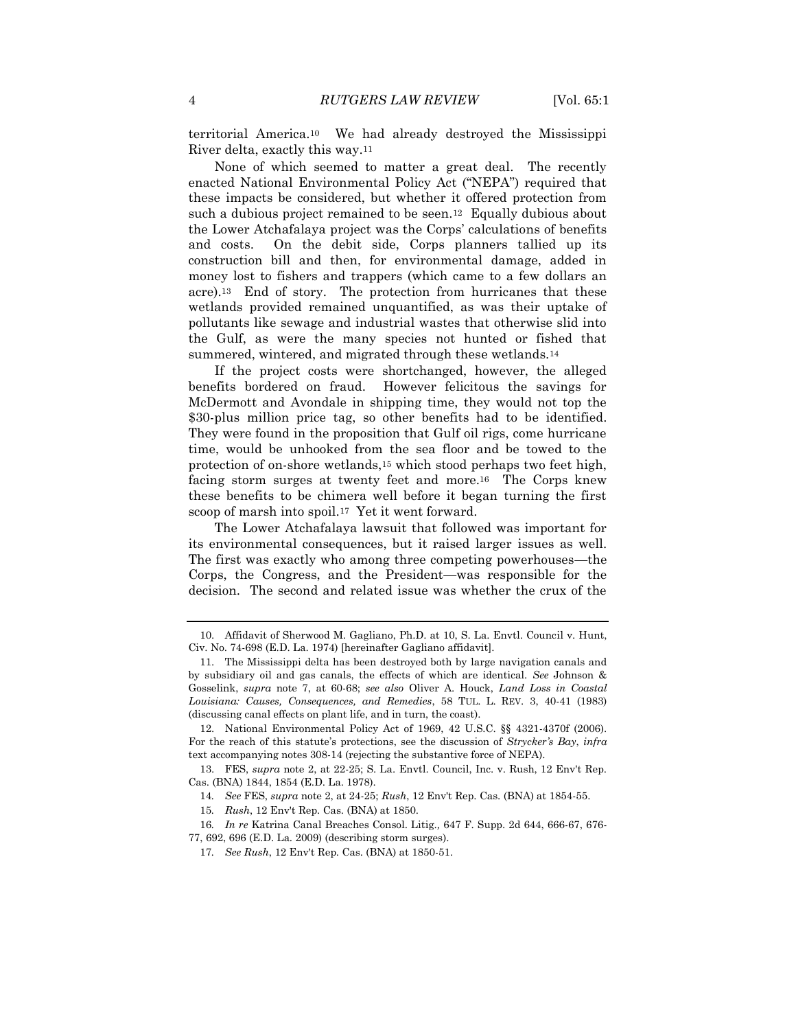<span id="page-3-0"></span>territorial America.10 We had already destroyed the Mississippi River delta, exactly this way.<sup>11</sup>

None of which seemed to matter a great deal. The recently enacted National Environmental Policy Act ("NEPA") required that these impacts be considered, but whether it offered protection from such a dubious project remained to be seen.12 Equally dubious about the Lower Atchafalaya project was the Corps' calculations of benefits and costs. On the debit side, Corps planners tallied up its construction bill and then, for environmental damage, added in money lost to fishers and trappers (which came to a few dollars an acre).13 End of story. The protection from hurricanes that these wetlands provided remained unquantified, as was their uptake of pollutants like sewage and industrial wastes that otherwise slid into the Gulf, as were the many species not hunted or fished that summered, wintered, and migrated through these wetlands.<sup>14</sup>

If the project costs were shortchanged, however, the alleged benefits bordered on fraud. However felicitous the savings for McDermott and Avondale in shipping time, they would not top the \$30-plus million price tag, so other benefits had to be identified. They were found in the proposition that Gulf oil rigs, come hurricane time, would be unhooked from the sea floor and be towed to the protection of on-shore wetlands,<sup>15</sup> which stood perhaps two feet high, facing storm surges at twenty feet and more.16 The Corps knew these benefits to be chimera well before it began turning the first scoop of marsh into spoil.17 Yet it went forward.

The Lower Atchafalaya lawsuit that followed was important for its environmental consequences, but it raised larger issues as well. The first was exactly who among three competing powerhouses—the Corps, the Congress, and the President—was responsible for the decision. The second and related issue was whether the crux of the

16*. In re* Katrina Canal Breaches Consol. Litig.*,* 647 F. Supp. 2d 644, 666-67, 676- 77, 692, 696 (E.D. La. 2009) (describing storm surges).

<sup>10.</sup> Affidavit of Sherwood M. Gagliano, Ph.D. at 10, S. La. Envtl. Council v. Hunt, Civ. No. 74-698 (E.D. La. 1974) [hereinafter Gagliano affidavit].

<sup>11.</sup> The Mississippi delta has been destroyed both by large navigation canals and by subsidiary oil and gas canals, the effects of which are identical. *See* Johnson & Gosselink, *supra* note 7, at 60-68; *see also* Oliver A. Houck, *Land Loss in Coastal Louisiana: Causes, Consequences, and Remedies*, 58 TUL. L. REV. 3, 40-41 (1983) (discussing canal effects on plant life, and in turn, the coast).

<sup>12.</sup> National Environmental Policy Act of 1969, 42 U.S.C. §§ 4321-4370f (2006). For the reach of this statute's protections, see the discussion of *Strycker's Bay*, *infra* text accompanying notes 308-14 (rejecting the substantive force of NEPA).

<sup>13.</sup> FES, *supra* note 2, at 22-25; S. La. Envtl. Council, Inc. v. Rush, 12 Env't Rep. Cas. (BNA) 1844, 1854 (E.D. La. 1978).

<sup>14</sup>*. See* FES, *supra* note 2, at 24-25; *Rush*, 12 Env't Rep. Cas. (BNA) at 1854-55.

<sup>15</sup>*. Rush*, 12 Env't Rep. Cas. (BNA) at 1850.

<sup>17</sup>*. See Rush*, 12 Env't Rep. Cas. (BNA) at 1850-51.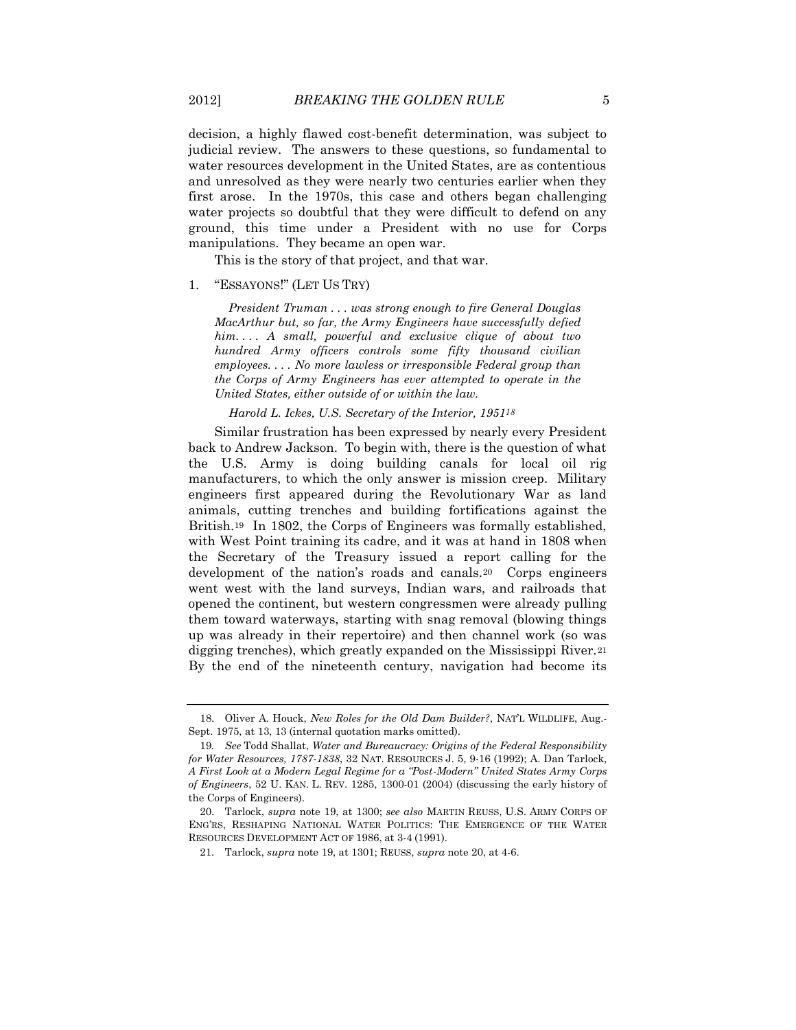decision, a highly flawed cost-benefit determination, was subject to judicial review. The answers to these questions, so fundamental to water resources development in the United States, are as contentious and unresolved as they were nearly two centuries earlier when they first arose. In the 1970s, this case and others began challenging water projects so doubtful that they were difficult to defend on any ground, this time under a President with no use for Corps manipulations. They became an open war.

This is the story of that project, and that war.

## 1. "ESSAYONS!" (LET US TRY)

*President Truman . . . was strong enough to fire General Douglas MacArthur but, so far, the Army Engineers have successfully defied him. . . . A small, powerful and exclusive clique of about two hundred Army officers controls some fifty thousand civilian employees. . . . No more lawless or irresponsible Federal group than the Corps of Army Engineers has ever attempted to operate in the United States, either outside of or within the law.*

<span id="page-4-1"></span>*Harold L. Ickes, U.S. Secretary of the Interior, 195118*

<span id="page-4-0"></span>Similar frustration has been expressed by nearly every President back to Andrew Jackson. To begin with, there is the question of what the U.S. Army is doing building canals for local oil rig manufacturers, to which the only answer is mission creep. Military engineers first appeared during the Revolutionary War as land animals, cutting trenches and building fortifications against the British.19 In 1802, the Corps of Engineers was formally established, with West Point training its cadre, and it was at hand in 1808 when the Secretary of the Treasury issued a report calling for the development of the nation's roads and canals.20 Corps engineers went west with the land surveys, Indian wars, and railroads that opened the continent, but western congressmen were already pulling them toward waterways, starting with snag removal (blowing things up was already in their repertoire) and then channel work (so was digging trenches), which greatly expanded on the Mississippi River.<sup>21</sup> By the end of the nineteenth century, navigation had become its

<sup>18.</sup> Oliver A. Houck, *New Roles for the Old Dam Builder?*, NAT'L WILDLIFE, Aug.- Sept. 1975, at 13, 13 (internal quotation marks omitted).

<sup>19</sup>*. See* Todd Shallat, *Water and Bureaucracy: Origins of the Federal Responsibility for Water Resources, 1787-1838*, 32 NAT. RESOURCES J. 5, 9-16 (1992); A. Dan Tarlock, *A First Look at a Modern Legal Regime for a "Post-Modern" United States Army Corps of Engineers*, 52 U. KAN. L. REV. 1285, 1300-01 (2004) (discussing the early history of the Corps of Engineers).

<sup>20.</sup> Tarlock, *supra* note [19,](#page-4-0) at 1300; *see also* MARTIN REUSS, U.S. ARMY CORPS OF ENG'RS, RESHAPING NATIONAL WATER POLITICS: THE EMERGENCE OF THE WATER RESOURCES DEVELOPMENT ACT OF 1986, at 3-4 (1991).

<sup>21.</sup> Tarlock, *supra* not[e 19,](#page-4-0) at 1301; REUSS, *supra* not[e 20,](#page-4-1) at 4-6.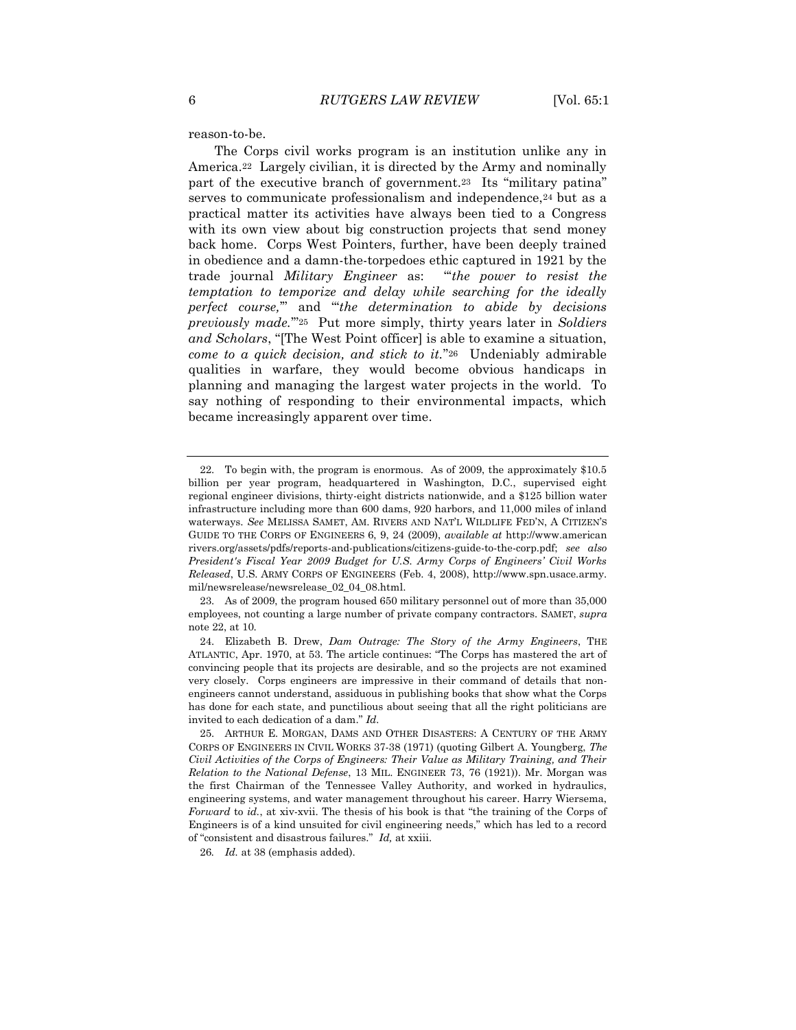reason-to-be.

<span id="page-5-0"></span>The Corps civil works program is an institution unlike any in America.22 Largely civilian, it is directed by the Army and nominally part of the executive branch of government.<sup>23</sup> Its "military patina" serves to communicate professionalism and independence,<sup>24</sup> but as a practical matter its activities have always been tied to a Congress with its own view about big construction projects that send money back home. Corps West Pointers, further, have been deeply trained in obedience and a damn-the-torpedoes ethic captured in 1921 by the trade journal *Military Engineer* as: "'*the power to resist the temptation to temporize and delay while searching for the ideally perfect course,*'" and "'*the determination to abide by decisions previously made.*'"25 Put more simply, thirty years later in *Soldiers and Scholars*, "[The West Point officer] is able to examine a situation, *come to a quick decision, and stick to it.*"26 Undeniably admirable qualities in warfare, they would become obvious handicaps in planning and managing the largest water projects in the world. To say nothing of responding to their environmental impacts, which became increasingly apparent over time.

23. As of 2009, the program housed 650 military personnel out of more than 35,000 employees, not counting a large number of private company contractors. SAMET, *supra* note 22, at 10.

<span id="page-5-1"></span><sup>22.</sup> To begin with, the program is enormous. As of 2009, the approximately \$10.5 billion per year program, headquartered in Washington, D.C., supervised eight regional engineer divisions, thirty-eight districts nationwide, and a \$125 billion water infrastructure including more than 600 dams, 920 harbors, and 11,000 miles of inland waterways. *See* MELISSA SAMET, AM. RIVERS AND NAT'L WILDLIFE FED'N, A CITIZEN'S GUIDE TO THE CORPS OF ENGINEERS 6, 9, 24 (2009), *available at* http://www.american rivers.org/assets/pdfs/reports-and-publications/citizens-guide-to-the-corp.pdf; *see also President's Fiscal Year 2009 Budget for U.S. Army Corps of Engineers' Civil Works Released*, U.S. ARMY CORPS OF ENGINEERS (Feb. 4, 2008), http://www.spn.usace.army. mil/newsrelease/newsrelease\_02\_04\_08.html.

<sup>24.</sup> Elizabeth B. Drew, *Dam Outrage: The Story of the Army Engineers*, THE ATLANTIC, Apr. 1970, at 53. The article continues: "The Corps has mastered the art of convincing people that its projects are desirable, and so the projects are not examined very closely. Corps engineers are impressive in their command of details that nonengineers cannot understand, assiduous in publishing books that show what the Corps has done for each state, and punctilious about seeing that all the right politicians are invited to each dedication of a dam." *Id.*

<sup>25.</sup> ARTHUR E. MORGAN, DAMS AND OTHER DISASTERS: A CENTURY OF THE ARMY CORPS OF ENGINEERS IN CIVIL WORKS 37-38 (1971) (quoting Gilbert A. Youngberg, *The Civil Activities of the Corps of Engineers: Their Value as Military Training, and Their Relation to the National Defense*, 13 MIL. ENGINEER 73, 76 (1921)). Mr. Morgan was the first Chairman of the Tennessee Valley Authority, and worked in hydraulics, engineering systems, and water management throughout his career. Harry Wiersema, *Forward* to *id.*, at xiv-xvii. The thesis of his book is that "the training of the Corps of Engineers is of a kind unsuited for civil engineering needs," which has led to a record of "consistent and disastrous failures." *Id,* at xxiii.

<sup>26</sup>*. Id.* at 38 (emphasis added).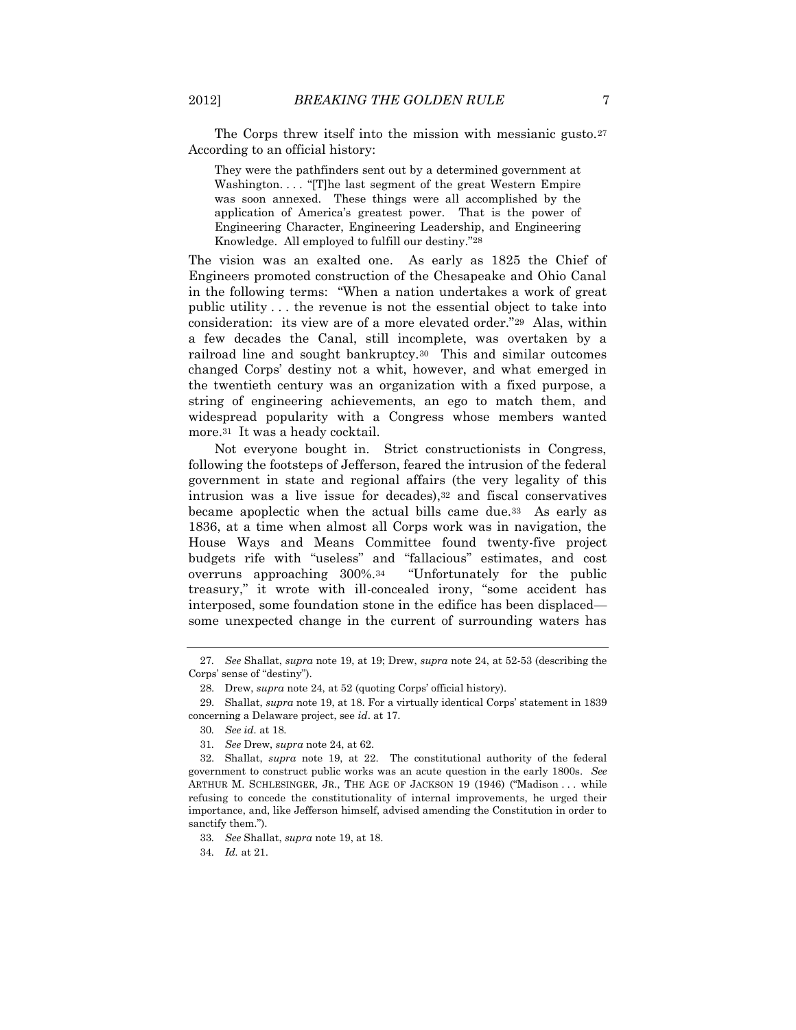The Corps threw itself into the mission with messianic gusto.<sup>27</sup> According to an official history:

They were the pathfinders sent out by a determined government at Washington. . . . "[T]he last segment of the great Western Empire was soon annexed. These things were all accomplished by the application of America's greatest power. That is the power of Engineering Character, Engineering Leadership, and Engineering Knowledge. All employed to fulfill our destiny."28

The vision was an exalted one. As early as 1825 the Chief of Engineers promoted construction of the Chesapeake and Ohio Canal in the following terms: "When a nation undertakes a work of great public utility . . . the revenue is not the essential object to take into consideration: its view are of a more elevated order."29 Alas, within a few decades the Canal, still incomplete, was overtaken by a railroad line and sought bankruptcy.30 This and similar outcomes changed Corps' destiny not a whit, however, and what emerged in the twentieth century was an organization with a fixed purpose, a string of engineering achievements, an ego to match them, and widespread popularity with a Congress whose members wanted more.31 It was a heady cocktail.

Not everyone bought in. Strict constructionists in Congress, following the footsteps of Jefferson, feared the intrusion of the federal government in state and regional affairs (the very legality of this intrusion was a live issue for decades),<sup>32</sup> and fiscal conservatives became apoplectic when the actual bills came due.33 As early as 1836, at a time when almost all Corps work was in navigation, the House Ways and Means Committee found twenty-five project budgets rife with "useless" and "fallacious" estimates, and cost overruns approaching 300%.<sup>34</sup> "Unfortunately for the public treasury," it wrote with ill-concealed irony, "some accident has interposed, some foundation stone in the edifice has been displaced some unexpected change in the current of surrounding waters has

<sup>27</sup>*. See* Shallat, *supra* not[e 19,](#page-4-0) at 19; Drew, *supra* note [24,](#page-5-0) at 52-53 (describing the Corps' sense of "destiny").

<sup>28.</sup> Drew, *supra* note [24](#page-5-0), at 52 (quoting Corps' official history).

<sup>29.</sup> Shallat, *supra* not[e 19,](#page-4-0) at 18. For a virtually identical Corps' statement in 1839 concerning a Delaware project, see *id*. at 17.

<sup>30</sup>*. See id.* at 18.

<sup>31</sup>*. See* Drew, *supra* note 24, at 62.

<sup>32.</sup> Shallat, *supra* note [19,](#page-4-0) at 22. The constitutional authority of the federal government to construct public works was an acute question in the early 1800s. *See* ARTHUR M. SCHLESINGER, JR., THE AGE OF JACKSON 19 (1946) ("Madison . . . while refusing to concede the constitutionality of internal improvements, he urged their importance, and, like Jefferson himself, advised amending the Constitution in order to sanctify them.").

<sup>33</sup>*. See* Shallat, *supra* not[e 19,](#page-4-0) at 18.

<sup>34</sup>*. Id.* at 21.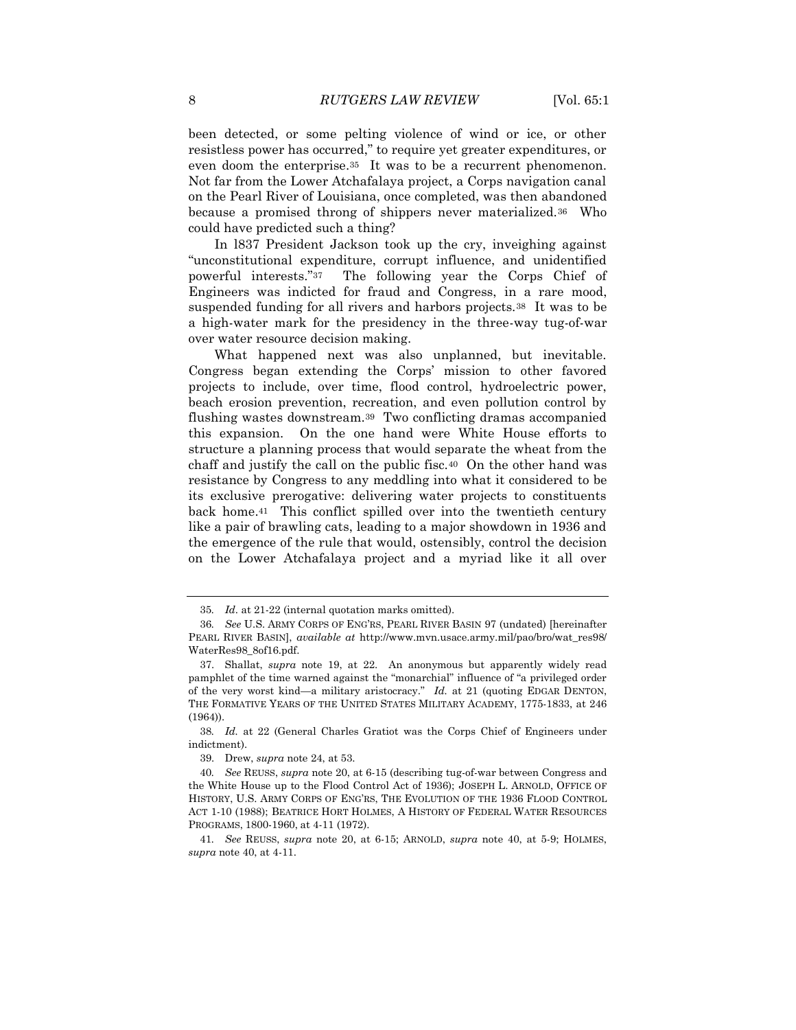been detected, or some pelting violence of wind or ice, or other resistless power has occurred," to require yet greater expenditures, or even doom the enterprise.<sup>35</sup> It was to be a recurrent phenomenon. Not far from the Lower Atchafalaya project, a Corps navigation canal on the Pearl River of Louisiana, once completed, was then abandoned because a promised throng of shippers never materialized.36 Who could have predicted such a thing?

In l837 President Jackson took up the cry, inveighing against "unconstitutional expenditure, corrupt influence, and unidentified powerful interests."37 The following year the Corps Chief of Engineers was indicted for fraud and Congress, in a rare mood, suspended funding for all rivers and harbors projects.38 It was to be a high-water mark for the presidency in the three-way tug-of-war over water resource decision making.

What happened next was also unplanned, but inevitable. Congress began extending the Corps' mission to other favored projects to include, over time, flood control, hydroelectric power, beach erosion prevention, recreation, and even pollution control by flushing wastes downstream.39 Two conflicting dramas accompanied this expansion. On the one hand were White House efforts to structure a planning process that would separate the wheat from the chaff and justify the call on the public fisc.40 On the other hand was resistance by Congress to any meddling into what it considered to be its exclusive prerogative: delivering water projects to constituents back home.41 This conflict spilled over into the twentieth century like a pair of brawling cats, leading to a major showdown in 1936 and the emergence of the rule that would, ostensibly, control the decision on the Lower Atchafalaya project and a myriad like it all over

39. Drew, *supra* note [24,](#page-5-0) at 53.

<sup>35</sup>*. Id*. at 21-22 (internal quotation marks omitted).

<sup>36</sup>*. See* U.S. ARMY CORPS OF ENG'RS, PEARL RIVER BASIN 97 (undated) [hereinafter PEARL RIVER BASIN], *available at* http://www.mvn.usace.army.mil/pao/bro/wat\_res98/ WaterRes98\_8of16.pdf.

<sup>37.</sup> Shallat, *supra* note [19,](#page-4-0) at 22. An anonymous but apparently widely read pamphlet of the time warned against the "monarchial" influence of "a privileged order of the very worst kind—a military aristocracy." *Id.* at 21 (quoting EDGAR DENTON, THE FORMATIVE YEARS OF THE UNITED STATES MILITARY ACADEMY, 1775-1833, at 246 (1964)).

<sup>38</sup>*. Id.* at 22 (General Charles Gratiot was the Corps Chief of Engineers under indictment).

<sup>40</sup>*. See* REUSS, *supra* note [20,](#page-4-1) at 6-15 (describing tug-of-war between Congress and the White House up to the Flood Control Act of 1936); JOSEPH L. ARNOLD, OFFICE OF HISTORY, U.S. ARMY CORPS OF ENG'RS, THE EVOLUTION OF THE 1936 FLOOD CONTROL ACT 1-10 (1988); BEATRICE HORT HOLMES, A HISTORY OF FEDERAL WATER RESOURCES PROGRAMS, 1800-1960, at 4-11 (1972).

<sup>41</sup>*. See* REUSS, *supra* note 20, at 6-15; ARNOLD, *supra* note 40, at 5-9; HOLMES, *supra* note 40, at 4-11.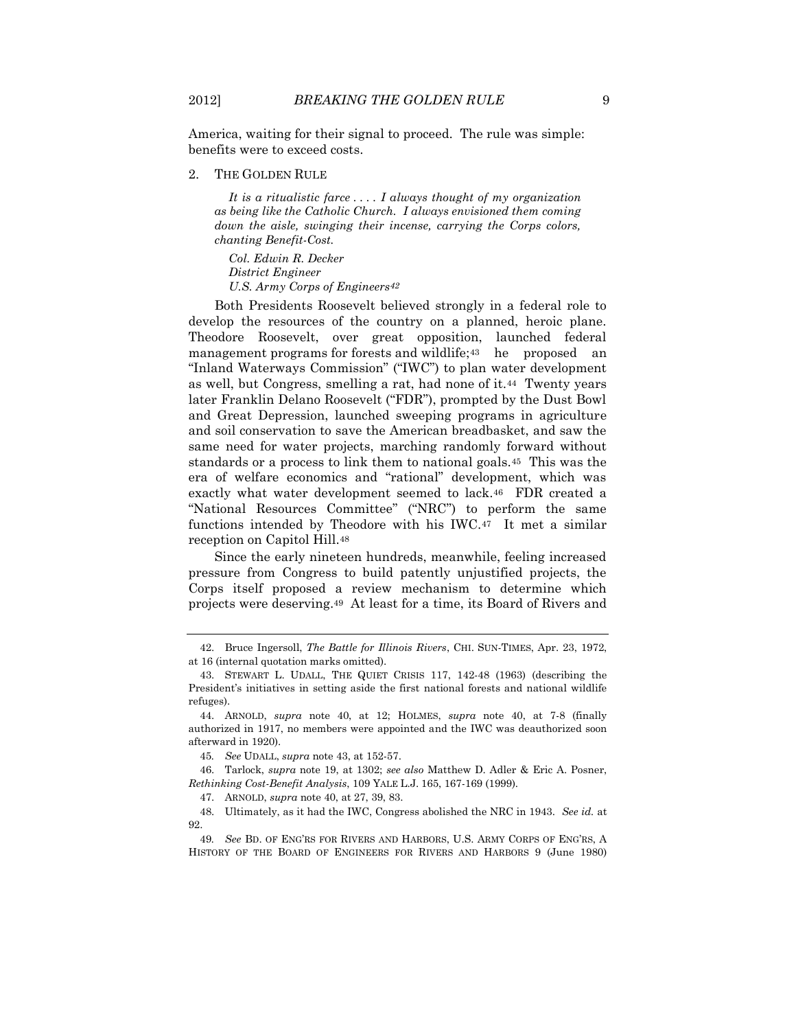America, waiting for their signal to proceed. The rule was simple: benefits were to exceed costs.

2. THE GOLDEN RULE

*It is a ritualistic farce . . . . I always thought of my organization as being like the Catholic Church. I always envisioned them coming down the aisle, swinging their incense, carrying the Corps colors, chanting Benefit-Cost.*

*Col. Edwin R. Decker District Engineer U.S. Army Corps of Engineers42*

Both Presidents Roosevelt believed strongly in a federal role to develop the resources of the country on a planned, heroic plane. Theodore Roosevelt, over great opposition, launched federal management programs for forests and wildlife;<sup>43</sup> he proposed an "Inland Waterways Commission" ("IWC") to plan water development as well, but Congress, smelling a rat, had none of it.44 Twenty years later Franklin Delano Roosevelt ("FDR"), prompted by the Dust Bowl and Great Depression, launched sweeping programs in agriculture and soil conservation to save the American breadbasket, and saw the same need for water projects, marching randomly forward without standards or a process to link them to national goals.45 This was the era of welfare economics and "rational" development, which was exactly what water development seemed to lack.46 FDR created a "National Resources Committee" ("NRC") to perform the same functions intended by Theodore with his IWC.47 It met a similar reception on Capitol Hill.<sup>48</sup>

Since the early nineteen hundreds, meanwhile, feeling increased pressure from Congress to build patently unjustified projects, the Corps itself proposed a review mechanism to determine which projects were deserving.49 At least for a time, its Board of Rivers and

45*. See* UDALL, *supra* note 43, at 152-57.

46. Tarlock, *supra* note [19,](#page-4-0) at 1302; *see also* Matthew D. Adler & Eric A. Posner, *Rethinking Cost-Benefit Analysis*, 109 YALE L.J. 165, 167-169 (1999).

47. ARNOLD, *supra* note 40, at 27, 39, 83.

48. Ultimately, as it had the IWC, Congress abolished the NRC in 1943. *See id.* at 92.

49*. See* BD. OF ENG'RS FOR RIVERS AND HARBORS, U.S. ARMY CORPS OF ENG'RS, A HISTORY OF THE BOARD OF ENGINEERS FOR RIVERS AND HARBORS 9 (June 1980)

<sup>42.</sup> Bruce Ingersoll, *The Battle for Illinois Rivers*, CHI. SUN-TIMES, Apr. 23, 1972, at 16 (internal quotation marks omitted).

<sup>43.</sup> STEWART L. UDALL, THE QUIET CRISIS 117, 142-48 (1963) (describing the President's initiatives in setting aside the first national forests and national wildlife refuges).

<sup>44.</sup> ARNOLD, *supra* note 40, at 12; HOLMES, *supra* note 40, at 7-8 (finally authorized in 1917, no members were appointed and the IWC was deauthorized soon afterward in 1920).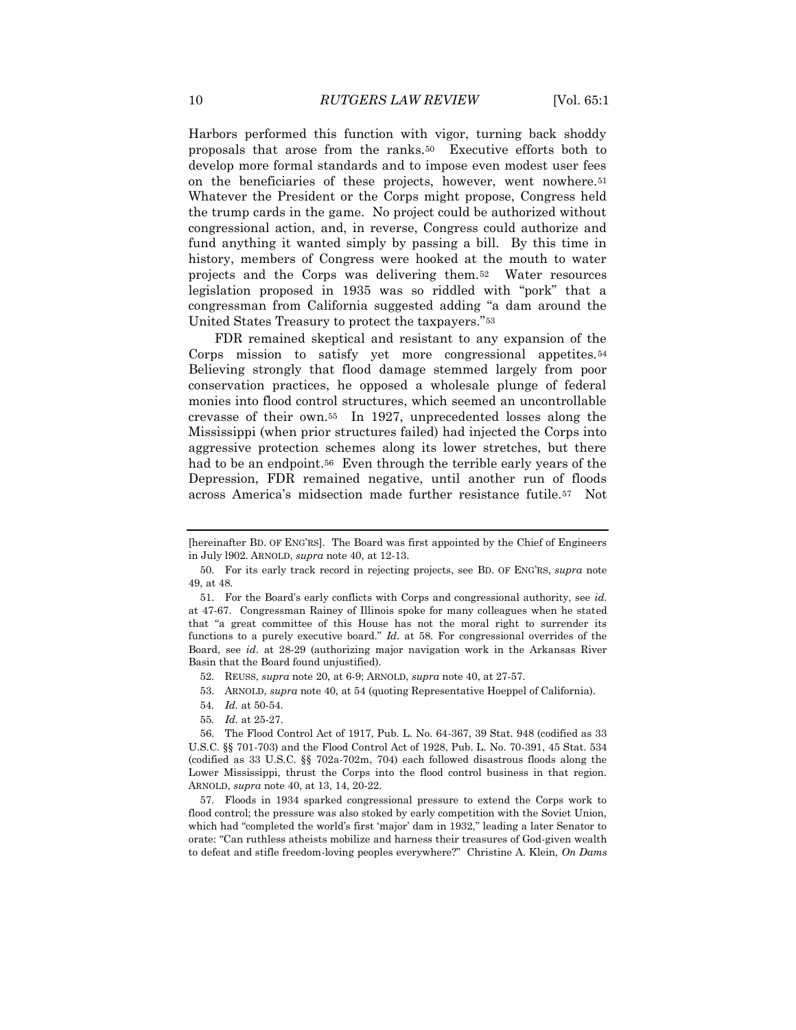Harbors performed this function with vigor, turning back shoddy proposals that arose from the ranks.50 Executive efforts both to develop more formal standards and to impose even modest user fees on the beneficiaries of these projects, however, went nowhere.<sup>51</sup> Whatever the President or the Corps might propose, Congress held the trump cards in the game. No project could be authorized without congressional action, and, in reverse, Congress could authorize and fund anything it wanted simply by passing a bill. By this time in history, members of Congress were hooked at the mouth to water projects and the Corps was delivering them.52 Water resources legislation proposed in 1935 was so riddled with "pork" that a congressman from California suggested adding "a dam around the United States Treasury to protect the taxpayers."<sup>53</sup>

FDR remained skeptical and resistant to any expansion of the Corps mission to satisfy yet more congressional appetites.<sup>54</sup> Believing strongly that flood damage stemmed largely from poor conservation practices, he opposed a wholesale plunge of federal monies into flood control structures, which seemed an uncontrollable crevasse of their own.55 In 1927, unprecedented losses along the Mississippi (when prior structures failed) had injected the Corps into aggressive protection schemes along its lower stretches, but there had to be an endpoint.<sup>56</sup> Even through the terrible early years of the Depression, FDR remained negative, until another run of floods across America's midsection made further resistance futile.57 Not

- 53. ARNOLD, *supra* note 40, at 54 (quoting Representative Hoeppel of California).
- 54*. Id.* at 50-54.
- 55*. Id.* at 25-27.

<sup>[</sup>hereinafter BD. OF ENG'RS]. The Board was first appointed by the Chief of Engineers in July l902. ARNOLD, *supra* note 40, at 12-13.

<sup>50.</sup> For its early track record in rejecting projects, see BD. OF ENG'RS, *supra* note 49, at 48.

<sup>51.</sup> For the Board's early conflicts with Corps and congressional authority, see *id*. at 47-67. Congressman Rainey of Illinois spoke for many colleagues when he stated that "a great committee of this House has not the moral right to surrender its functions to a purely executive board." *Id.* at 58. For congressional overrides of the Board, see *id*. at 28-29 (authorizing major navigation work in the Arkansas River Basin that the Board found unjustified).

<sup>52.</sup> REUSS, *supra* note [20,](#page-4-1) at 6-9; ARNOLD, *supra* note 40, at 27-57.

<sup>56.</sup> The Flood Control Act of 1917, Pub. L. No. 64-367, 39 Stat. 948 (codified as 33 U.S.C. §§ 701-703) and the Flood Control Act of 1928, Pub. L. No. 70-391, 45 Stat. 534 (codified as 33 U.S.C. §§ 702a-702m, 704) each followed disastrous floods along the Lower Mississippi, thrust the Corps into the flood control business in that region. ARNOLD, *supra* note 40, at 13, 14, 20-22.

<sup>57.</sup> Floods in 1934 sparked congressional pressure to extend the Corps work to flood control; the pressure was also stoked by early competition with the Soviet Union, which had "completed the world's first 'major' dam in 1932," leading a later Senator to orate: "Can ruthless atheists mobilize and harness their treasures of God-given wealth to defeat and stifle freedom-loving peoples everywhere?" Christine A. Klein, *On Dams*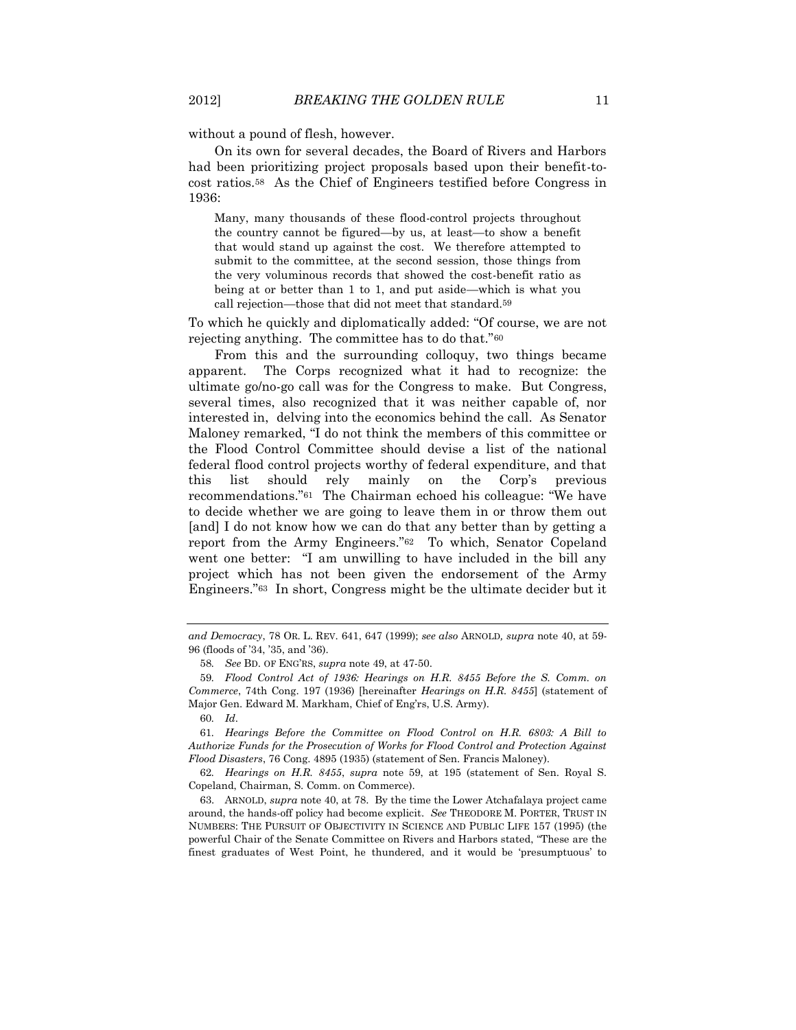without a pound of flesh, however.

On its own for several decades, the Board of Rivers and Harbors had been prioritizing project proposals based upon their benefit-tocost ratios.58 As the Chief of Engineers testified before Congress in 1936:

Many, many thousands of these flood-control projects throughout the country cannot be figured—by us, at least—to show a benefit that would stand up against the cost. We therefore attempted to submit to the committee, at the second session, those things from the very voluminous records that showed the cost-benefit ratio as being at or better than 1 to 1, and put aside—which is what you call rejection—those that did not meet that standard.59

To which he quickly and diplomatically added: "Of course, we are not rejecting anything. The committee has to do that."<sup>60</sup>

From this and the surrounding colloquy, two things became apparent. The Corps recognized what it had to recognize: the ultimate go/no-go call was for the Congress to make. But Congress, several times, also recognized that it was neither capable of, nor interested in, delving into the economics behind the call. As Senator Maloney remarked, "I do not think the members of this committee or the Flood Control Committee should devise a list of the national federal flood control projects worthy of federal expenditure, and that this list should rely mainly on the Corp's previous recommendations."<sup>61</sup> The Chairman echoed his colleague: "We have to decide whether we are going to leave them in or throw them out [and] I do not know how we can do that any better than by getting a report from the Army Engineers."62 To which, Senator Copeland went one better: "I am unwilling to have included in the bill any project which has not been given the endorsement of the Army Engineers."63 In short, Congress might be the ultimate decider but it

60*. Id*.

*and Democracy*, 78 OR. L. REV. 641, 647 (1999); *see also* ARNOLD*, supra* note 40, at 59- 96 (floods of '34, '35, and '36).

<sup>58</sup>*. See* BD. OF ENG'RS, *supra* note 49, at 47-50.

<sup>59</sup>*. Flood Control Act of 1936: Hearings on H.R. 8455 Before the S. Comm. on Commerce*, 74th Cong. 197 (1936) [hereinafter *Hearings on H.R. 8455*] (statement of Major Gen. Edward M. Markham, Chief of Eng'rs, U.S. Army).

<sup>61</sup>*. Hearings Before the Committee on Flood Control on H.R. 6803: A Bill to Authorize Funds for the Prosecution of Works for Flood Control and Protection Against Flood Disasters*, 76 Cong. 4895 (1935) (statement of Sen. Francis Maloney).

<sup>62</sup>*. Hearings on H.R. 8455*, *supra* note 59, at 195 (statement of Sen. Royal S. Copeland, Chairman, S. Comm. on Commerce).

<sup>63.</sup> ARNOLD, *supra* note 40, at 78. By the time the Lower Atchafalaya project came around, the hands-off policy had become explicit. *See* THEODORE M. PORTER, TRUST IN NUMBERS: THE PURSUIT OF OBJECTIVITY IN SCIENCE AND PUBLIC LIFE 157 (1995) (the powerful Chair of the Senate Committee on Rivers and Harbors stated, "These are the finest graduates of West Point, he thundered, and it would be 'presumptuous' to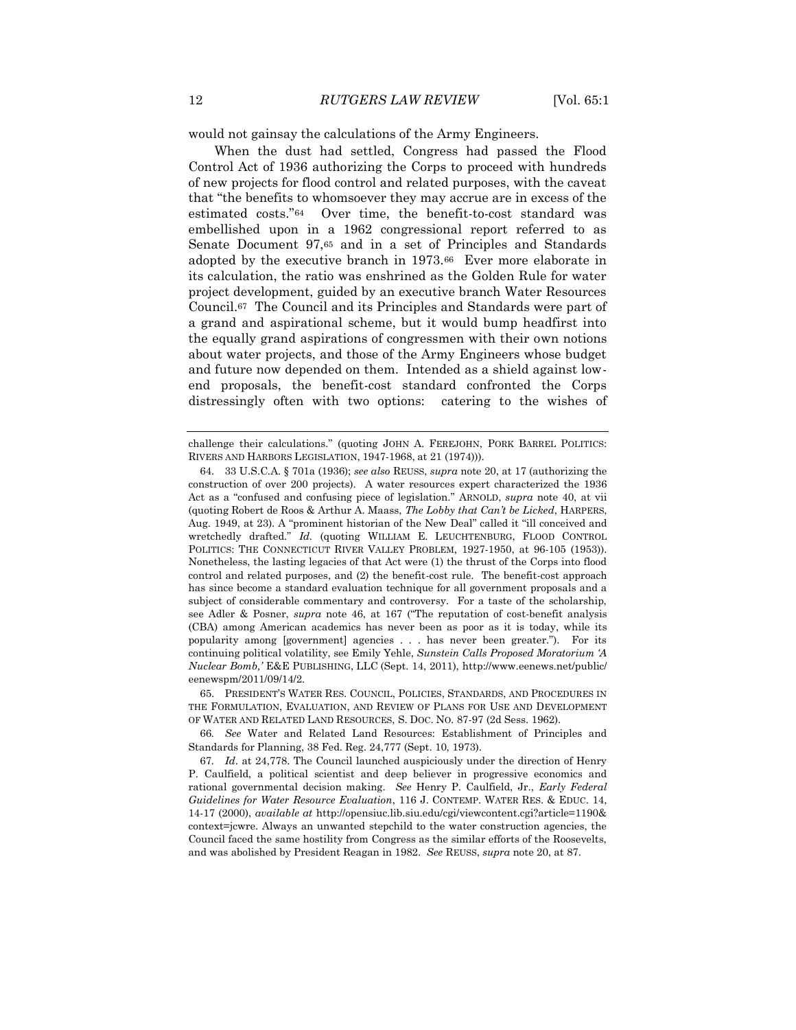would not gainsay the calculations of the Army Engineers.

When the dust had settled, Congress had passed the Flood Control Act of 1936 authorizing the Corps to proceed with hundreds of new projects for flood control and related purposes, with the caveat that "the benefits to whomsoever they may accrue are in excess of the estimated costs."64 Over time, the benefit-to-cost standard was embellished upon in a 1962 congressional report referred to as Senate Document 97,<sup>65</sup> and in a set of Principles and Standards adopted by the executive branch in 1973.66 Ever more elaborate in its calculation, the ratio was enshrined as the Golden Rule for water project development, guided by an executive branch Water Resources Council.67 The Council and its Principles and Standards were part of a grand and aspirational scheme, but it would bump headfirst into the equally grand aspirations of congressmen with their own notions about water projects, and those of the Army Engineers whose budget and future now depended on them. Intended as a shield against lowend proposals, the benefit-cost standard confronted the Corps distressingly often with two options: catering to the wishes of

65. PRESIDENT'S WATER RES. COUNCIL, POLICIES, STANDARDS, AND PROCEDURES IN THE FORMULATION, EVALUATION, AND REVIEW OF PLANS FOR USE AND DEVELOPMENT OF WATER AND RELATED LAND RESOURCES, S. DOC. NO. 87-97 (2d Sess. 1962).

66*. See* Water and Related Land Resources: Establishment of Principles and Standards for Planning, 38 Fed. Reg. 24,777 (Sept. 10, 1973).

challenge their calculations." (quoting JOHN A. FEREJOHN, PORK BARREL POLITICS: RIVERS AND HARBORS LEGISLATION, 1947-1968, at 21 (1974))).

<sup>64.</sup> 33 U.S.C.A. § 701a (1936); *see also* REUSS, *supra* not[e 20,](#page-4-1) at 17 (authorizing the construction of over 200 projects). A water resources expert characterized the 1936 Act as a "confused and confusing piece of legislation." ARNOLD, *supra* note 40, at vii (quoting Robert de Roos & Arthur A. Maass, *The Lobby that Can't be Licked*, HARPERS, Aug. 1949, at 23). A "prominent historian of the New Deal" called it "ill conceived and wretchedly drafted." *Id.* (quoting WILLIAM E. LEUCHTENBURG, FLOOD CONTROL POLITICS: THE CONNECTICUT RIVER VALLEY PROBLEM, 1927-1950, at 96-105 (1953)). Nonetheless, the lasting legacies of that Act were (1) the thrust of the Corps into flood control and related purposes, and (2) the benefit-cost rule. The benefit-cost approach has since become a standard evaluation technique for all government proposals and a subject of considerable commentary and controversy. For a taste of the scholarship, see Adler & Posner, *supra* note 46, at 167 ("The reputation of cost-benefit analysis (CBA) among American academics has never been as poor as it is today, while its popularity among [government] agencies . . . has never been greater."). For its continuing political volatility, see Emily Yehle, *Sunstein Calls Proposed Moratorium 'A Nuclear Bomb,'* E&E PUBLISHING, LLC (Sept. 14, 2011), http://www.eenews.net/public/ eenewspm/2011/09/14/2.

<sup>67</sup>*. Id*. at 24,778. The Council launched auspiciously under the direction of Henry P. Caulfield, a political scientist and deep believer in progressive economics and rational governmental decision making. *See* Henry P. Caulfield, Jr., *Early Federal Guidelines for Water Resource Evaluation*, 116 J. CONTEMP. WATER RES. & EDUC. 14, 14-17 (2000), *available at* http://opensiuc.lib.siu.edu/cgi/viewcontent.cgi?article=1190& context=jcwre. Always an unwanted stepchild to the water construction agencies, the Council faced the same hostility from Congress as the similar efforts of the Roosevelts, and was abolished by President Reagan in 1982. *See* REUSS, *supra* note [20,](#page-4-1) at 87.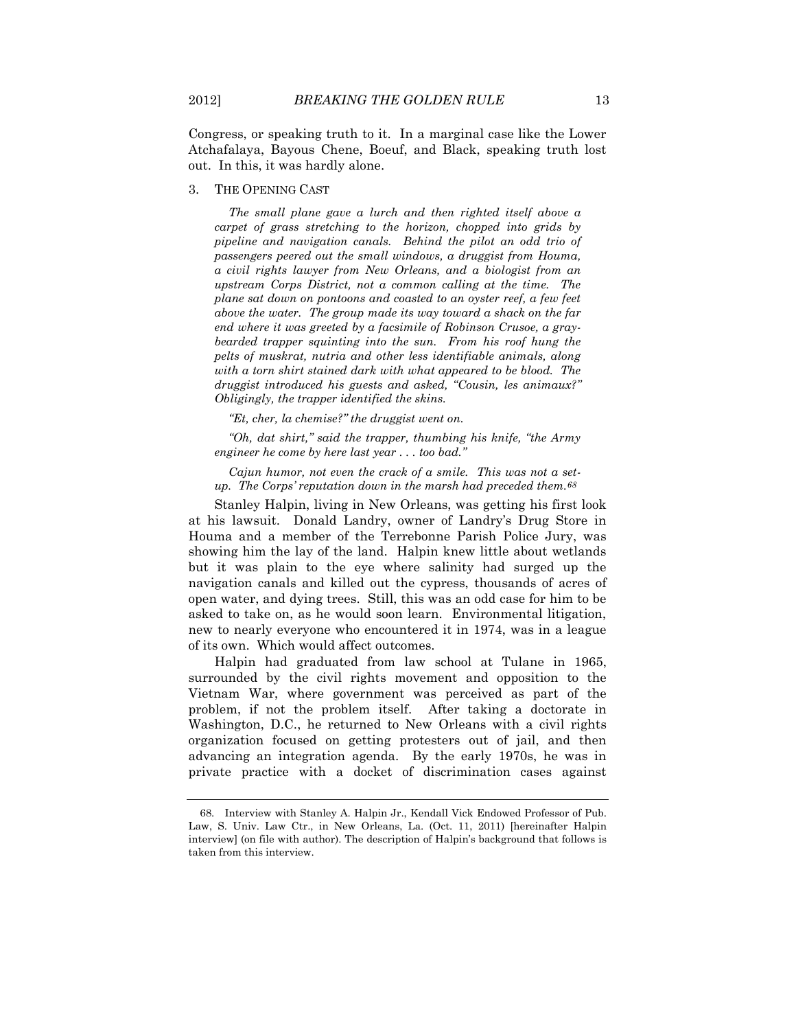Congress, or speaking truth to it. In a marginal case like the Lower Atchafalaya, Bayous Chene, Boeuf, and Black, speaking truth lost out. In this, it was hardly alone.

3. THE OPENING CAST

*The small plane gave a lurch and then righted itself above a carpet of grass stretching to the horizon, chopped into grids by pipeline and navigation canals. Behind the pilot an odd trio of passengers peered out the small windows, a druggist from Houma, a civil rights lawyer from New Orleans, and a biologist from an upstream Corps District, not a common calling at the time. The plane sat down on pontoons and coasted to an oyster reef, a few feet above the water. The group made its way toward a shack on the far end where it was greeted by a facsimile of Robinson Crusoe, a graybearded trapper squinting into the sun. From his roof hung the pelts of muskrat, nutria and other less identifiable animals, along with a torn shirt stained dark with what appeared to be blood. The druggist introduced his guests and asked, "Cousin, les animaux?" Obligingly, the trapper identified the skins.*

*"Et, cher, la chemise?" the druggist went on.*

*"Oh, dat shirt," said the trapper, thumbing his knife, "the Army engineer he come by here last year . . . too bad."*

*Cajun humor, not even the crack of a smile. This was not a setup. The Corps' reputation down in the marsh had preceded them.68*

Stanley Halpin, living in New Orleans, was getting his first look at his lawsuit. Donald Landry, owner of Landry's Drug Store in Houma and a member of the Terrebonne Parish Police Jury, was showing him the lay of the land. Halpin knew little about wetlands but it was plain to the eye where salinity had surged up the navigation canals and killed out the cypress, thousands of acres of open water, and dying trees. Still, this was an odd case for him to be asked to take on, as he would soon learn. Environmental litigation, new to nearly everyone who encountered it in 1974, was in a league of its own. Which would affect outcomes.

Halpin had graduated from law school at Tulane in 1965, surrounded by the civil rights movement and opposition to the Vietnam War, where government was perceived as part of the problem, if not the problem itself. After taking a doctorate in Washington, D.C., he returned to New Orleans with a civil rights organization focused on getting protesters out of jail, and then advancing an integration agenda. By the early 1970s, he was in private practice with a docket of discrimination cases against

<sup>68.</sup> Interview with Stanley A. Halpin Jr., Kendall Vick Endowed Professor of Pub. Law, S. Univ. Law Ctr., in New Orleans, La. (Oct. 11, 2011) [hereinafter Halpin interview] (on file with author). The description of Halpin's background that follows is taken from this interview.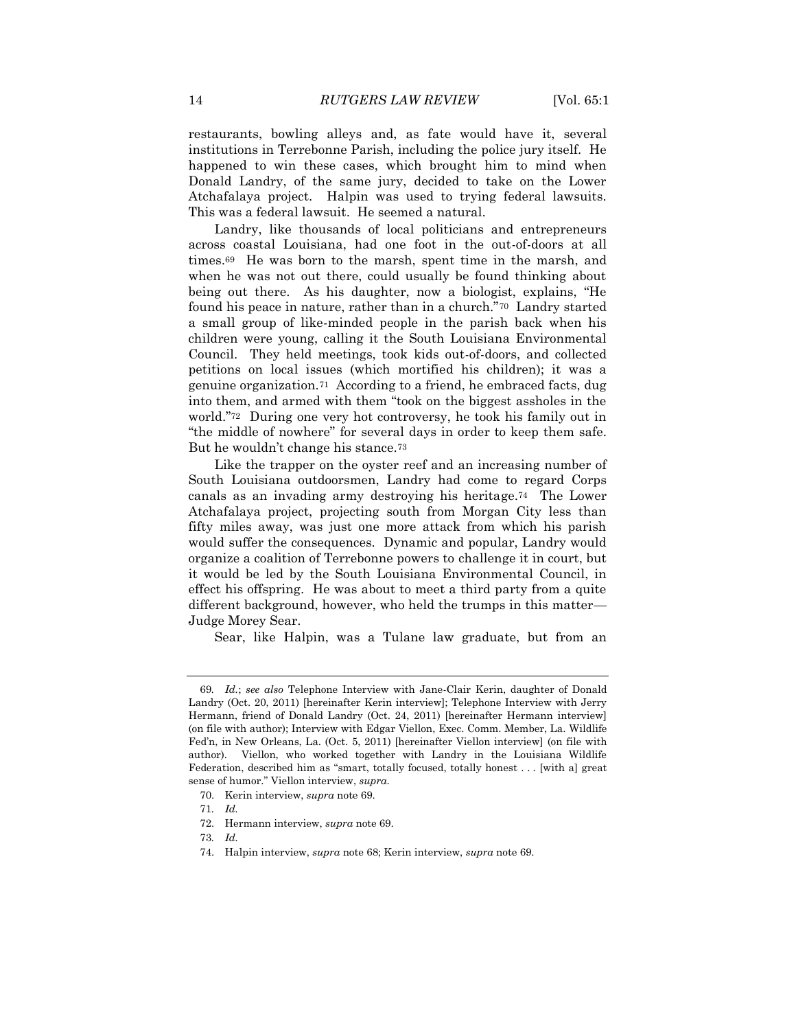restaurants, bowling alleys and, as fate would have it, several institutions in Terrebonne Parish, including the police jury itself. He happened to win these cases, which brought him to mind when Donald Landry, of the same jury, decided to take on the Lower Atchafalaya project. Halpin was used to trying federal lawsuits. This was a federal lawsuit. He seemed a natural.

Landry, like thousands of local politicians and entrepreneurs across coastal Louisiana, had one foot in the out-of-doors at all times.69 He was born to the marsh, spent time in the marsh, and when he was not out there, could usually be found thinking about being out there. As his daughter, now a biologist, explains, "He found his peace in nature, rather than in a church."70 Landry started a small group of like-minded people in the parish back when his children were young, calling it the South Louisiana Environmental Council. They held meetings, took kids out-of-doors, and collected petitions on local issues (which mortified his children); it was a genuine organization.71 According to a friend, he embraced facts, dug into them, and armed with them "took on the biggest assholes in the world."72 During one very hot controversy, he took his family out in "the middle of nowhere" for several days in order to keep them safe. But he wouldn't change his stance.<sup>73</sup>

Like the trapper on the oyster reef and an increasing number of South Louisiana outdoorsmen, Landry had come to regard Corps canals as an invading army destroying his heritage.74 The Lower Atchafalaya project, projecting south from Morgan City less than fifty miles away, was just one more attack from which his parish would suffer the consequences. Dynamic and popular, Landry would organize a coalition of Terrebonne powers to challenge it in court, but it would be led by the South Louisiana Environmental Council, in effect his offspring. He was about to meet a third party from a quite different background, however, who held the trumps in this matter— Judge Morey Sear.

Sear, like Halpin, was a Tulane law graduate, but from an

<sup>69</sup>*. Id.*; *see also* Telephone Interview with Jane-Clair Kerin, daughter of Donald Landry (Oct. 20, 2011) [hereinafter Kerin interview]; Telephone Interview with Jerry Hermann, friend of Donald Landry (Oct. 24, 2011) [hereinafter Hermann interview] (on file with author); Interview with Edgar Viellon, Exec. Comm. Member, La. Wildlife Fed'n, in New Orleans, La. (Oct. 5, 2011) [hereinafter Viellon interview] (on file with author). Viellon, who worked together with Landry in the Louisiana Wildlife Federation, described him as "smart, totally focused, totally honest . . . [with a] great sense of humor." Viellon interview, *supra*.

<sup>70.</sup> Kerin interview, *supra* note 69.

<sup>71</sup>*. Id.*

<sup>72.</sup> Hermann interview, *supra* note 69.

<sup>73</sup>*. Id.*

<sup>74.</sup> Halpin interview, *supra* note 68; Kerin interview, *supra* note 69.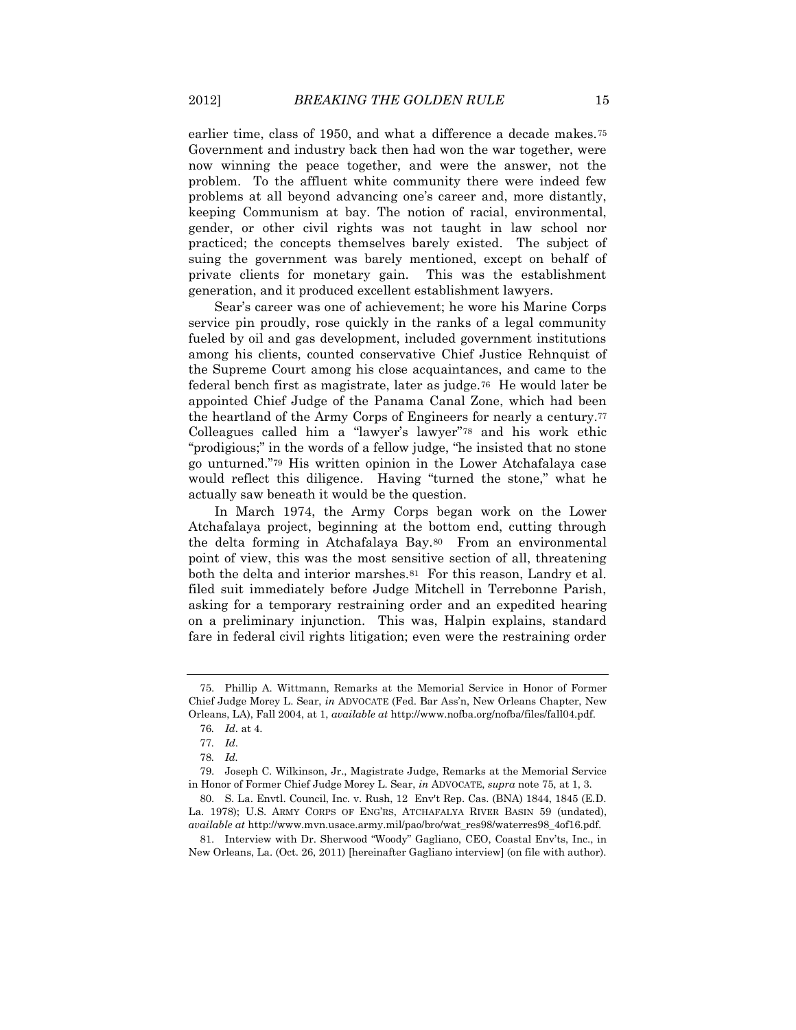earlier time, class of 1950, and what a difference a decade makes.<sup>75</sup> Government and industry back then had won the war together, were now winning the peace together, and were the answer, not the problem. To the affluent white community there were indeed few problems at all beyond advancing one's career and, more distantly, keeping Communism at bay. The notion of racial, environmental, gender, or other civil rights was not taught in law school nor practiced; the concepts themselves barely existed. The subject of suing the government was barely mentioned, except on behalf of private clients for monetary gain. This was the establishment generation, and it produced excellent establishment lawyers.

Sear's career was one of achievement; he wore his Marine Corps service pin proudly, rose quickly in the ranks of a legal community fueled by oil and gas development, included government institutions among his clients, counted conservative Chief Justice Rehnquist of the Supreme Court among his close acquaintances, and came to the federal bench first as magistrate, later as judge.76 He would later be appointed Chief Judge of the Panama Canal Zone, which had been the heartland of the Army Corps of Engineers for nearly a century.<sup>77</sup> Colleagues called him a "lawyer's lawyer"<sup>78</sup> and his work ethic "prodigious;" in the words of a fellow judge, "he insisted that no stone go unturned."<sup>79</sup> His written opinion in the Lower Atchafalaya case would reflect this diligence. Having "turned the stone," what he actually saw beneath it would be the question.

In March 1974, the Army Corps began work on the Lower Atchafalaya project, beginning at the bottom end, cutting through the delta forming in Atchafalaya Bay.80 From an environmental point of view, this was the most sensitive section of all, threatening both the delta and interior marshes.81 For this reason, Landry et al. filed suit immediately before Judge Mitchell in Terrebonne Parish, asking for a temporary restraining order and an expedited hearing on a preliminary injunction. This was, Halpin explains, standard fare in federal civil rights litigation; even were the restraining order

<sup>75.</sup> Phillip A. Wittmann, Remarks at the Memorial Service in Honor of Former Chief Judge Morey L. Sear, *in* ADVOCATE (Fed. Bar Ass'n, New Orleans Chapter, New Orleans, LA), Fall 2004, at 1, *available at* http://www.nofba.org/nofba/files/fall04.pdf.

<sup>76</sup>*. Id*. at 4.

<sup>77</sup>*. Id*.

<sup>78</sup>*. Id.*

<sup>79.</sup> Joseph C. Wilkinson, Jr., Magistrate Judge, Remarks at the Memorial Service in Honor of Former Chief Judge Morey L. Sear, *in* ADVOCATE, *supra* note 75, at 1, 3.

<sup>80.</sup> S. La. Envtl. Council, Inc. v. Rush, 12 Env't Rep. Cas. (BNA) 1844, 1845 (E.D. La. 1978); U.S. ARMY CORPS OF ENG'RS, ATCHAFALYA RIVER BASIN 59 (undated), *available at* http://www.mvn.usace.army.mil/pao/bro/wat\_res98/waterres98\_4of16.pdf.

<sup>81.</sup> Interview with Dr. Sherwood "Woody" Gagliano, CEO, Coastal Env'ts, Inc., in New Orleans, La. (Oct. 26, 2011) [hereinafter Gagliano interview] (on file with author).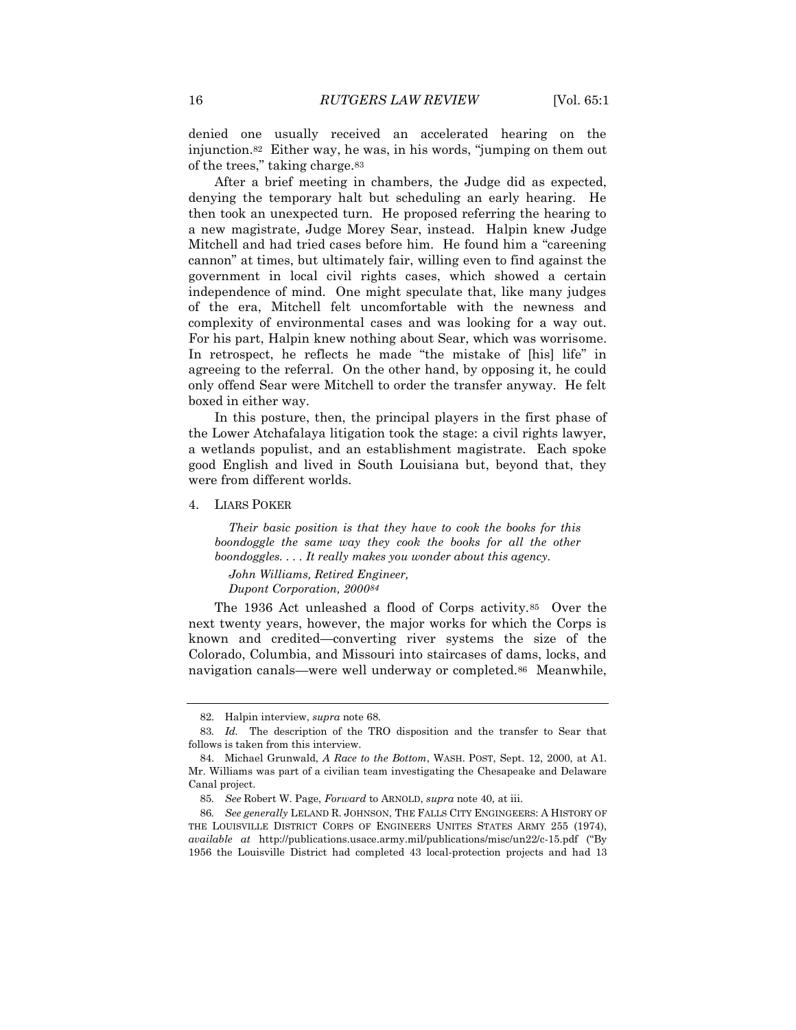denied one usually received an accelerated hearing on the injunction.82 Either way, he was, in his words, "jumping on them out of the trees," taking charge.<sup>83</sup>

After a brief meeting in chambers, the Judge did as expected, denying the temporary halt but scheduling an early hearing. He then took an unexpected turn. He proposed referring the hearing to a new magistrate, Judge Morey Sear, instead. Halpin knew Judge Mitchell and had tried cases before him. He found him a "careening cannon" at times, but ultimately fair, willing even to find against the government in local civil rights cases, which showed a certain independence of mind. One might speculate that, like many judges of the era, Mitchell felt uncomfortable with the newness and complexity of environmental cases and was looking for a way out. For his part, Halpin knew nothing about Sear, which was worrisome. In retrospect, he reflects he made "the mistake of [his] life" in agreeing to the referral. On the other hand, by opposing it, he could only offend Sear were Mitchell to order the transfer anyway. He felt boxed in either way.

In this posture, then, the principal players in the first phase of the Lower Atchafalaya litigation took the stage: a civil rights lawyer, a wetlands populist, and an establishment magistrate. Each spoke good English and lived in South Louisiana but, beyond that, they were from different worlds.

4. LIARS POKER

*Their basic position is that they have to cook the books for this boondoggle the same way they cook the books for all the other boondoggles. . . . It really makes you wonder about this agency.*

<span id="page-15-0"></span>*John Williams, Retired Engineer, Dupont Corporation, 200084*

The 1936 Act unleashed a flood of Corps activity.85 Over the next twenty years, however, the major works for which the Corps is known and credited—converting river systems the size of the Colorado, Columbia, and Missouri into staircases of dams, locks, and navigation canals—were well underway or completed.86 Meanwhile,

<sup>82.</sup> Halpin interview, *supra* note 68.

<sup>83</sup>*. Id.* The description of the TRO disposition and the transfer to Sear that follows is taken from this interview.

<sup>84.</sup> Michael Grunwald, *A Race to the Bottom*, WASH. POST, Sept. 12, 2000, at A1. Mr. Williams was part of a civilian team investigating the Chesapeake and Delaware Canal project.

<sup>85</sup>*. See* Robert W. Page, *Forward* to ARNOLD, *supra* note 40, at iii.

<sup>86</sup>*. See generally* LELAND R. JOHNSON, THE FALLS CITY ENGINGEERS: A HISTORY OF THE LOUISVILLE DISTRICT CORPS OF ENGINEERS UNITES STATES ARMY 255 (1974), *available at* http://publications.usace.army.mil/publications/misc/un22/c-15.pdf ("By 1956 the Louisville District had completed 43 local-protection projects and had 13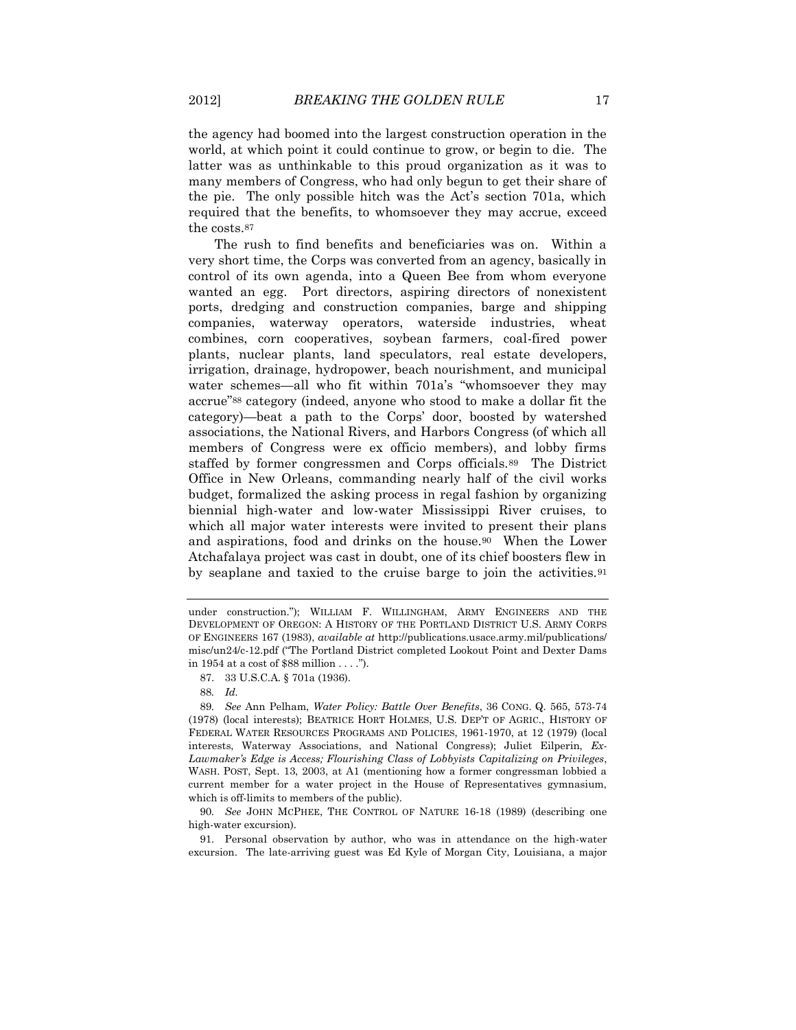the agency had boomed into the largest construction operation in the world, at which point it could continue to grow, or begin to die. The latter was as unthinkable to this proud organization as it was to many members of Congress, who had only begun to get their share of the pie. The only possible hitch was the Act's section 701a, which required that the benefits, to whomsoever they may accrue, exceed the costs.<sup>87</sup>

The rush to find benefits and beneficiaries was on. Within a very short time, the Corps was converted from an agency, basically in control of its own agenda, into a Queen Bee from whom everyone wanted an egg. Port directors, aspiring directors of nonexistent ports, dredging and construction companies, barge and shipping companies, waterway operators, waterside industries, wheat combines, corn cooperatives, soybean farmers, coal-fired power plants, nuclear plants, land speculators, real estate developers, irrigation, drainage, hydropower, beach nourishment, and municipal water schemes—all who fit within 701a's "whomsoever they may accrue"<sup>88</sup> category (indeed, anyone who stood to make a dollar fit the category)—beat a path to the Corps' door, boosted by watershed associations, the National Rivers, and Harbors Congress (of which all members of Congress were ex officio members), and lobby firms staffed by former congressmen and Corps officials.89 The District Office in New Orleans, commanding nearly half of the civil works budget, formalized the asking process in regal fashion by organizing biennial high-water and low-water Mississippi River cruises, to which all major water interests were invited to present their plans and aspirations, food and drinks on the house.90 When the Lower Atchafalaya project was cast in doubt, one of its chief boosters flew in by seaplane and taxied to the cruise barge to join the activities.<sup>91</sup>

under construction."); WILLIAM F. WILLINGHAM, ARMY ENGINEERS AND THE DEVELOPMENT OF OREGON: A HISTORY OF THE PORTLAND DISTRICT U.S. ARMY CORPS OF ENGINEERS 167 (1983), *available at* http://publications.usace.army.mil/publications/ misc/un24/c-12.pdf ("The Portland District completed Lookout Point and Dexter Dams in 1954 at a cost of \$88 million . . . .").

<sup>87.</sup> 33 U.S.C.A. § 701a (1936).

<sup>88</sup>*. Id.*

<sup>89</sup>*. See* Ann Pelham, *Water Policy: Battle Over Benefits*, 36 CONG. Q. 565, 573-74 (1978) (local interests); BEATRICE HORT HOLMES, U.S. DEP'T OF AGRIC., HISTORY OF FEDERAL WATER RESOURCES PROGRAMS AND POLICIES, 1961-1970, at 12 (1979) (local interests, Waterway Associations, and National Congress); Juliet Eilperin, *Ex-Lawmaker's Edge is Access; Flourishing Class of Lobbyists Capitalizing on Privileges*, WASH. POST, Sept. 13, 2003, at A1 (mentioning how a former congressman lobbied a current member for a water project in the House of Representatives gymnasium, which is off-limits to members of the public).

<sup>90</sup>*. See* JOHN MCPHEE, THE CONTROL OF NATURE 16-18 (1989) (describing one high-water excursion).

<sup>91.</sup> Personal observation by author, who was in attendance on the high-water excursion. The late-arriving guest was Ed Kyle of Morgan City, Louisiana, a major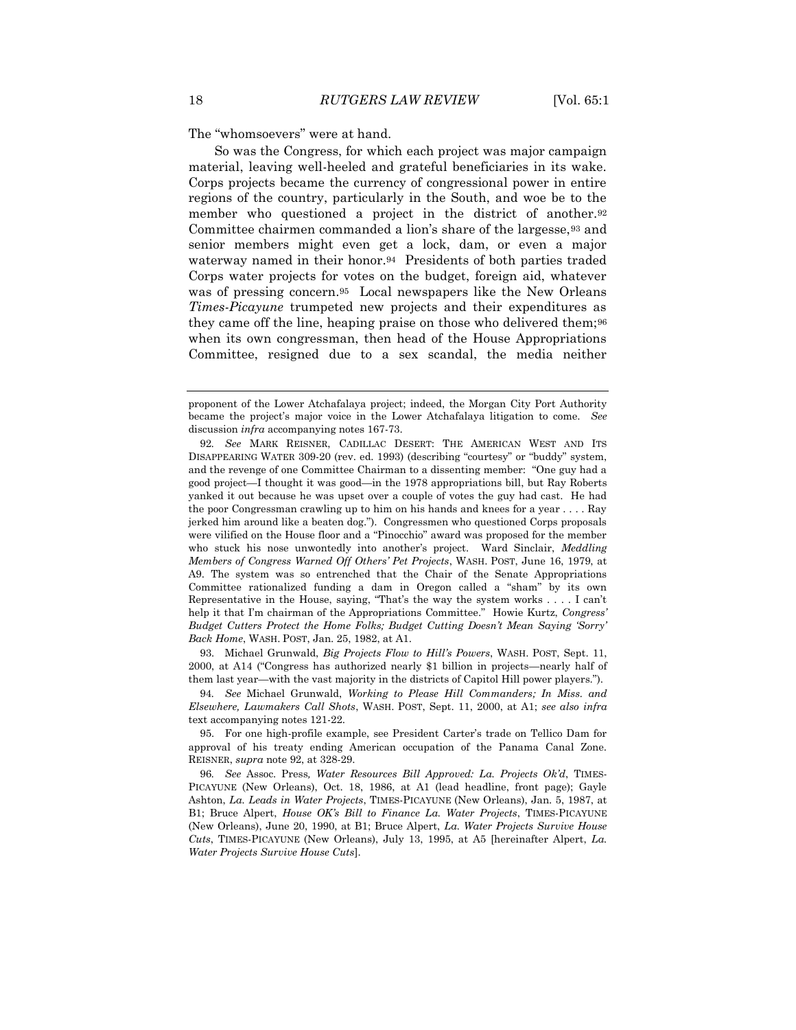The "whomsoevers" were at hand.

So was the Congress, for which each project was major campaign material, leaving well-heeled and grateful beneficiaries in its wake. Corps projects became the currency of congressional power in entire regions of the country, particularly in the South, and woe be to the member who questioned a project in the district of another.<sup>92</sup> Committee chairmen commanded a lion's share of the largesse,<sup>93</sup> and senior members might even get a lock, dam, or even a major waterway named in their honor.94 Presidents of both parties traded Corps water projects for votes on the budget, foreign aid, whatever was of pressing concern.95 Local newspapers like the New Orleans *Times-Picayune* trumpeted new projects and their expenditures as they came off the line, heaping praise on those who delivered them;<sup>96</sup> when its own congressman, then head of the House Appropriations Committee, resigned due to a sex scandal, the media neither

93. Michael Grunwald, *Big Projects Flow to Hill's Powers*, WASH. POST, Sept. 11, 2000, at A14 ("Congress has authorized nearly \$1 billion in projects—nearly half of them last year—with the vast majority in the districts of Capitol Hill power players.").

94*. See* Michael Grunwald, *Working to Please Hill Commanders; In Miss. and Elsewhere, Lawmakers Call Shots*, WASH. POST, Sept. 11, 2000, at A1; *see also infra* text accompanying notes 121-22.

95. For one high-profile example, see President Carter's trade on Tellico Dam for approval of his treaty ending American occupation of the Panama Canal Zone. REISNER, *supra* note 92, at 328-29.

96*. See* Assoc. Press*, Water Resources Bill Approved: La. Projects Ok'd*, TIMES-PICAYUNE (New Orleans), Oct. 18, 1986, at A1 (lead headline, front page); Gayle Ashton, *La. Leads in Water Projects*, TIMES-PICAYUNE (New Orleans), Jan. 5, 1987, at B1; Bruce Alpert, *House OK's Bill to Finance La. Water Projects*, TIMES-PICAYUNE (New Orleans), June 20, 1990, at B1; Bruce Alpert, *La. Water Projects Survive House Cuts*, TIMES-PICAYUNE (New Orleans), July 13, 1995, at A5 [hereinafter Alpert, *La. Water Projects Survive House Cuts*].

proponent of the Lower Atchafalaya project; indeed, the Morgan City Port Authority became the project's major voice in the Lower Atchafalaya litigation to come. *See* discussion *infra* accompanying notes 167-73.

<sup>92</sup>*. See* MARK REISNER, CADILLAC DESERT: THE AMERICAN WEST AND ITS DISAPPEARING WATER 309-20 (rev. ed. 1993) (describing "courtesy" or "buddy" system, and the revenge of one Committee Chairman to a dissenting member: "One guy had a good project—I thought it was good—in the 1978 appropriations bill, but Ray Roberts yanked it out because he was upset over a couple of votes the guy had cast. He had the poor Congressman crawling up to him on his hands and knees for a year . . . . Ray jerked him around like a beaten dog."). Congressmen who questioned Corps proposals were vilified on the House floor and a "Pinocchio" award was proposed for the member who stuck his nose unwontedly into another's project. Ward Sinclair, *Meddling Members of Congress Warned Off Others' Pet Projects*, WASH. POST, June 16, 1979, at A9. The system was so entrenched that the Chair of the Senate Appropriations Committee rationalized funding a dam in Oregon called a "sham" by its own Representative in the House, saying, "That's the way the system works . . . . I can't help it that I'm chairman of the Appropriations Committee." Howie Kurtz, *Congress' Budget Cutters Protect the Home Folks; Budget Cutting Doesn't Mean Saying 'Sorry' Back Home*, WASH. POST, Jan. 25, 1982, at A1.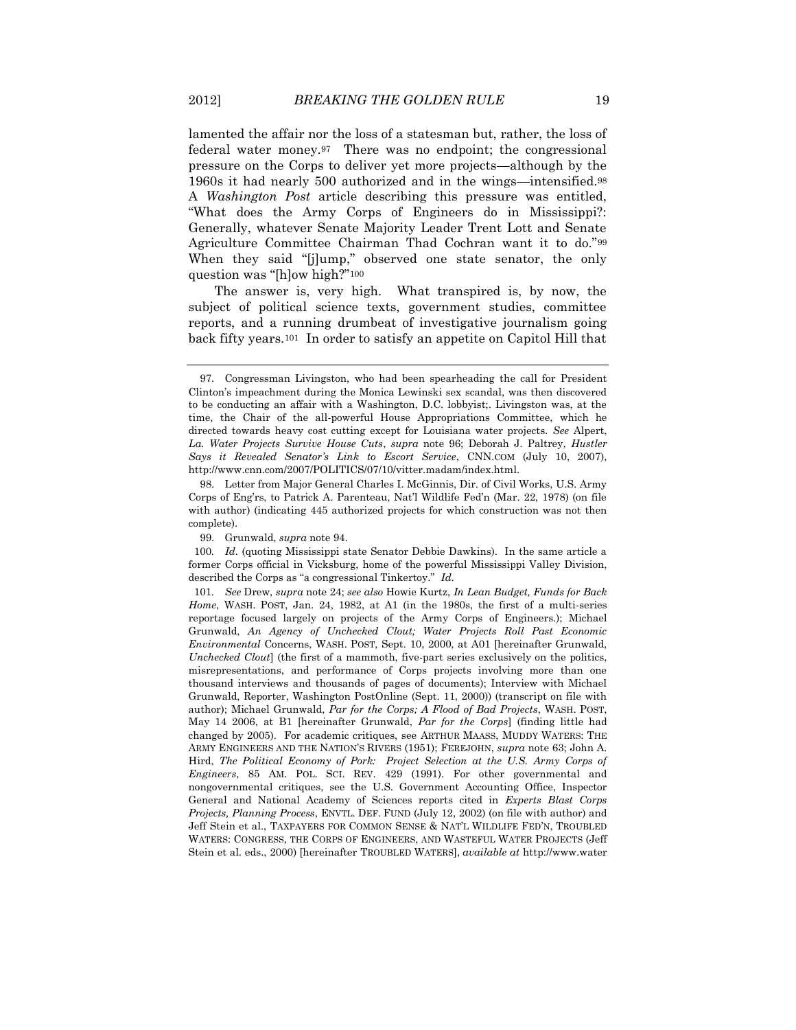lamented the affair nor the loss of a statesman but, rather, the loss of federal water money.97 There was no endpoint; the congressional pressure on the Corps to deliver yet more projects—although by the 1960s it had nearly 500 authorized and in the wings—intensified.<sup>98</sup> A *Washington Post* article describing this pressure was entitled, "What does the Army Corps of Engineers do in Mississippi?: Generally, whatever Senate Majority Leader Trent Lott and Senate Agriculture Committee Chairman Thad Cochran want it to do."<sup>99</sup> When they said "[j]ump," observed one state senator, the only question was "[h]ow high?"<sup>100</sup>

The answer is, very high. What transpired is, by now, the subject of political science texts, government studies, committee reports, and a running drumbeat of investigative journalism going back fifty years.101 In order to satisfy an appetite on Capitol Hill that

100*. Id*. (quoting Mississippi state Senator Debbie Dawkins). In the same article a former Corps official in Vicksburg, home of the powerful Mississippi Valley Division, described the Corps as "a congressional Tinkertoy." *Id*.

101*. See* Drew, *supra* note [24;](#page-5-0) *see also* Howie Kurtz, *In Lean Budget, Funds for Back Home*, WASH. POST, Jan. 24, 1982, at A1 (in the 1980s, the first of a multi-series reportage focused largely on projects of the Army Corps of Engineers.); Michael Grunwald, *An Agency of Unchecked Clout; Water Projects Roll Past Economic Environmental* Concerns, WASH. POST, Sept. 10, 2000, at A01 [hereinafter Grunwald, *Unchecked Clout*] (the first of a mammoth, five-part series exclusively on the politics, misrepresentations, and performance of Corps projects involving more than one thousand interviews and thousands of pages of documents); Interview with Michael Grunwald, Reporter, Washington PostOnline (Sept. 11, 2000)) (transcript on file with author); Michael Grunwald, *Par for the Corps; A Flood of Bad Projects*, WASH. POST, May 14 2006, at B1 [hereinafter Grunwald, *Par for the Corps*] (finding little had changed by 2005). For academic critiques, see ARTHUR MAASS, MUDDY WATERS: THE ARMY ENGINEERS AND THE NATION'S RIVERS (1951); FEREJOHN, *supra* note 63; John A. Hird, *The Political Economy of Pork: Project Selection at the U.S. Army Corps of Engineers*, 85 AM. POL. SCI. REV. 429 (1991). For other governmental and nongovernmental critiques, see the U.S. Government Accounting Office, Inspector General and National Academy of Sciences reports cited in *Experts Blast Corps Projects, Planning Process*, ENVTL. DEF. FUND (July 12, 2002) (on file with author) and Jeff Stein et al., TAXPAYERS FOR COMMON SENSE & NAT'L WILDLIFE FED'N, TROUBLED WATERS: CONGRESS, THE CORPS OF ENGINEERS, AND WASTEFUL WATER PROJECTS (Jeff Stein et al. eds., 2000) [hereinafter TROUBLED WATERS], *available at* http://www.water

<sup>97.</sup> Congressman Livingston, who had been spearheading the call for President Clinton's impeachment during the Monica Lewinski sex scandal, was then discovered to be conducting an affair with a Washington, D.C. lobbyist;. Livingston was, at the time, the Chair of the all-powerful House Appropriations Committee, which he directed towards heavy cost cutting except for Louisiana water projects. *See* Alpert, *La. Water Projects Survive House Cuts*, *supra* note 96; Deborah J. Paltrey, *Hustler Says it Revealed Senator's Link to Escort Service*, CNN.COM (July 10, 2007), http://www.cnn.com/2007/POLITICS/07/10/vitter.madam/index.html.

<sup>98.</sup> Letter from Major General Charles I. McGinnis, Dir. of Civil Works, U.S. Army Corps of Eng'rs, to Patrick A. Parenteau, Nat'l Wildlife Fed'n (Mar. 22, 1978) (on file with author) (indicating 445 authorized projects for which construction was not then complete).

<sup>99.</sup> Grunwald, *supra* note 94.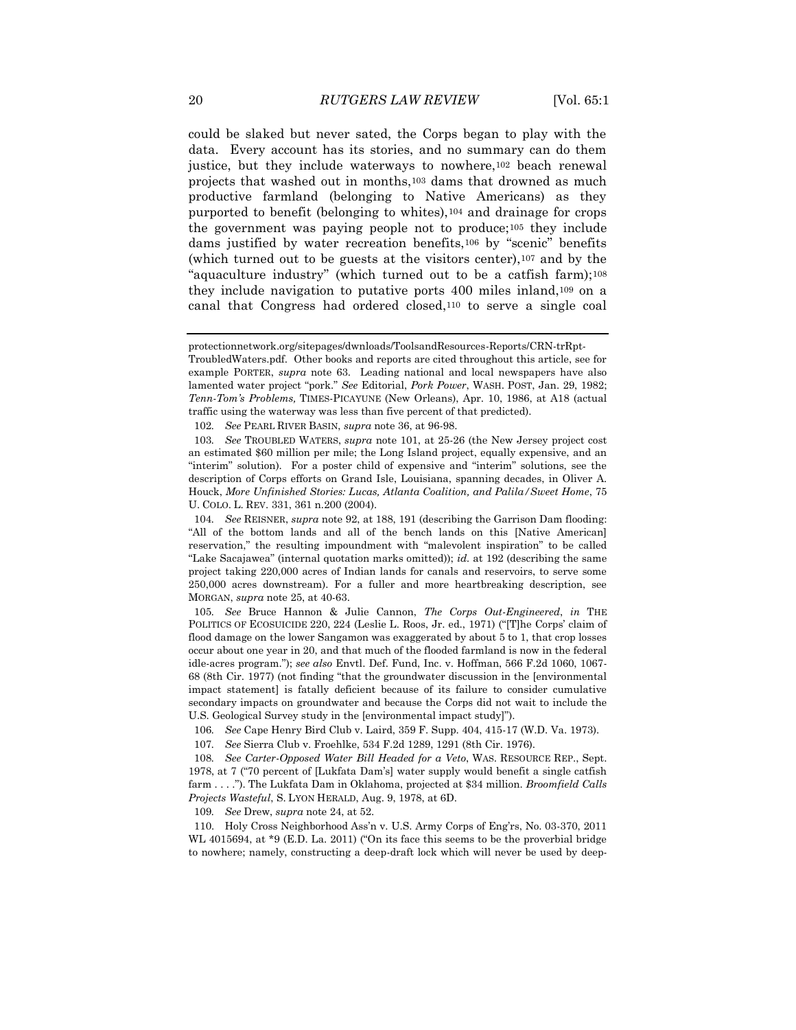<span id="page-19-0"></span>could be slaked but never sated, the Corps began to play with the data. Every account has its stories, and no summary can do them justice, but they include waterways to nowhere,<sup>102</sup> beach renewal projects that washed out in months,<sup>103</sup> dams that drowned as much productive farmland (belonging to Native Americans) as they purported to benefit (belonging to whites),<sup>104</sup> and drainage for crops the government was paying people not to produce;<sup>105</sup> they include dams justified by water recreation benefits,<sup>106</sup> by "scenic" benefits (which turned out to be guests at the visitors center),<sup>107</sup> and by the "aquaculture industry" (which turned out to be a catfish farm);<sup>108</sup> they include navigation to putative ports 400 miles inland,<sup>109</sup> on a canal that Congress had ordered closed,<sup>110</sup> to serve a single coal

109*. See* Drew, *supra* not[e 24,](#page-5-0) at 52.

protectionnetwork.org/sitepages/dwnloads/ToolsandResources-Reports/CRN-trRpt-

TroubledWaters.pdf. Other books and reports are cited throughout this article, see for example PORTER, *supra* note 63. Leading national and local newspapers have also lamented water project "pork." *See* Editorial, *Pork Power*, WASH. POST, Jan. 29, 1982; *Tenn-Tom's Problems,* TIMES-PICAYUNE (New Orleans), Apr. 10, 1986, at A18 (actual traffic using the waterway was less than five percent of that predicted).

<sup>102</sup>*. See* PEARL RIVER BASIN, *supra* note 36, at 96-98.

<sup>103</sup>*. See* TROUBLED WATERS, *supra* note 101, at 25-26 (the New Jersey project cost an estimated \$60 million per mile; the Long Island project, equally expensive, and an "interim" solution). For a poster child of expensive and "interim" solutions, see the description of Corps efforts on Grand Isle, Louisiana, spanning decades, in Oliver A. Houck, *More Unfinished Stories: Lucas, Atlanta Coalition, and Palila/Sweet Home*, 75 U. COLO. L. REV. 331, 361 n.200 (2004).

<sup>104</sup>*. See* REISNER, *supra* note 92, at 188, 191 (describing the Garrison Dam flooding: "All of the bottom lands and all of the bench lands on this [Native American] reservation," the resulting impoundment with "malevolent inspiration" to be called "Lake Sacajawea" (internal quotation marks omitted)); *id.* at 192 (describing the same project taking 220,000 acres of Indian lands for canals and reservoirs, to serve some 250,000 acres downstream). For a fuller and more heartbreaking description, see MORGAN, *supra* not[e 25,](#page-5-1) at 40-63.

<sup>105</sup>*. See* Bruce Hannon & Julie Cannon, *The Corps Out-Engineered*, *in* THE POLITICS OF ECOSUICIDE 220, 224 (Leslie L. Roos, Jr. ed., 1971) ("[T]he Corps' claim of flood damage on the lower Sangamon was exaggerated by about 5 to 1, that crop losses occur about one year in 20, and that much of the flooded farmland is now in the federal idle-acres program."); *see also* Envtl. Def. Fund, Inc. v. Hoffman, 566 F.2d 1060, 1067- 68 (8th Cir. 1977) (not finding "that the groundwater discussion in the [environmental impact statement] is fatally deficient because of its failure to consider cumulative secondary impacts on groundwater and because the Corps did not wait to include the U.S. Geological Survey study in the [environmental impact study]").

<sup>106</sup>*. See* Cape Henry Bird Club v. Laird, 359 F. Supp. 404, 415-17 (W.D. Va. 1973).

<sup>107</sup>*. See* Sierra Club v. Froehlke, 534 F.2d 1289, 1291 (8th Cir. 1976).

<sup>108</sup>*. See Carter-Opposed Water Bill Headed for a Veto*, WAS. RESOURCE REP., Sept. 1978, at 7 ("70 percent of [Lukfata Dam's] water supply would benefit a single catfish farm . . . ."). The Lukfata Dam in Oklahoma, projected at \$34 million. *Broomfield Calls Projects Wasteful*, S. LYON HERALD, Aug. 9, 1978, at 6D.

<sup>110.</sup> Holy Cross Neighborhood Ass'n v. U.S. Army Corps of Eng'rs, No. 03-370, 2011 WL 4015694, at \*9 (E.D. La. 2011) ("On its face this seems to be the proverbial bridge to nowhere; namely, constructing a deep-draft lock which will never be used by deep-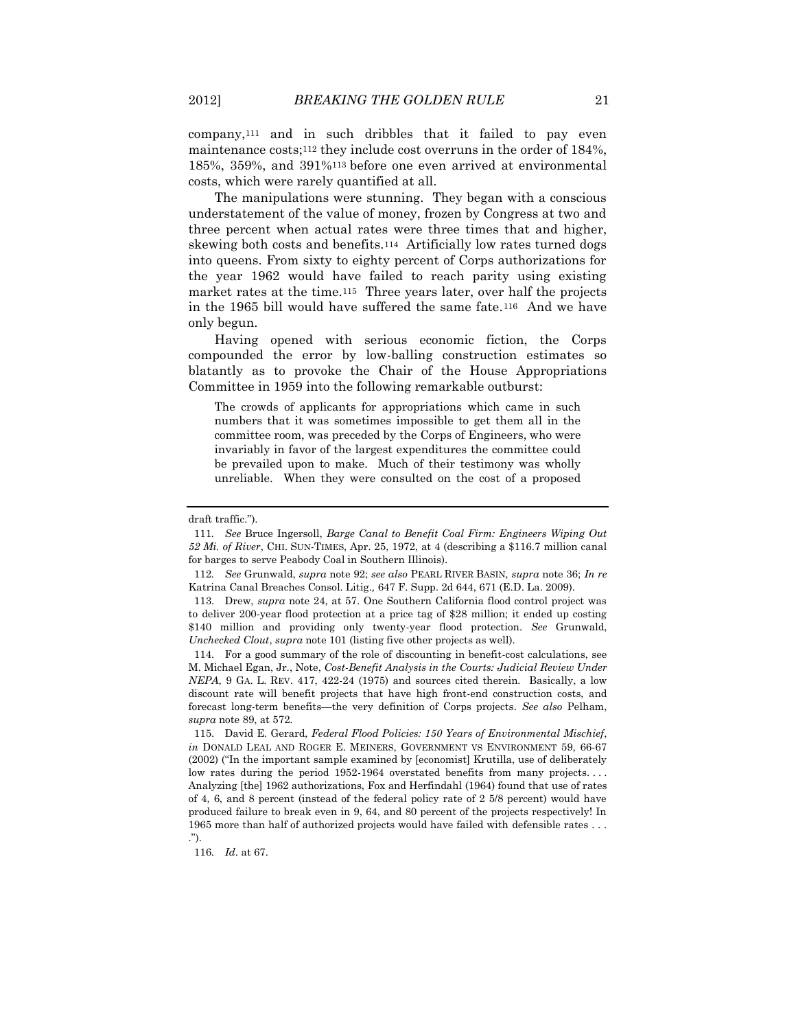company,<sup>111</sup> and in such dribbles that it failed to pay even maintenance costs;<sup>112</sup> they include cost overruns in the order of 184%, 185%, 359%, and 391%<sup>113</sup> before one even arrived at environmental costs, which were rarely quantified at all.

The manipulations were stunning. They began with a conscious understatement of the value of money, frozen by Congress at two and three percent when actual rates were three times that and higher, skewing both costs and benefits.114 Artificially low rates turned dogs into queens. From sixty to eighty percent of Corps authorizations for the year 1962 would have failed to reach parity using existing market rates at the time.115 Three years later, over half the projects in the 1965 bill would have suffered the same fate.116 And we have only begun.

Having opened with serious economic fiction, the Corps compounded the error by low-balling construction estimates so blatantly as to provoke the Chair of the House Appropriations Committee in 1959 into the following remarkable outburst:

The crowds of applicants for appropriations which came in such numbers that it was sometimes impossible to get them all in the committee room, was preceded by the Corps of Engineers, who were invariably in favor of the largest expenditures the committee could be prevailed upon to make. Much of their testimony was wholly unreliable. When they were consulted on the cost of a proposed

114. For a good summary of the role of discounting in benefit-cost calculations, see M. Michael Egan, Jr., Note, *Cost-Benefit Analysis in the Courts: Judicial Review Under NEPA*, 9 GA. L. REV. 417, 422-24 (1975) and sources cited therein. Basically, a low discount rate will benefit projects that have high front-end construction costs, and forecast long-term benefits—the very definition of Corps projects. *See also* Pelham, *supra* note 89, at 572.

115. David E. Gerard, *Federal Flood Policies: 150 Years of Environmental Mischief*, *in* DONALD LEAL AND ROGER E. MEINERS, GOVERNMENT VS ENVIRONMENT 59, 66-67 (2002) ("In the important sample examined by [economist] Krutilla, use of deliberately low rates during the period 1952-1964 overstated benefits from many projects.... Analyzing [the] 1962 authorizations, Fox and Herfindahl (1964) found that use of rates of 4, 6, and 8 percent (instead of the federal policy rate of 2 5/8 percent) would have produced failure to break even in 9, 64, and 80 percent of the projects respectively! In 1965 more than half of authorized projects would have failed with defensible rates . . . .").

116*. Id*. at 67.

draft traffic.").

<sup>111</sup>*. See* Bruce Ingersoll, *Barge Canal to Benefit Coal Firm: Engineers Wiping Out 52 Mi. of River*, CHI. SUN-TIMES, Apr. 25, 1972, at 4 (describing a \$116.7 million canal for barges to serve Peabody Coal in Southern Illinois).

<sup>112</sup>*. See* Grunwald, *supra* note 92; *see also* PEARL RIVER BASIN, *supra* note 36; *In re* Katrina Canal Breaches Consol. Litig.*,* 647 F. Supp. 2d 644, 671 (E.D. La. 2009).

<sup>113.</sup> Drew, *supra* note [24,](#page-5-0) at 57. One Southern California flood control project was to deliver 200-year flood protection at a price tag of \$28 million; it ended up costing \$140 million and providing only twenty-year flood protection. *See* Grunwald, *Unchecked Clout*, *supra* note 101 (listing five other projects as well).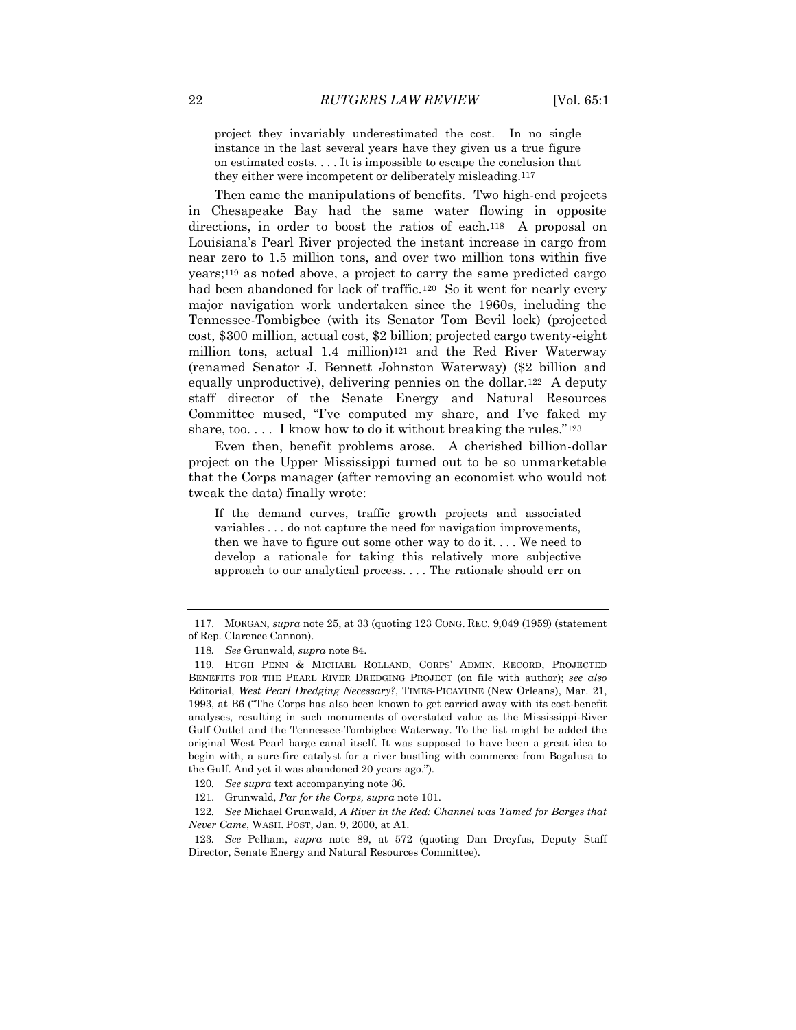project they invariably underestimated the cost. In no single instance in the last several years have they given us a true figure on estimated costs. . . . It is impossible to escape the conclusion that they either were incompetent or deliberately misleading.117

Then came the manipulations of benefits. Two high-end projects in Chesapeake Bay had the same water flowing in opposite directions, in order to boost the ratios of each.<sup>118</sup> A proposal on Louisiana's Pearl River projected the instant increase in cargo from near zero to 1.5 million tons, and over two million tons within five years;<sup>119</sup> as noted above, a project to carry the same predicted cargo had been abandoned for lack of traffic.<sup>120</sup> So it went for nearly every major navigation work undertaken since the 1960s, including the Tennessee-Tombigbee (with its Senator Tom Bevil lock) (projected cost, \$300 million, actual cost, \$2 billion; projected cargo twenty-eight million tons, actual 1.4 million)<sup>121</sup> and the Red River Waterway (renamed Senator J. Bennett Johnston Waterway) (\$2 billion and equally unproductive), delivering pennies on the dollar.122 A deputy staff director of the Senate Energy and Natural Resources Committee mused, "I've computed my share, and I've faked my share, too.... I know how to do it without breaking the rules." $123$ 

Even then, benefit problems arose. A cherished billion-dollar project on the Upper Mississippi turned out to be so unmarketable that the Corps manager (after removing an economist who would not tweak the data) finally wrote:

If the demand curves, traffic growth projects and associated variables . . . do not capture the need for navigation improvements, then we have to figure out some other way to do it. . . . We need to develop a rationale for taking this relatively more subjective approach to our analytical process. . . . The rationale should err on

<sup>117.</sup> MORGAN, *supra* not[e 25,](#page-5-1) at 33 (quoting 123 CONG. REC. 9,049 (1959) (statement of Rep. Clarence Cannon).

<sup>118</sup>*. See* Grunwald, *supra* note 84.

<sup>119.</sup> HUGH PENN & MICHAEL ROLLAND, CORPS' ADMIN. RECORD, PROJECTED BENEFITS FOR THE PEARL RIVER DREDGING PROJECT (on file with author); *see also* Editorial, *West Pearl Dredging Necessary?*, TIMES-PICAYUNE (New Orleans), Mar. 21, 1993, at B6 ("The Corps has also been known to get carried away with its cost-benefit analyses, resulting in such monuments of overstated value as the Mississippi-River Gulf Outlet and the Tennessee-Tombigbee Waterway. To the list might be added the original West Pearl barge canal itself. It was supposed to have been a great idea to begin with, a sure-fire catalyst for a river bustling with commerce from Bogalusa to the Gulf. And yet it was abandoned 20 years ago.").

<sup>120</sup>*. See supra* text accompanying note 36.

<sup>121.</sup> Grunwald, *Par for the Corps, supra* note 101.

<sup>122</sup>*. See* Michael Grunwald, *A River in the Red: Channel was Tamed for Barges that Never Came*, WASH. POST, Jan. 9, 2000, at A1.

<sup>123</sup>*. See* Pelham, *supra* note 89, at 572 (quoting Dan Dreyfus, Deputy Staff Director, Senate Energy and Natural Resources Committee).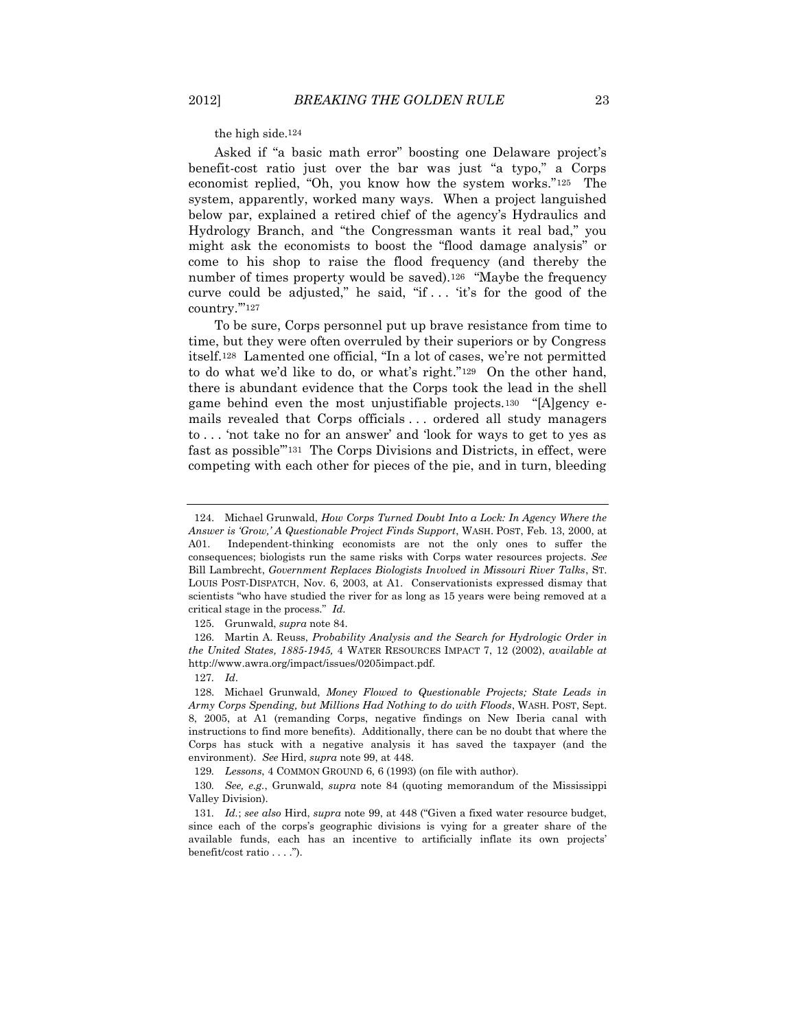the high side.124

Asked if "a basic math error" boosting one Delaware project's benefit-cost ratio just over the bar was just "a typo," a Corps economist replied, "Oh, you know how the system works."125 The system, apparently, worked many ways. When a project languished below par, explained a retired chief of the agency's Hydraulics and Hydrology Branch, and "the Congressman wants it real bad," you might ask the economists to boost the "flood damage analysis" or come to his shop to raise the flood frequency (and thereby the number of times property would be saved).<sup>126</sup> "Maybe the frequency curve could be adjusted," he said, "if . . . 'it's for the good of the country.'"<sup>127</sup>

To be sure, Corps personnel put up brave resistance from time to time, but they were often overruled by their superiors or by Congress itself.<sup>128</sup> Lamented one official, "In a lot of cases, we're not permitted to do what we'd like to do, or what's right."129 On the other hand, there is abundant evidence that the Corps took the lead in the shell game behind even the most unjustifiable projects.130 "[A]gency emails revealed that Corps officials . . . ordered all study managers to . . . 'not take no for an answer' and 'look for ways to get to yes as fast as possible'"131 The Corps Divisions and Districts, in effect, were competing with each other for pieces of the pie, and in turn, bleeding

<sup>124.</sup> Michael Grunwald, *How Corps Turned Doubt Into a Lock: In Agency Where the Answer is 'Grow,' A Questionable Project Finds Support*, WASH. POST, Feb. 13, 2000, at A01. Independent-thinking economists are not the only ones to suffer the consequences; biologists run the same risks with Corps water resources projects. *See* Bill Lambrecht, *Government Replaces Biologists Involved in Missouri River Talks*, ST. LOUIS POST-DISPATCH, Nov. 6, 2003, at A1. Conservationists expressed dismay that scientists "who have studied the river for as long as 15 years were being removed at a critical stage in the process." *Id*.

<sup>125.</sup> Grunwald, *supra* note 84.

<sup>126.</sup> Martin A. Reuss, *Probability Analysis and the Search for Hydrologic Order in the United States, 1885-1945,* 4 WATER RESOURCES IMPACT 7, 12 (2002), *available at* http://www.awra.org/impact/issues/0205impact.pdf.

<sup>127</sup>*. Id*.

<sup>128.</sup> Michael Grunwald, *Money Flowed to Questionable Projects; State Leads in Army Corps Spending, but Millions Had Nothing to do with Floods*, WASH. POST, Sept. 8, 2005, at A1 (remanding Corps, negative findings on New Iberia canal with instructions to find more benefits). Additionally, there can be no doubt that where the Corps has stuck with a negative analysis it has saved the taxpayer (and the environment). *See* Hird, *supra* note 99, at 448.

<sup>129</sup>*. Lessons*, 4 COMMON GROUND 6, 6 (1993) (on file with author).

<sup>130</sup>*. See, e.g.*, Grunwald, *supra* note [84](#page-15-0) (quoting memorandum of the Mississippi Valley Division).

<sup>131</sup>*. Id.*; *see also* Hird, *supra* note 99, at 448 ("Given a fixed water resource budget, since each of the corps's geographic divisions is vying for a greater share of the available funds, each has an incentive to artificially inflate its own projects' benefit/cost ratio . . . .").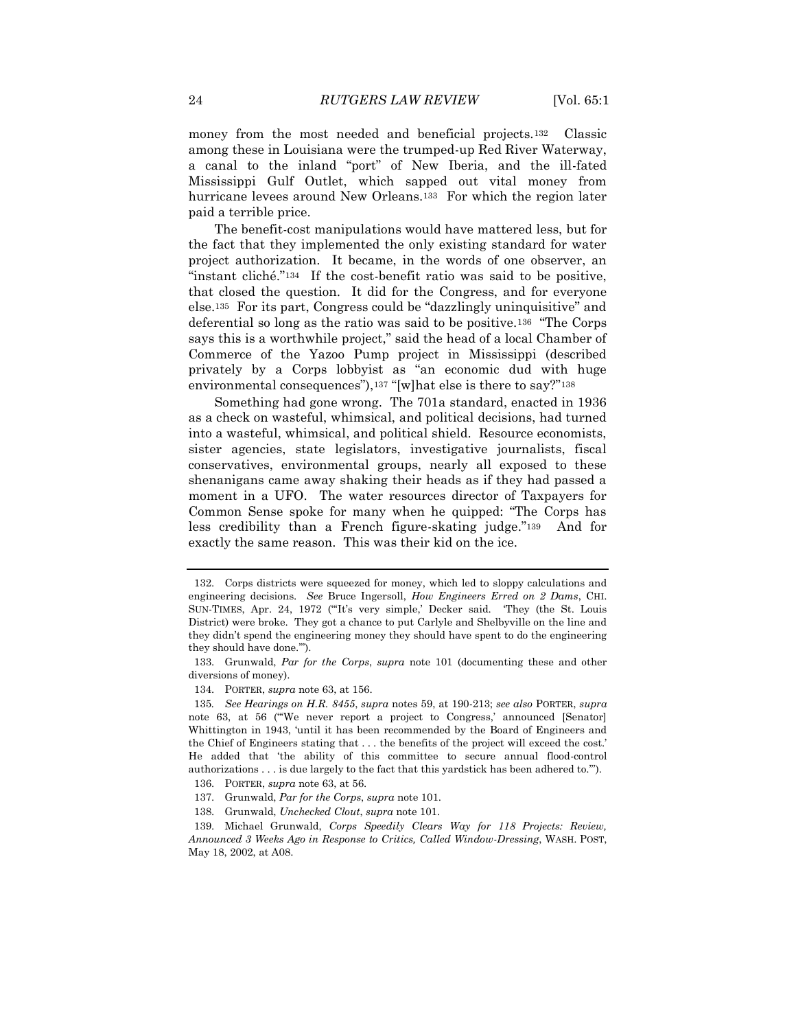money from the most needed and beneficial projects.132 Classic among these in Louisiana were the trumped-up Red River Waterway, a canal to the inland "port" of New Iberia, and the ill-fated Mississippi Gulf Outlet, which sapped out vital money from hurricane levees around New Orleans.133 For which the region later paid a terrible price.

The benefit-cost manipulations would have mattered less, but for the fact that they implemented the only existing standard for water project authorization. It became, in the words of one observer, an "instant cliché."134 If the cost-benefit ratio was said to be positive, that closed the question. It did for the Congress, and for everyone else.<sup>135</sup> For its part, Congress could be "dazzlingly uninquisitive" and deferential so long as the ratio was said to be positive.<sup>136</sup> "The Corps says this is a worthwhile project," said the head of a local Chamber of Commerce of the Yazoo Pump project in Mississippi (described privately by a Corps lobbyist as "an economic dud with huge environmental consequences"),<sup>137</sup> "[w]hat else is there to say?"<sup>138</sup>

Something had gone wrong. The 701a standard, enacted in 1936 as a check on wasteful, whimsical, and political decisions, had turned into a wasteful, whimsical, and political shield. Resource economists, sister agencies, state legislators, investigative journalists, fiscal conservatives, environmental groups, nearly all exposed to these shenanigans came away shaking their heads as if they had passed a moment in a UFO. The water resources director of Taxpayers for Common Sense spoke for many when he quipped: "The Corps has less credibility than a French figure-skating judge."139 And for exactly the same reason. This was their kid on the ice.

138. Grunwald, *Unchecked Clout*, *supra* note 101.

<sup>132.</sup> Corps districts were squeezed for money, which led to sloppy calculations and engineering decisions. *See* Bruce Ingersoll, *How Engineers Erred on 2 Dams*, CHI. SUN-TIMES, Apr. 24, 1972 ("'It's very simple,' Decker said. 'They (the St. Louis District) were broke. They got a chance to put Carlyle and Shelbyville on the line and they didn't spend the engineering money they should have spent to do the engineering they should have done.'").

<sup>133.</sup> Grunwald, *Par for the Corps*, *supra* note 101 (documenting these and other diversions of money).

<sup>134.</sup> PORTER, *supra* note 63, at 156.

<sup>135</sup>*. See Hearings on H.R. 8455*, *supra* notes 59, at 190-213; *see also* PORTER, *supra*  note 63, at 56 ("'We never report a project to Congress,' announced [Senator] Whittington in 1943, 'until it has been recommended by the Board of Engineers and the Chief of Engineers stating that . . . the benefits of the project will exceed the cost.' He added that 'the ability of this committee to secure annual flood-control authorizations . . . is due largely to the fact that this yardstick has been adhered to.'").

<sup>136.</sup> PORTER, *supra* note 63, at 56.

<sup>137.</sup> Grunwald, *Par for the Corps*, *supra* note 101.

<sup>139.</sup> Michael Grunwald, *Corps Speedily Clears Way for 118 Projects: Review, Announced 3 Weeks Ago in Response to Critics, Called Window-Dressing*, WASH. POST, May 18, 2002, at A08.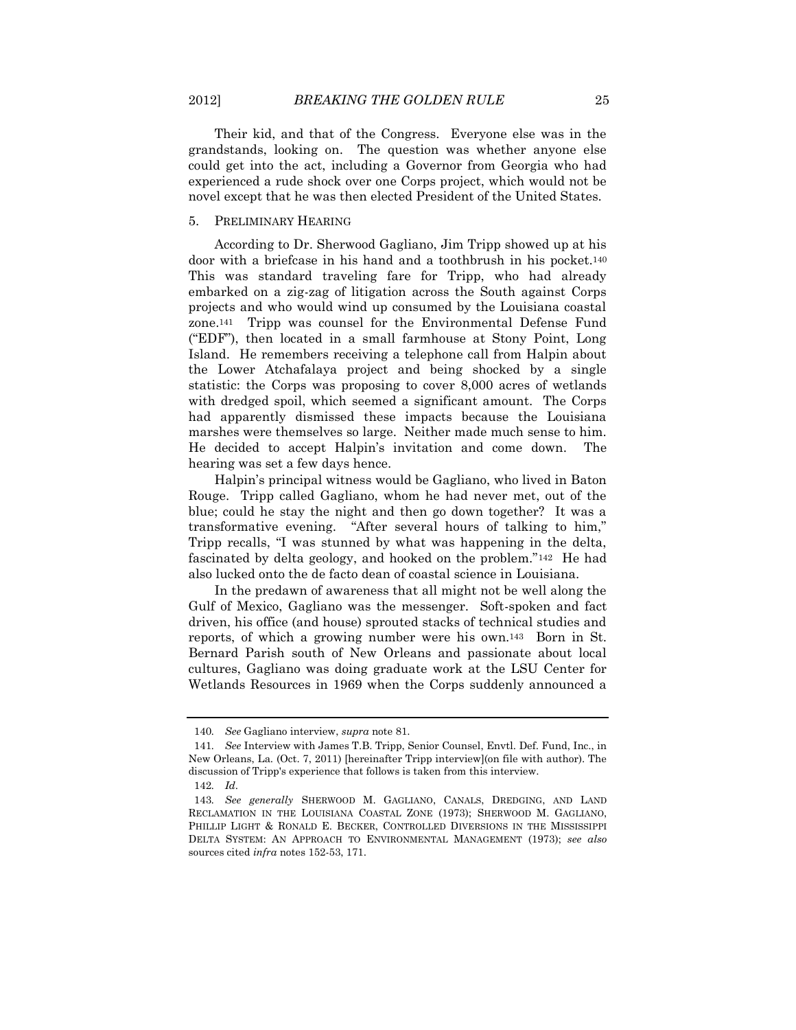Their kid, and that of the Congress. Everyone else was in the grandstands, looking on. The question was whether anyone else could get into the act, including a Governor from Georgia who had experienced a rude shock over one Corps project, which would not be novel except that he was then elected President of the United States.

#### 5. PRELIMINARY HEARING

According to Dr. Sherwood Gagliano, Jim Tripp showed up at his door with a briefcase in his hand and a toothbrush in his pocket.<sup>140</sup> This was standard traveling fare for Tripp, who had already embarked on a zig-zag of litigation across the South against Corps projects and who would wind up consumed by the Louisiana coastal zone.141 Tripp was counsel for the Environmental Defense Fund ("EDF"), then located in a small farmhouse at Stony Point, Long Island. He remembers receiving a telephone call from Halpin about the Lower Atchafalaya project and being shocked by a single statistic: the Corps was proposing to cover 8,000 acres of wetlands with dredged spoil, which seemed a significant amount. The Corps had apparently dismissed these impacts because the Louisiana marshes were themselves so large. Neither made much sense to him. He decided to accept Halpin's invitation and come down. The hearing was set a few days hence.

Halpin's principal witness would be Gagliano, who lived in Baton Rouge. Tripp called Gagliano, whom he had never met, out of the blue; could he stay the night and then go down together? It was a transformative evening. "After several hours of talking to him," Tripp recalls, "I was stunned by what was happening in the delta, fascinated by delta geology, and hooked on the problem."142 He had also lucked onto the de facto dean of coastal science in Louisiana.

In the predawn of awareness that all might not be well along the Gulf of Mexico, Gagliano was the messenger. Soft-spoken and fact driven, his office (and house) sprouted stacks of technical studies and reports, of which a growing number were his own.143 Born in St. Bernard Parish south of New Orleans and passionate about local cultures, Gagliano was doing graduate work at the LSU Center for Wetlands Resources in 1969 when the Corps suddenly announced a

<sup>140</sup>*. See* Gagliano interview, *supra* note 81.

<sup>141</sup>*. See* Interview with James T.B. Tripp, Senior Counsel, Envtl. Def. Fund, Inc., in New Orleans, La. (Oct. 7, 2011) [hereinafter Tripp interview](on file with author). The discussion of Tripp's experience that follows is taken from this interview.

<sup>142</sup>*. Id*.

<sup>143</sup>*. See generally* SHERWOOD M. GAGLIANO, CANALS, DREDGING, AND LAND RECLAMATION IN THE LOUISIANA COASTAL ZONE (1973); SHERWOOD M. GAGLIANO, PHILLIP LIGHT & RONALD E. BECKER, CONTROLLED DIVERSIONS IN THE MISSISSIPPI DELTA SYSTEM: AN APPROACH TO ENVIRONMENTAL MANAGEMENT (1973); *see also*  sources cited *infra* notes 152-53, 171.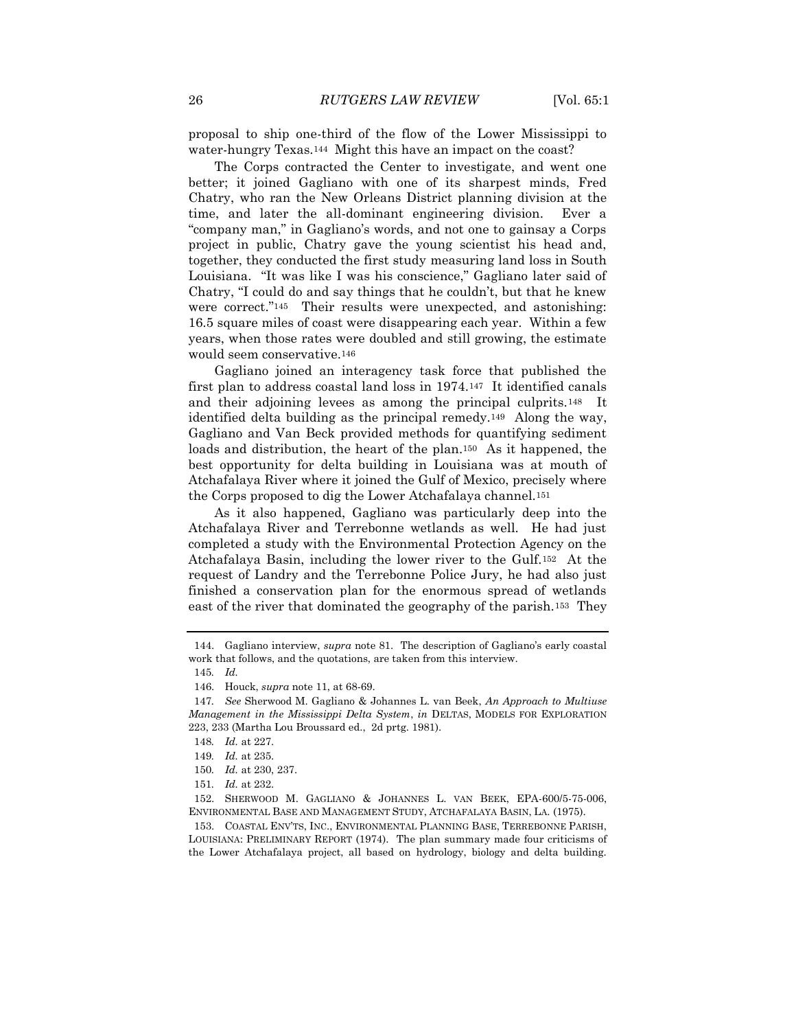proposal to ship one-third of the flow of the Lower Mississippi to water-hungry Texas.144 Might this have an impact on the coast?

The Corps contracted the Center to investigate, and went one better; it joined Gagliano with one of its sharpest minds, Fred Chatry, who ran the New Orleans District planning division at the time, and later the all-dominant engineering division. Ever a "company man," in Gagliano's words, and not one to gainsay a Corps project in public, Chatry gave the young scientist his head and, together, they conducted the first study measuring land loss in South Louisiana. "It was like I was his conscience," Gagliano later said of Chatry, "I could do and say things that he couldn't, but that he knew were correct."145 Their results were unexpected, and astonishing: 16.5 square miles of coast were disappearing each year. Within a few years, when those rates were doubled and still growing, the estimate would seem conservative.<sup>146</sup>

Gagliano joined an interagency task force that published the first plan to address coastal land loss in 1974.147 It identified canals and their adjoining levees as among the principal culprits.148 It identified delta building as the principal remedy.149 Along the way, Gagliano and Van Beck provided methods for quantifying sediment loads and distribution, the heart of the plan.150 As it happened, the best opportunity for delta building in Louisiana was at mouth of Atchafalaya River where it joined the Gulf of Mexico, precisely where the Corps proposed to dig the Lower Atchafalaya channel.<sup>151</sup>

As it also happened, Gagliano was particularly deep into the Atchafalaya River and Terrebonne wetlands as well. He had just completed a study with the Environmental Protection Agency on the Atchafalaya Basin, including the lower river to the Gulf.152 At the request of Landry and the Terrebonne Police Jury, he had also just finished a conservation plan for the enormous spread of wetlands east of the river that dominated the geography of the parish.153 They

153. COASTAL ENV'TS, INC., ENVIRONMENTAL PLANNING BASE, TERREBONNE PARISH, LOUISIANA: PRELIMINARY REPORT (1974). The plan summary made four criticisms of the Lower Atchafalaya project, all based on hydrology, biology and delta building.

<sup>144.</sup> Gagliano interview, *supra* note 81. The description of Gagliano's early coastal work that follows, and the quotations, are taken from this interview.

<sup>145</sup>*. Id.*

<sup>146.</sup> Houck, *supra* note 11, at 68-69.

<sup>147</sup>*. See* Sherwood M. Gagliano & Johannes L. van Beek, *An Approach to Multiuse Management in the Mississippi Delta System*, *in* DELTAS, MODELS FOR EXPLORATION 223, 233 (Martha Lou Broussard ed., 2d prtg. 1981).

<sup>148</sup>*. Id.* at 227.

<sup>149</sup>*. Id.* at 235.

<sup>150</sup>*. Id.* at 230, 237.

<sup>151</sup>*. Id.* at 232.

<sup>152.</sup> SHERWOOD M. GAGLIANO & JOHANNES L. VAN BEEK, EPA-600/5-75-006, ENVIRONMENTAL BASE AND MANAGEMENT STUDY, ATCHAFALAYA BASIN, LA. (1975).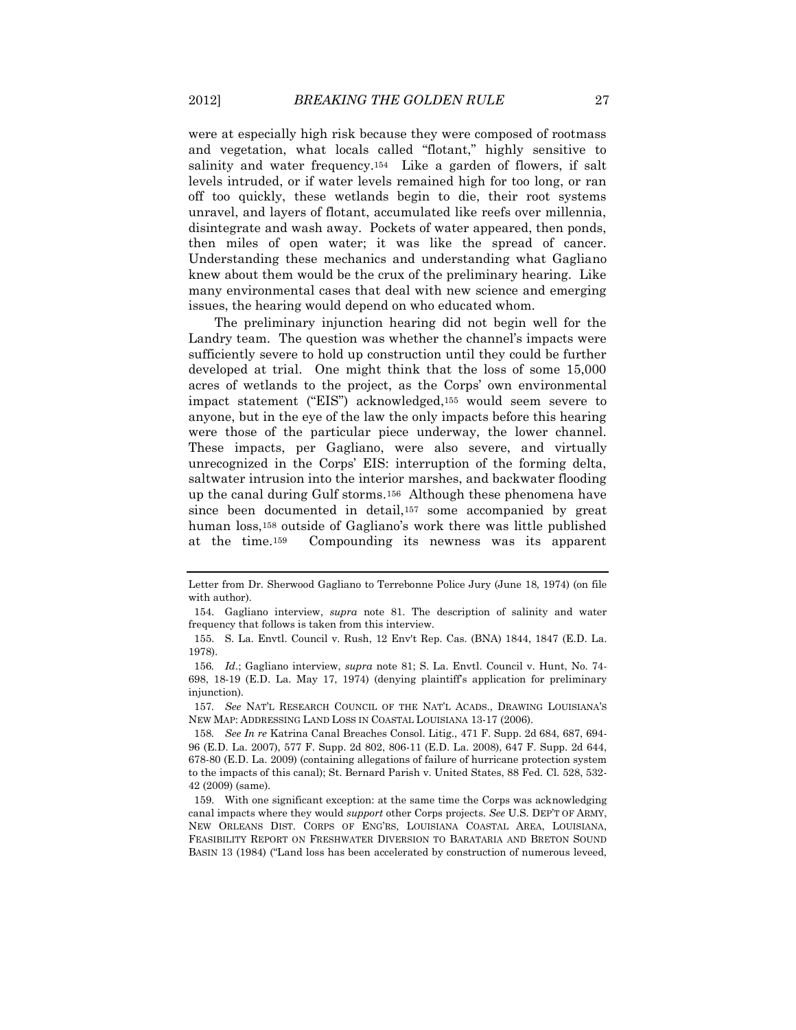were at especially high risk because they were composed of rootmass and vegetation, what locals called "flotant," highly sensitive to salinity and water frequency.154 Like a garden of flowers, if salt levels intruded, or if water levels remained high for too long, or ran off too quickly, these wetlands begin to die, their root systems unravel, and layers of flotant, accumulated like reefs over millennia, disintegrate and wash away. Pockets of water appeared, then ponds, then miles of open water; it was like the spread of cancer. Understanding these mechanics and understanding what Gagliano knew about them would be the crux of the preliminary hearing. Like many environmental cases that deal with new science and emerging issues, the hearing would depend on who educated whom.

The preliminary injunction hearing did not begin well for the Landry team. The question was whether the channel's impacts were sufficiently severe to hold up construction until they could be further developed at trial. One might think that the loss of some 15,000 acres of wetlands to the project, as the Corps' own environmental impact statement ("EIS") acknowledged,<sup>155</sup> would seem severe to anyone, but in the eye of the law the only impacts before this hearing were those of the particular piece underway, the lower channel. These impacts, per Gagliano, were also severe, and virtually unrecognized in the Corps' EIS: interruption of the forming delta, saltwater intrusion into the interior marshes, and backwater flooding up the canal during Gulf storms.156 Although these phenomena have since been documented in detail,<sup>157</sup> some accompanied by great human loss,<sup>158</sup> outside of Gagliano's work there was little published at the time.159 Compounding its newness was its apparent

Letter from Dr. Sherwood Gagliano to Terrebonne Police Jury (June 18, 1974) (on file with author).

<sup>154.</sup> Gagliano interview, *supra* note 81. The description of salinity and water frequency that follows is taken from this interview.

<sup>155.</sup> S. La. Envtl. Council v. Rush, 12 Env't Rep. Cas. (BNA) 1844, 1847 (E.D. La. 1978).

<sup>156</sup>*. Id*.; Gagliano interview, *supra* note 81; S. La. Envtl. Council v. Hunt, No. 74- 698, 18-19 (E.D. La. May 17, 1974) (denying plaintiff's application for preliminary injunction).

<sup>157</sup>*. See* NAT'L RESEARCH COUNCIL OF THE NAT'L ACADS., DRAWING LOUISIANA'S NEW MAP: ADDRESSING LAND LOSS IN COASTAL LOUISIANA 13-17 (2006).

<sup>158</sup>*. See In re* Katrina Canal Breaches Consol. Litig., 471 F. Supp. 2d 684, 687, 694- 96 (E.D. La. 2007), 577 F. Supp. 2d 802, 806-11 (E.D. La. 2008), 647 F. Supp. 2d 644, 678-80 (E.D. La. 2009) (containing allegations of failure of hurricane protection system to the impacts of this canal); St. Bernard Parish v. United States, 88 Fed. Cl. 528, 532- 42 (2009) (same).

<sup>159.</sup> With one significant exception: at the same time the Corps was acknowledging canal impacts where they would *support* other Corps projects. *See* U.S. DEP'T OF ARMY, NEW ORLEANS DIST. CORPS OF ENG'RS, LOUISIANA COASTAL AREA, LOUISIANA, FEASIBILITY REPORT ON FRESHWATER DIVERSION TO BARATARIA AND BRETON SOUND BASIN 13 (1984) ("Land loss has been accelerated by construction of numerous leveed,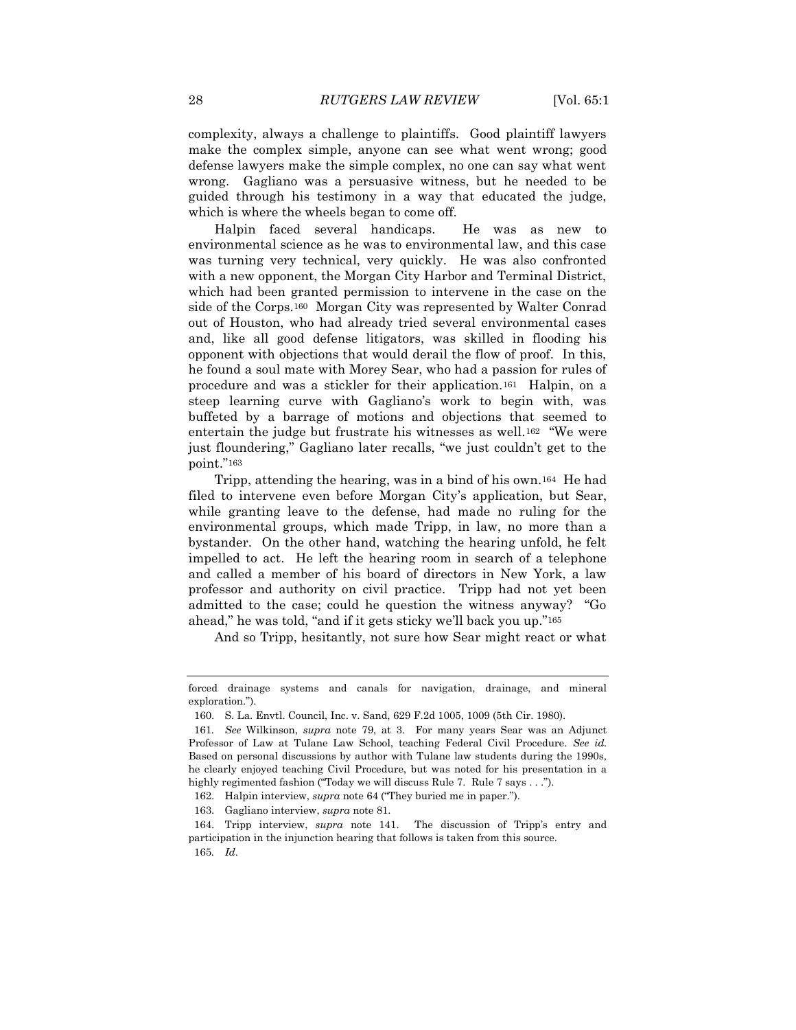complexity, always a challenge to plaintiffs. Good plaintiff lawyers make the complex simple, anyone can see what went wrong; good defense lawyers make the simple complex, no one can say what went wrong. Gagliano was a persuasive witness, but he needed to be guided through his testimony in a way that educated the judge, which is where the wheels began to come off.

Halpin faced several handicaps. He was as new to environmental science as he was to environmental law, and this case was turning very technical, very quickly. He was also confronted with a new opponent, the Morgan City Harbor and Terminal District, which had been granted permission to intervene in the case on the side of the Corps.160 Morgan City was represented by Walter Conrad out of Houston, who had already tried several environmental cases and, like all good defense litigators, was skilled in flooding his opponent with objections that would derail the flow of proof. In this, he found a soul mate with Morey Sear, who had a passion for rules of procedure and was a stickler for their application.161 Halpin, on a steep learning curve with Gagliano's work to begin with, was buffeted by a barrage of motions and objections that seemed to entertain the judge but frustrate his witnesses as well.<sup>162</sup> "We were just floundering," Gagliano later recalls, "we just couldn't get to the point."163

Tripp, attending the hearing, was in a bind of his own.164 He had filed to intervene even before Morgan City's application, but Sear, while granting leave to the defense, had made no ruling for the environmental groups, which made Tripp, in law, no more than a bystander. On the other hand, watching the hearing unfold, he felt impelled to act. He left the hearing room in search of a telephone and called a member of his board of directors in New York, a law professor and authority on civil practice. Tripp had not yet been admitted to the case; could he question the witness anyway? "Go ahead," he was told, "and if it gets sticky we'll back you up."<sup>165</sup>

And so Tripp, hesitantly, not sure how Sear might react or what

163. Gagliano interview, *supra* note 81.

forced drainage systems and canals for navigation, drainage, and mineral exploration.").

<sup>160.</sup> S. La. Envtl. Council, Inc. v. Sand, 629 F.2d 1005, 1009 (5th Cir. 1980).

<sup>161</sup>*. See* Wilkinson, *supra* note 79, at 3. For many years Sear was an Adjunct Professor of Law at Tulane Law School, teaching Federal Civil Procedure. *See id.*  Based on personal discussions by author with Tulane law students during the 1990s, he clearly enjoyed teaching Civil Procedure, but was noted for his presentation in a highly regimented fashion ("Today we will discuss Rule 7. Rule 7 says . . .").

<sup>162.</sup> Halpin interview, *supra* note 64 ("They buried me in paper.").

<sup>164.</sup> Tripp interview, *supra* note 141. The discussion of Tripp's entry and participation in the injunction hearing that follows is taken from this source.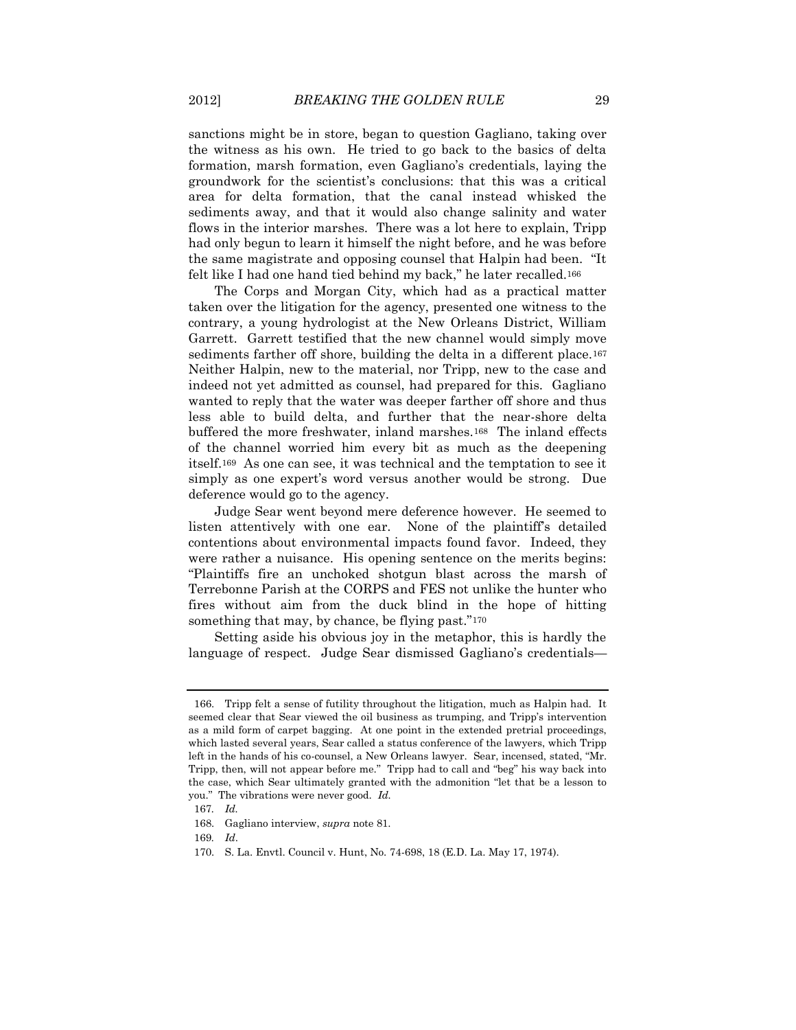sanctions might be in store, began to question Gagliano, taking over the witness as his own. He tried to go back to the basics of delta formation, marsh formation, even Gagliano's credentials, laying the groundwork for the scientist's conclusions: that this was a critical area for delta formation, that the canal instead whisked the sediments away, and that it would also change salinity and water flows in the interior marshes. There was a lot here to explain, Tripp had only begun to learn it himself the night before, and he was before the same magistrate and opposing counsel that Halpin had been. "It felt like I had one hand tied behind my back," he later recalled.<sup>166</sup>

The Corps and Morgan City, which had as a practical matter taken over the litigation for the agency, presented one witness to the contrary, a young hydrologist at the New Orleans District, William Garrett. Garrett testified that the new channel would simply move sediments farther off shore, building the delta in a different place.<sup>167</sup> Neither Halpin, new to the material, nor Tripp, new to the case and indeed not yet admitted as counsel, had prepared for this. Gagliano wanted to reply that the water was deeper farther off shore and thus less able to build delta, and further that the near-shore delta buffered the more freshwater, inland marshes.168 The inland effects of the channel worried him every bit as much as the deepening itself.169 As one can see, it was technical and the temptation to see it simply as one expert's word versus another would be strong. Due deference would go to the agency.

Judge Sear went beyond mere deference however. He seemed to listen attentively with one ear. None of the plaintiff's detailed contentions about environmental impacts found favor. Indeed, they were rather a nuisance. His opening sentence on the merits begins: "Plaintiffs fire an unchoked shotgun blast across the marsh of Terrebonne Parish at the CORPS and FES not unlike the hunter who fires without aim from the duck blind in the hope of hitting something that may, by chance, be flying past."<sup>170</sup>

Setting aside his obvious joy in the metaphor, this is hardly the language of respect. Judge Sear dismissed Gagliano's credentials—

<sup>166.</sup> Tripp felt a sense of futility throughout the litigation, much as Halpin had. It seemed clear that Sear viewed the oil business as trumping, and Tripp's intervention as a mild form of carpet bagging. At one point in the extended pretrial proceedings, which lasted several years, Sear called a status conference of the lawyers, which Tripp left in the hands of his co-counsel, a New Orleans lawyer. Sear, incensed, stated, "Mr. Tripp, then, will not appear before me." Tripp had to call and "beg" his way back into the case, which Sear ultimately granted with the admonition "let that be a lesson to you." The vibrations were never good. *Id.*

<sup>167</sup>*. Id.*

<sup>168.</sup> Gagliano interview, *supra* note 81.

<sup>169</sup>*. Id*.

<sup>170.</sup> S. La. Envtl. Council v. Hunt, No. 74-698, 18 (E.D. La. May 17, 1974).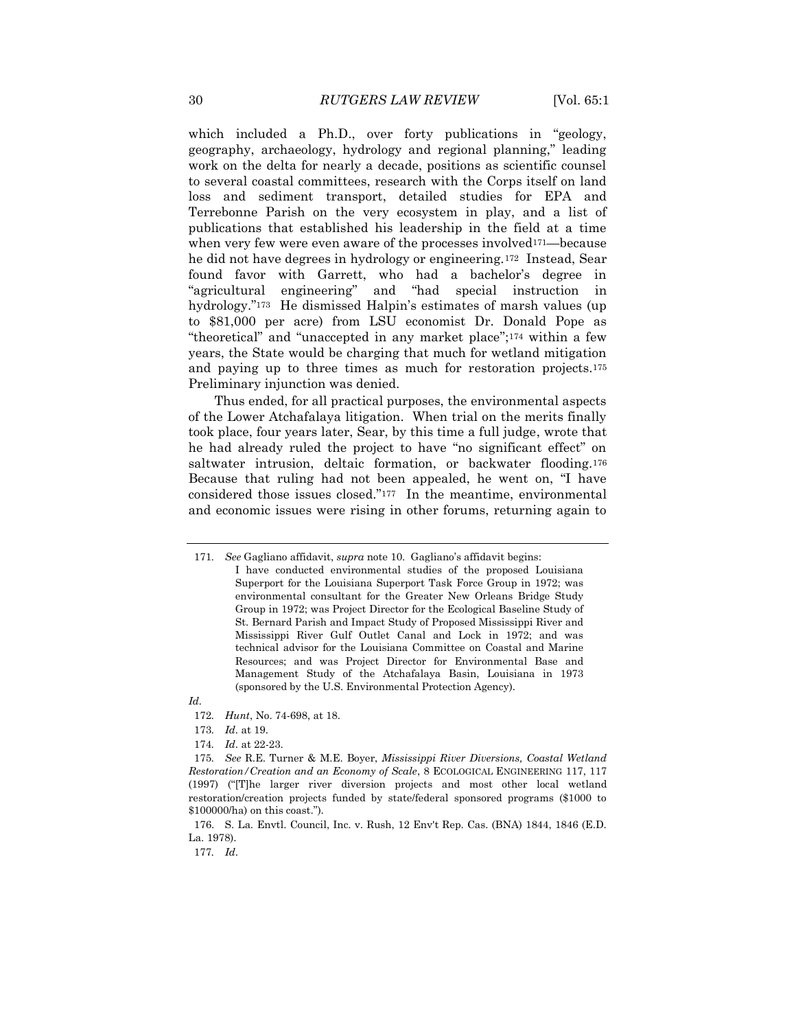which included a Ph.D., over forty publications in "geology, geography, archaeology, hydrology and regional planning," leading work on the delta for nearly a decade, positions as scientific counsel to several coastal committees, research with the Corps itself on land loss and sediment transport, detailed studies for EPA and Terrebonne Parish on the very ecosystem in play, and a list of publications that established his leadership in the field at a time when very few were even aware of the processes involved<sup>171—because</sup> he did not have degrees in hydrology or engineering.172 Instead, Sear found favor with Garrett, who had a bachelor's degree in "agricultural engineering" and "had special instruction in hydrology."<sup>173</sup> He dismissed Halpin's estimates of marsh values (up to \$81,000 per acre) from LSU economist Dr. Donald Pope as "theoretical" and "unaccepted in any market place";<sup>174</sup> within a few years, the State would be charging that much for wetland mitigation and paying up to three times as much for restoration projects.<sup>175</sup> Preliminary injunction was denied.

Thus ended, for all practical purposes, the environmental aspects of the Lower Atchafalaya litigation. When trial on the merits finally took place, four years later, Sear, by this time a full judge, wrote that he had already ruled the project to have "no significant effect" on saltwater intrusion, deltaic formation, or backwater flooding.<sup>176</sup> Because that ruling had not been appealed, he went on, "I have considered those issues closed."177 In the meantime, environmental and economic issues were rising in other forums, returning again to

*Id.*

<sup>171</sup>*. See* Gagliano affidavit, *supra* not[e 10](#page-3-0). Gagliano's affidavit begins:

I have conducted environmental studies of the proposed Louisiana Superport for the Louisiana Superport Task Force Group in 1972; was environmental consultant for the Greater New Orleans Bridge Study Group in 1972; was Project Director for the Ecological Baseline Study of St. Bernard Parish and Impact Study of Proposed Mississippi River and Mississippi River Gulf Outlet Canal and Lock in 1972; and was technical advisor for the Louisiana Committee on Coastal and Marine Resources; and was Project Director for Environmental Base and Management Study of the Atchafalaya Basin, Louisiana in 1973 (sponsored by the U.S. Environmental Protection Agency).

<sup>172</sup>*. Hunt*, No. 74-698, at 18.

<sup>173</sup>*. Id*. at 19.

<sup>174</sup>*. Id*. at 22-23.

<sup>175</sup>*. See* R.E. Turner & M.E. Boyer, *Mississippi River Diversions, Coastal Wetland Restoration/Creation and an Economy of Scale*, 8 ECOLOGICAL ENGINEERING 117, 117 (1997) ("[T]he larger river diversion projects and most other local wetland restoration/creation projects funded by state/federal sponsored programs (\$1000 to \$100000/ha) on this coast.").

<sup>176.</sup> S. La. Envtl. Council, Inc. v. Rush, 12 Env't Rep. Cas. (BNA) 1844, 1846 (E.D. La. 1978).

<sup>177</sup>*. Id*.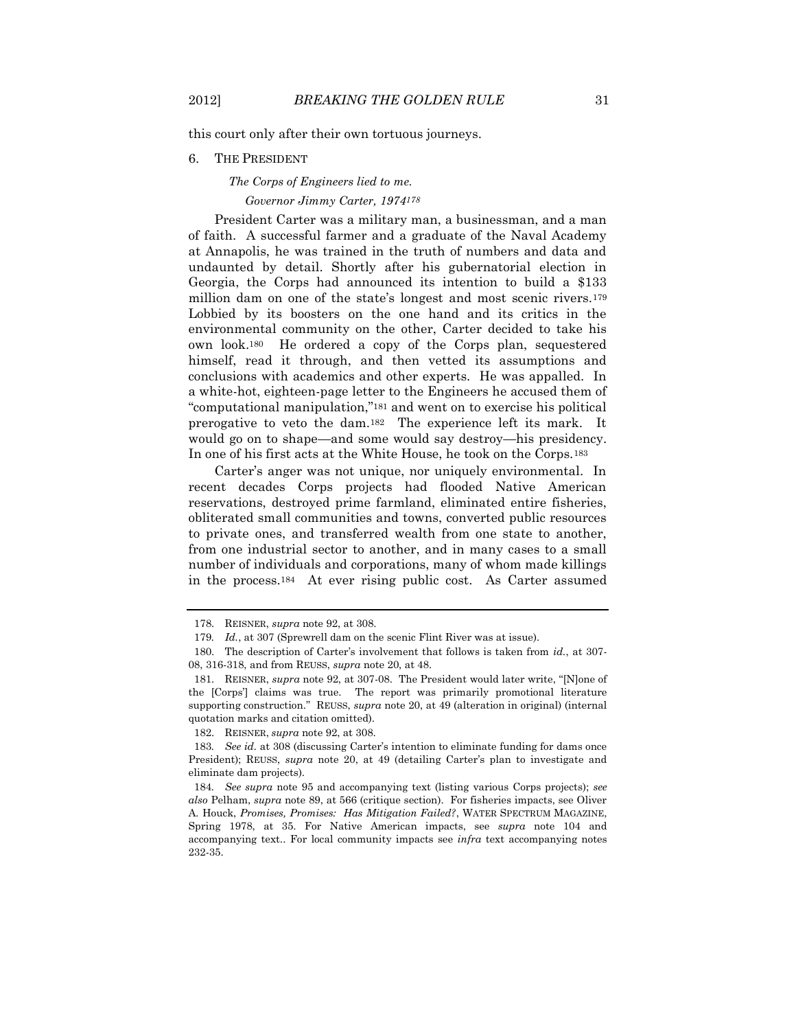this court only after their own tortuous journeys.

### 6. THE PRESIDENT

# *The Corps of Engineers lied to me.*

## *Governor Jimmy Carter, 1974178*

President Carter was a military man, a businessman, and a man of faith. A successful farmer and a graduate of the Naval Academy at Annapolis, he was trained in the truth of numbers and data and undaunted by detail. Shortly after his gubernatorial election in Georgia, the Corps had announced its intention to build a \$133 million dam on one of the state's longest and most scenic rivers.<sup>179</sup> Lobbied by its boosters on the one hand and its critics in the environmental community on the other, Carter decided to take his own look.180 He ordered a copy of the Corps plan, sequestered himself, read it through, and then vetted its assumptions and conclusions with academics and other experts. He was appalled. In a white-hot, eighteen-page letter to the Engineers he accused them of "computational manipulation,"<sup>181</sup> and went on to exercise his political prerogative to veto the dam.182 The experience left its mark. It would go on to shape—and some would say destroy—his presidency. In one of his first acts at the White House, he took on the Corps.<sup>183</sup>

Carter's anger was not unique, nor uniquely environmental. In recent decades Corps projects had flooded Native American reservations, destroyed prime farmland, eliminated entire fisheries, obliterated small communities and towns, converted public resources to private ones, and transferred wealth from one state to another, from one industrial sector to another, and in many cases to a small number of individuals and corporations, many of whom made killings in the process.184 At ever rising public cost. As Carter assumed

<sup>178.</sup> REISNER, *supra* note 92, at 308.

<sup>179</sup>*. Id.*, at 307 (Sprewrell dam on the scenic Flint River was at issue).

<sup>180.</sup> The description of Carter's involvement that follows is taken from *id.*, at 307- 08, 316-318, and from REUSS, *supra* note [20,](#page-4-1) at 48.

<sup>181.</sup> REISNER, *supra* note 92, at 307-08. The President would later write, "[N]one of the [Corps'] claims was true. The report was primarily promotional literature supporting construction." REUSS, *supra* note [20,](#page-4-1) at 49 (alteration in original) (internal quotation marks and citation omitted).

<sup>182.</sup> REISNER, *supra* note 92, at 308.

<sup>183</sup>*. See id.* at 308 (discussing Carter's intention to eliminate funding for dams once President); REUSS, *supra* note 20, at 49 (detailing Carter's plan to investigate and eliminate dam projects).

<sup>184</sup>*. See supra* note 95 and accompanying text (listing various Corps projects); *see also* Pelham, *supra* note 89, at 566 (critique section). For fisheries impacts, see Oliver A. Houck, *Promises, Promises: Has Mitigation Failed?*, WATER SPECTRUM MAGAZINE, Spring 1978, at 35. For Native American impacts, see *supra* note [104](#page-19-0) and accompanying text.. For local community impacts see *infra* text accompanying notes 232-35.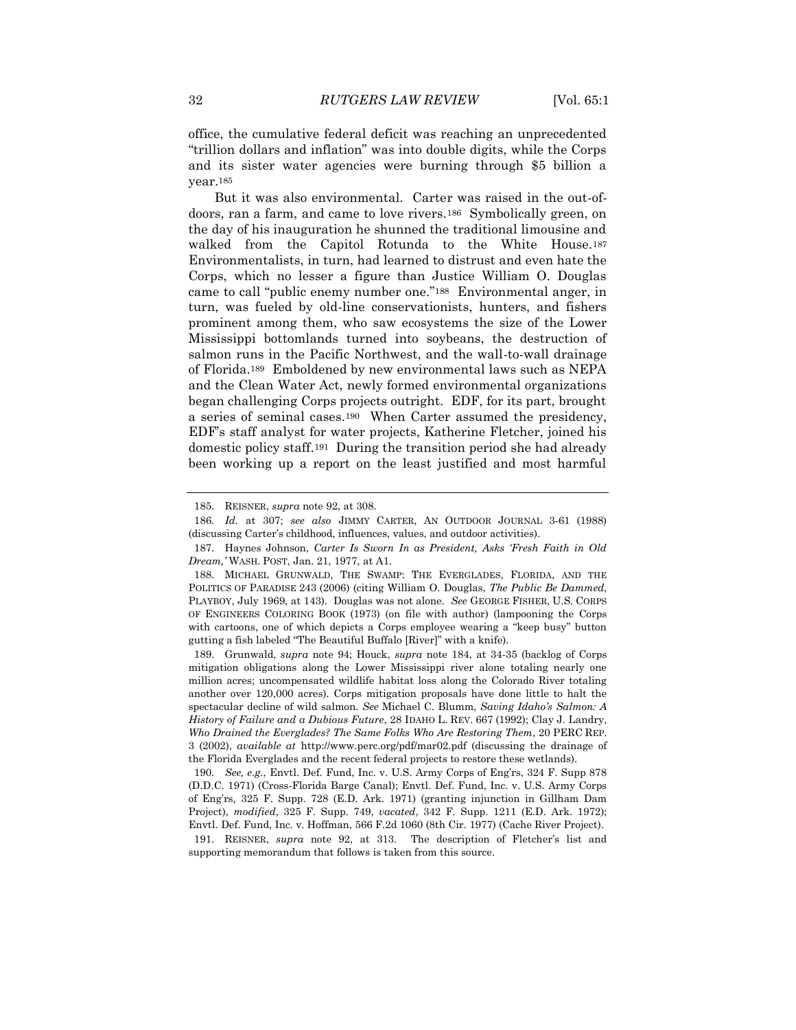office, the cumulative federal deficit was reaching an unprecedented "trillion dollars and inflation" was into double digits, while the Corps and its sister water agencies were burning through \$5 billion a year.<sup>185</sup>

But it was also environmental. Carter was raised in the out-ofdoors, ran a farm, and came to love rivers.186 Symbolically green, on the day of his inauguration he shunned the traditional limousine and walked from the Capitol Rotunda to the White House.<sup>187</sup> Environmentalists, in turn, had learned to distrust and even hate the Corps, which no lesser a figure than Justice William O. Douglas came to call "public enemy number one."188 Environmental anger, in turn, was fueled by old-line conservationists, hunters, and fishers prominent among them, who saw ecosystems the size of the Lower Mississippi bottomlands turned into soybeans, the destruction of salmon runs in the Pacific Northwest, and the wall-to-wall drainage of Florida.189 Emboldened by new environmental laws such as NEPA and the Clean Water Act, newly formed environmental organizations began challenging Corps projects outright. EDF, for its part, brought a series of seminal cases.190 When Carter assumed the presidency, EDF's staff analyst for water projects, Katherine Fletcher, joined his domestic policy staff.191 During the transition period she had already been working up a report on the least justified and most harmful

<sup>185.</sup> REISNER, *supra* note 92, at 308.

<sup>186</sup>*. Id.* at 307; *see also* JIMMY CARTER, AN OUTDOOR JOURNAL 3-61 (1988) (discussing Carter's childhood, influences, values, and outdoor activities).

<sup>187.</sup> Haynes Johnson, *Carter Is Sworn In as President, Asks 'Fresh Faith in Old Dream,'* WASH. POST, Jan. 21, 1977, at A1.

<sup>188.</sup> MICHAEL GRUNWALD, THE SWAMP: THE EVERGLADES, FLORIDA, AND THE POLITICS OF PARADISE 243 (2006) (citing William O. Douglas, *The Public Be Dammed*, PLAYBOY, July 1969, at 143). Douglas was not alone. *See* GEORGE FISHER, U.S. CORPS OF ENGINEERS COLORING BOOK (1973) (on file with author) (lampooning the Corps with cartoons, one of which depicts a Corps employee wearing a "keep busy" button gutting a fish labeled "The Beautiful Buffalo [River]" with a knife).

<sup>189.</sup> Grunwald, *supra* note 94; Houck, *supra* note 184, at 34-35 (backlog of Corps mitigation obligations along the Lower Mississippi river alone totaling nearly one million acres; uncompensated wildlife habitat loss along the Colorado River totaling another over 120,000 acres). Corps mitigation proposals have done little to halt the spectacular decline of wild salmon. *See* Michael C. Blumm, *Saving Idaho's Salmon: A History of Failure and a Dubious Future*, 28 IDAHO L. REV. 667 (1992); Clay J. Landry, *Who Drained the Everglades? The Same Folks Who Are Restoring Them*, 20 PERC REP. 3 (2002), *available at* http://www.perc.org/pdf/mar02.pdf (discussing the drainage of the Florida Everglades and the recent federal projects to restore these wetlands).

<sup>190</sup>*. See, e.g.*, Envtl. Def. Fund, Inc. v. U.S. Army Corps of Eng'rs, 324 F. Supp 878 (D.D.C. 1971) (Cross-Florida Barge Canal); Envtl. Def. Fund, Inc. v. U.S. Army Corps of Eng'rs*,* 325 F. Supp. 728 (E.D. Ark. 1971) (granting injunction in Gillham Dam Project), *modified*, 325 F. Supp. 749, *vacated*, 342 F. Supp. 1211 (E.D. Ark. 1972); Envtl. Def. Fund, Inc. v. Hoffman, 566 F.2d 1060 (8th Cir. 1977) (Cache River Project).

<sup>191.</sup> REISNER, *supra* note 92, at 313. The description of Fletcher's list and supporting memorandum that follows is taken from this source.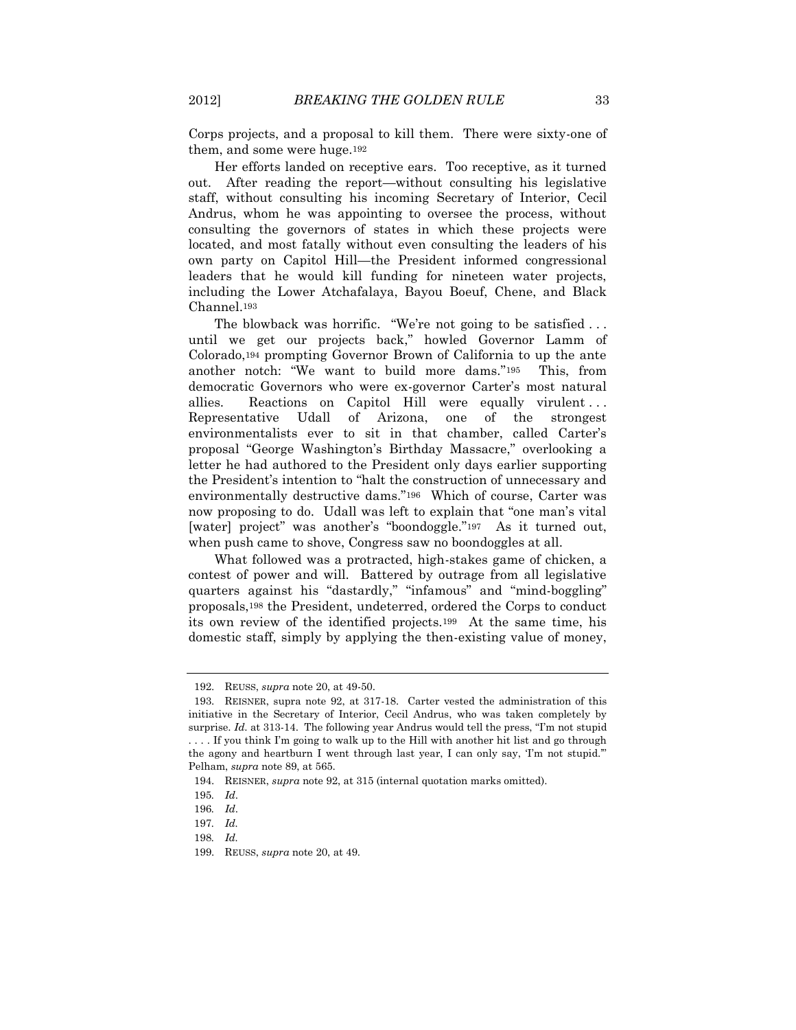Corps projects, and a proposal to kill them. There were sixty-one of them, and some were huge.<sup>192</sup>

Her efforts landed on receptive ears. Too receptive, as it turned out. After reading the report—without consulting his legislative staff, without consulting his incoming Secretary of Interior, Cecil Andrus, whom he was appointing to oversee the process, without consulting the governors of states in which these projects were located, and most fatally without even consulting the leaders of his own party on Capitol Hill—the President informed congressional leaders that he would kill funding for nineteen water projects, including the Lower Atchafalaya, Bayou Boeuf, Chene, and Black Channel.<sup>193</sup>

The blowback was horrific. "We're not going to be satisfied ... until we get our projects back," howled Governor Lamm of Colorado,<sup>194</sup> prompting Governor Brown of California to up the ante another notch: "We want to build more dams."195 This, from democratic Governors who were ex-governor Carter's most natural allies. Reactions on Capitol Hill were equally virulent... Representative Udall of Arizona, one of the strongest environmentalists ever to sit in that chamber, called Carter's proposal "George Washington's Birthday Massacre," overlooking a letter he had authored to the President only days earlier supporting the President's intention to "halt the construction of unnecessary and environmentally destructive dams."196 Which of course, Carter was now proposing to do. Udall was left to explain that "one man's vital [water] project" was another's "boondoggle."197 As it turned out, when push came to shove, Congress saw no boondoggles at all.

What followed was a protracted, high-stakes game of chicken, a contest of power and will. Battered by outrage from all legislative quarters against his "dastardly," "infamous" and "mind-boggling" proposals,<sup>198</sup> the President, undeterred, ordered the Corps to conduct its own review of the identified projects.199 At the same time, his domestic staff, simply by applying the then-existing value of money,

<sup>192.</sup> REUSS, *supra* note 20, at 49-50.

<sup>193.</sup> REISNER, supra note 92, at 317-18. Carter vested the administration of this initiative in the Secretary of Interior, Cecil Andrus, who was taken completely by surprise. *Id.* at 313-14. The following year Andrus would tell the press, "I'm not stupid . . . . If you think I'm going to walk up to the Hill with another hit list and go through the agony and heartburn I went through last year, I can only say, 'I'm not stupid.'" Pelham, *supra* note 89, at 565.

<sup>194.</sup> REISNER, *supra* note 92, at 315 (internal quotation marks omitted).

<sup>195</sup>*. Id*.

<sup>196</sup>*. Id*.

<sup>197</sup>*. Id.* 

<sup>198</sup>*. Id.*

<sup>199.</sup> REUSS, *supra* note [20,](#page-4-1) at 49.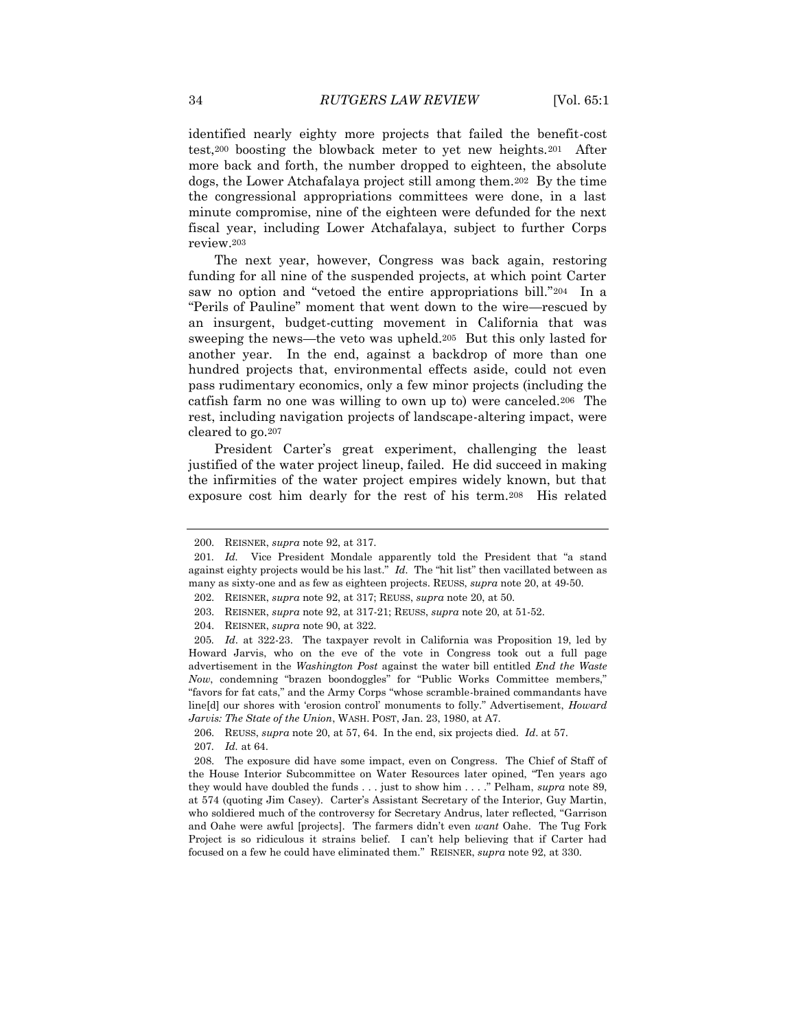identified nearly eighty more projects that failed the benefit-cost test,<sup>200</sup> boosting the blowback meter to yet new heights.201 After more back and forth, the number dropped to eighteen, the absolute dogs, the Lower Atchafalaya project still among them.202 By the time the congressional appropriations committees were done, in a last minute compromise, nine of the eighteen were defunded for the next fiscal year, including Lower Atchafalaya, subject to further Corps review.<sup>203</sup>

The next year, however, Congress was back again, restoring funding for all nine of the suspended projects, at which point Carter saw no option and "vetoed the entire appropriations bill."204 In a "Perils of Pauline" moment that went down to the wire—rescued by an insurgent, budget-cutting movement in California that was sweeping the news—the veto was upheld.205 But this only lasted for another year. In the end, against a backdrop of more than one hundred projects that, environmental effects aside, could not even pass rudimentary economics, only a few minor projects (including the catfish farm no one was willing to own up to) were canceled.206 The rest, including navigation projects of landscape-altering impact, were cleared to go.<sup>207</sup>

President Carter's great experiment, challenging the least justified of the water project lineup, failed. He did succeed in making the infirmities of the water project empires widely known, but that exposure cost him dearly for the rest of his term.208 His related

<sup>200.</sup> REISNER, *supra* note 92, at 317.

<sup>201</sup>*. Id.* Vice President Mondale apparently told the President that "a stand against eighty projects would be his last." *Id.* The "hit list" then vacillated between as many as sixty-one and as few as eighteen projects. REUSS, *supra* not[e 20,](#page-4-1) at 49-50.

<sup>202.</sup> REISNER, *supra* note 92, at 317; REUSS, *supra* note [20,](#page-4-1) at 50.

<sup>203.</sup> REISNER, *supra* note 92, at 317-21; REUSS, *supra* not[e 20,](#page-4-1) at 51-52.

<sup>204.</sup> REISNER, *supra* note 90, at 322.

<sup>205</sup>*. Id*. at 322-23. The taxpayer revolt in California was Proposition 19, led by Howard Jarvis, who on the eve of the vote in Congress took out a full page advertisement in the *Washington Post* against the water bill entitled *End the Waste Now*, condemning "brazen boondoggles" for "Public Works Committee members," "favors for fat cats," and the Army Corps "whose scramble-brained commandants have line[d] our shores with 'erosion control' monuments to folly." Advertisement, *Howard Jarvis: The State of the Union*, WASH. POST, Jan. 23, 1980, at A7.

<sup>206.</sup> REUSS, *supra* note [20,](#page-4-1) at 57, 64. In the end, six projects died. *Id*. at 57.

<sup>207</sup>*. Id.* at 64.

<sup>208.</sup> The exposure did have some impact, even on Congress. The Chief of Staff of the House Interior Subcommittee on Water Resources later opined, "Ten years ago they would have doubled the funds . . . just to show him . . . ." Pelham, *supra* note 89, at 574 (quoting Jim Casey). Carter's Assistant Secretary of the Interior, Guy Martin, who soldiered much of the controversy for Secretary Andrus, later reflected, "Garrison and Oahe were awful [projects]. The farmers didn't even *want* Oahe. The Tug Fork Project is so ridiculous it strains belief. I can't help believing that if Carter had focused on a few he could have eliminated them." REISNER, *supra* note 92, at 330.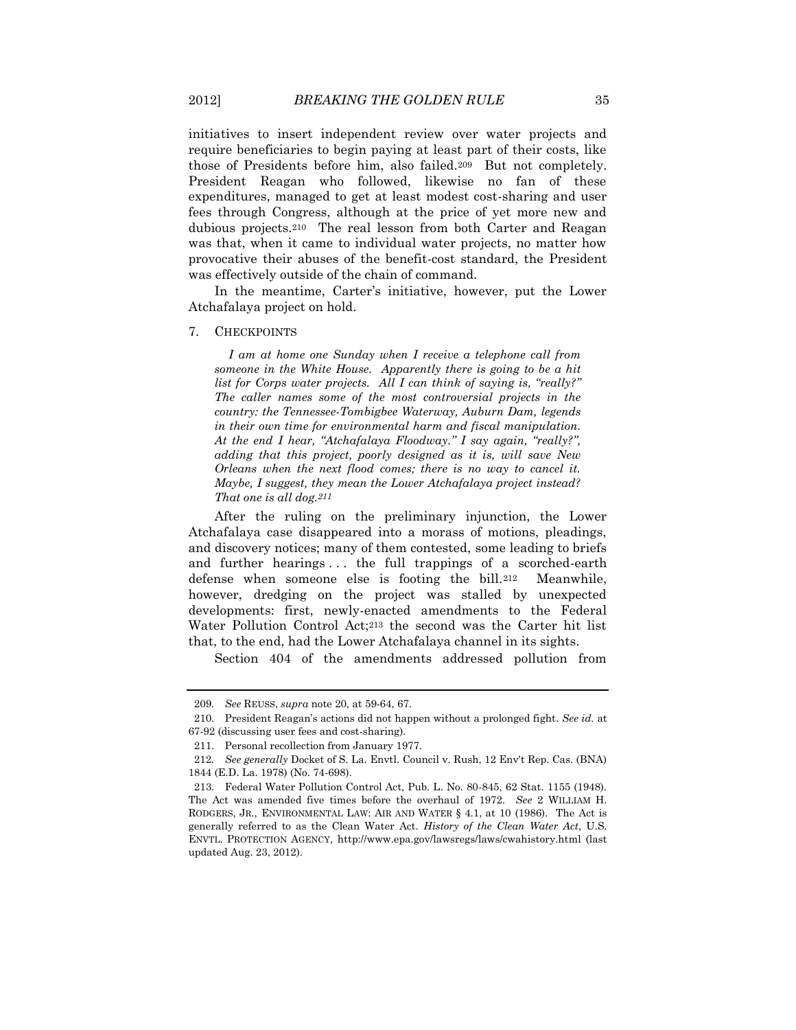initiatives to insert independent review over water projects and require beneficiaries to begin paying at least part of their costs, like those of Presidents before him, also failed.209 But not completely. President Reagan who followed, likewise no fan of these expenditures, managed to get at least modest cost-sharing and user fees through Congress, although at the price of yet more new and dubious projects.210 The real lesson from both Carter and Reagan was that, when it came to individual water projects, no matter how provocative their abuses of the benefit-cost standard, the President was effectively outside of the chain of command.

In the meantime, Carter's initiative, however, put the Lower Atchafalaya project on hold.

#### 7. CHECKPOINTS

*I am at home one Sunday when I receive a telephone call from someone in the White House. Apparently there is going to be a hit list for Corps water projects. All I can think of saying is, "really?" The caller names some of the most controversial projects in the country: the Tennessee-Tombigbee Waterway, Auburn Dam, legends in their own time for environmental harm and fiscal manipulation. At the end I hear, "Atchafalaya Floodway." I say again, "really?", adding that this project, poorly designed as it is, will save New Orleans when the next flood comes; there is no way to cancel it. Maybe, I suggest, they mean the Lower Atchafalaya project instead? That one is all dog.211*

After the ruling on the preliminary injunction, the Lower Atchafalaya case disappeared into a morass of motions, pleadings, and discovery notices; many of them contested, some leading to briefs and further hearings . . . the full trappings of a scorched-earth defense when someone else is footing the bill.212 Meanwhile, however, dredging on the project was stalled by unexpected developments: first, newly-enacted amendments to the Federal Water Pollution Control Act;<sup>213</sup> the second was the Carter hit list that, to the end, had the Lower Atchafalaya channel in its sights.

Section 404 of the amendments addressed pollution from

<sup>209</sup>*. See* REUSS, *supra* not[e 20,](#page-4-1) at 59-64, 67.

<sup>210.</sup> President Reagan's actions did not happen without a prolonged fight. *See id.* at 67-92 (discussing user fees and cost-sharing).

<sup>211.</sup> Personal recollection from January 1977.

<sup>212</sup>*. See generally* Docket of S. La. Envtl. Council v. Rush, 12 Env't Rep. Cas. (BNA) 1844 (E.D. La. 1978) (No. 74-698).

<sup>213.</sup> Federal Water Pollution Control Act, Pub. L. No. 80-845, 62 Stat. 1155 (1948). The Act was amended five times before the overhaul of 1972. *See* 2 WILLIAM H. RODGERS, JR., ENVIRONMENTAL LAW: AIR AND WATER § 4.1, at 10 (1986). The Act is generally referred to as the Clean Water Act. *History of the Clean Water Act*, U.S. ENVTL. PROTECTION AGENCY, http://www.epa.gov/lawsregs/laws/cwahistory.html (last updated Aug. 23, 2012).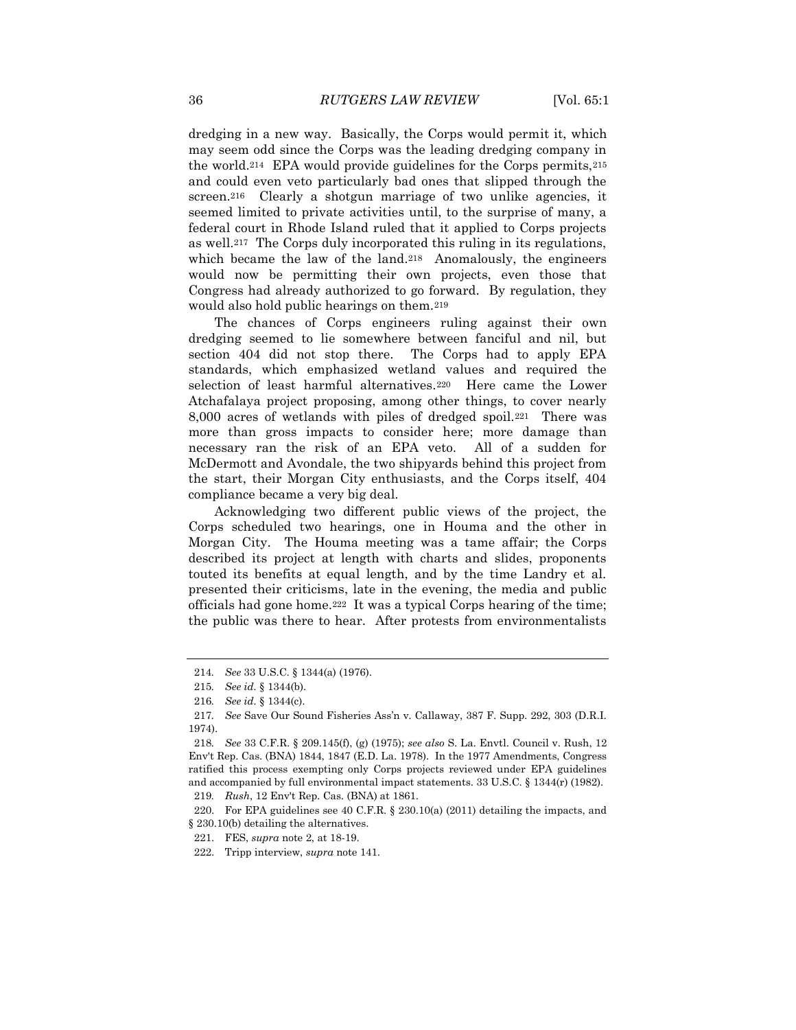dredging in a new way. Basically, the Corps would permit it, which may seem odd since the Corps was the leading dredging company in the world.214 EPA would provide guidelines for the Corps permits,<sup>215</sup> and could even veto particularly bad ones that slipped through the screen.<sup>216</sup> Clearly a shotgun marriage of two unlike agencies, it seemed limited to private activities until, to the surprise of many, a federal court in Rhode Island ruled that it applied to Corps projects as well.217 The Corps duly incorporated this ruling in its regulations, which became the law of the land.<sup>218</sup> Anomalously, the engineers would now be permitting their own projects, even those that Congress had already authorized to go forward. By regulation, they would also hold public hearings on them.<sup>219</sup>

The chances of Corps engineers ruling against their own dredging seemed to lie somewhere between fanciful and nil, but section 404 did not stop there. The Corps had to apply EPA standards, which emphasized wetland values and required the selection of least harmful alternatives.220 Here came the Lower Atchafalaya project proposing, among other things, to cover nearly 8,000 acres of wetlands with piles of dredged spoil.221 There was more than gross impacts to consider here; more damage than necessary ran the risk of an EPA veto. All of a sudden for McDermott and Avondale, the two shipyards behind this project from the start, their Morgan City enthusiasts, and the Corps itself, 404 compliance became a very big deal.

Acknowledging two different public views of the project, the Corps scheduled two hearings, one in Houma and the other in Morgan City. The Houma meeting was a tame affair; the Corps described its project at length with charts and slides, proponents touted its benefits at equal length, and by the time Landry et al. presented their criticisms, late in the evening, the media and public officials had gone home.222 It was a typical Corps hearing of the time; the public was there to hear. After protests from environmentalists

220. For EPA guidelines see 40 C.F.R. § 230.10(a) (2011) detailing the impacts, and § 230.10(b) detailing the alternatives.

<sup>214</sup>*. See* 33 U.S.C. § 1344(a) (1976).

<sup>215</sup>*. See id.* § 1344(b).

<sup>216</sup>*. See id.* § 1344(c).

<sup>217</sup>*. See* Save Our Sound Fisheries Ass'n v. Callaway, 387 F. Supp. 292, 303 (D.R.I. 1974).

<sup>218</sup>*. See* 33 C.F.R. § 209.145(f), (g) (1975); *see also* S. La. Envtl. Council v. Rush, 12 Env't Rep. Cas. (BNA) 1844, 1847 (E.D. La. 1978). In the 1977 Amendments, Congress ratified this process exempting only Corps projects reviewed under EPA guidelines and accompanied by full environmental impact statements. 33 U.S.C. § 1344(r) (1982). 219*. Rush*, 12 Env't Rep. Cas. (BNA) at 1861.

<sup>221.</sup> FES, *supra* not[e 2,](#page-1-0) at 18-19.

<sup>222.</sup> Tripp interview, *supra* note 141.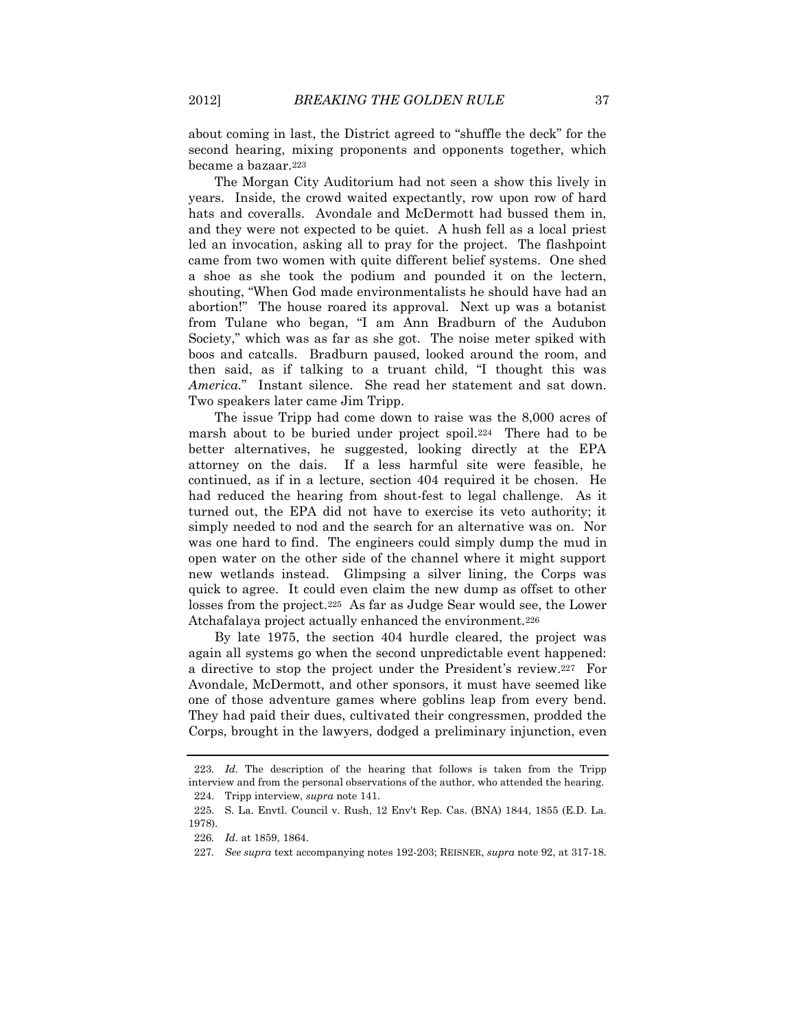about coming in last, the District agreed to "shuffle the deck" for the second hearing, mixing proponents and opponents together, which became a bazaar.<sup>223</sup>

The Morgan City Auditorium had not seen a show this lively in years. Inside, the crowd waited expectantly, row upon row of hard hats and coveralls. Avondale and McDermott had bussed them in, and they were not expected to be quiet. A hush fell as a local priest led an invocation, asking all to pray for the project. The flashpoint came from two women with quite different belief systems. One shed a shoe as she took the podium and pounded it on the lectern, shouting, "When God made environmentalists he should have had an abortion!" The house roared its approval. Next up was a botanist from Tulane who began, "I am Ann Bradburn of the Audubon Society," which was as far as she got. The noise meter spiked with boos and catcalls. Bradburn paused, looked around the room, and then said, as if talking to a truant child, "I thought this was *America.*"Instant silence. She read her statement and sat down. Two speakers later came Jim Tripp.

The issue Tripp had come down to raise was the 8,000 acres of marsh about to be buried under project spoil.224 There had to be better alternatives, he suggested, looking directly at the EPA attorney on the dais. If a less harmful site were feasible, he continued, as if in a lecture, section 404 required it be chosen. He had reduced the hearing from shout-fest to legal challenge. As it turned out, the EPA did not have to exercise its veto authority; it simply needed to nod and the search for an alternative was on. Nor was one hard to find. The engineers could simply dump the mud in open water on the other side of the channel where it might support new wetlands instead. Glimpsing a silver lining, the Corps was quick to agree. It could even claim the new dump as offset to other losses from the project.225 As far as Judge Sear would see, the Lower Atchafalaya project actually enhanced the environment.<sup>226</sup>

By late 1975, the section 404 hurdle cleared, the project was again all systems go when the second unpredictable event happened: a directive to stop the project under the President's review.227 For Avondale, McDermott, and other sponsors, it must have seemed like one of those adventure games where goblins leap from every bend. They had paid their dues, cultivated their congressmen, prodded the Corps, brought in the lawyers, dodged a preliminary injunction, even

<sup>223</sup>*. Id.* The description of the hearing that follows is taken from the Tripp interview and from the personal observations of the author, who attended the hearing. 224. Tripp interview, *supra* note 141.

<sup>225.</sup> S. La. Envtl. Council v. Rush, 12 Env't Rep. Cas. (BNA) 1844, 1855 (E.D. La. 1978).

<sup>226</sup>*. Id.* at 1859, 1864.

<sup>227</sup>*. See supra* text accompanying notes 192-203; REISNER, *supra* note 92, at 317-18.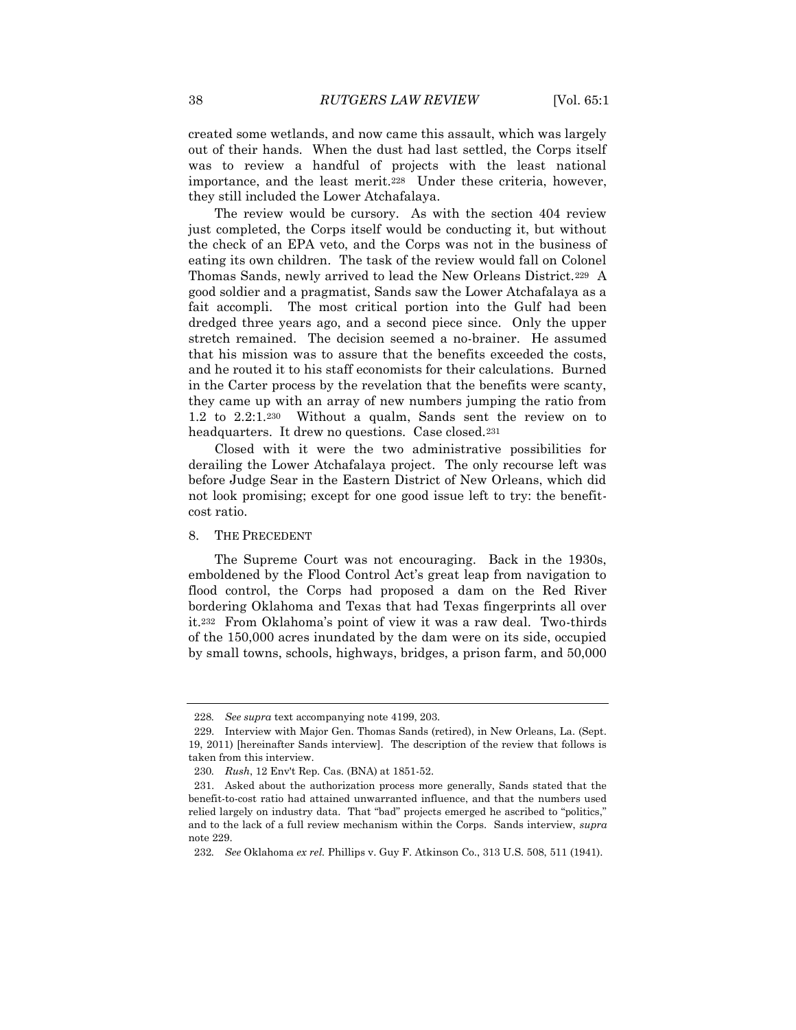created some wetlands, and now came this assault, which was largely out of their hands. When the dust had last settled, the Corps itself was to review a handful of projects with the least national importance, and the least merit.228 Under these criteria, however, they still included the Lower Atchafalaya.

The review would be cursory. As with the section 404 review just completed, the Corps itself would be conducting it, but without the check of an EPA veto, and the Corps was not in the business of eating its own children. The task of the review would fall on Colonel Thomas Sands, newly arrived to lead the New Orleans District.229 A good soldier and a pragmatist, Sands saw the Lower Atchafalaya as a fait accompli. The most critical portion into the Gulf had been dredged three years ago, and a second piece since. Only the upper stretch remained. The decision seemed a no-brainer. He assumed that his mission was to assure that the benefits exceeded the costs, and he routed it to his staff economists for their calculations. Burned in the Carter process by the revelation that the benefits were scanty, they came up with an array of new numbers jumping the ratio from 1.2 to 2.2:1.230 Without a qualm, Sands sent the review on to headquarters. It drew no questions. Case closed.<sup>231</sup>

Closed with it were the two administrative possibilities for derailing the Lower Atchafalaya project. The only recourse left was before Judge Sear in the Eastern District of New Orleans, which did not look promising; except for one good issue left to try: the benefitcost ratio.

## 8. THE PRECEDENT

The Supreme Court was not encouraging. Back in the 1930s, emboldened by the Flood Control Act's great leap from navigation to flood control, the Corps had proposed a dam on the Red River bordering Oklahoma and Texas that had Texas fingerprints all over it.<sup>232</sup> From Oklahoma's point of view it was a raw deal. Two-thirds of the 150,000 acres inundated by the dam were on its side, occupied by small towns, schools, highways, bridges, a prison farm, and 50,000

<sup>228</sup>*. See supra* text accompanying note 4199, 203.

<sup>229.</sup> Interview with Major Gen. Thomas Sands (retired), in New Orleans, La. (Sept. 19, 2011) [hereinafter Sands interview]. The description of the review that follows is taken from this interview.

<sup>230</sup>*. Rush*, 12 Env't Rep. Cas. (BNA) at 1851-52.

<sup>231.</sup> Asked about the authorization process more generally, Sands stated that the benefit-to-cost ratio had attained unwarranted influence, and that the numbers used relied largely on industry data. That "bad" projects emerged he ascribed to "politics," and to the lack of a full review mechanism within the Corps. Sands interview, *supra*  note 229.

<sup>232</sup>*. See* Oklahoma *ex rel.* Phillips v. Guy F. Atkinson Co., 313 U.S. 508, 511 (1941).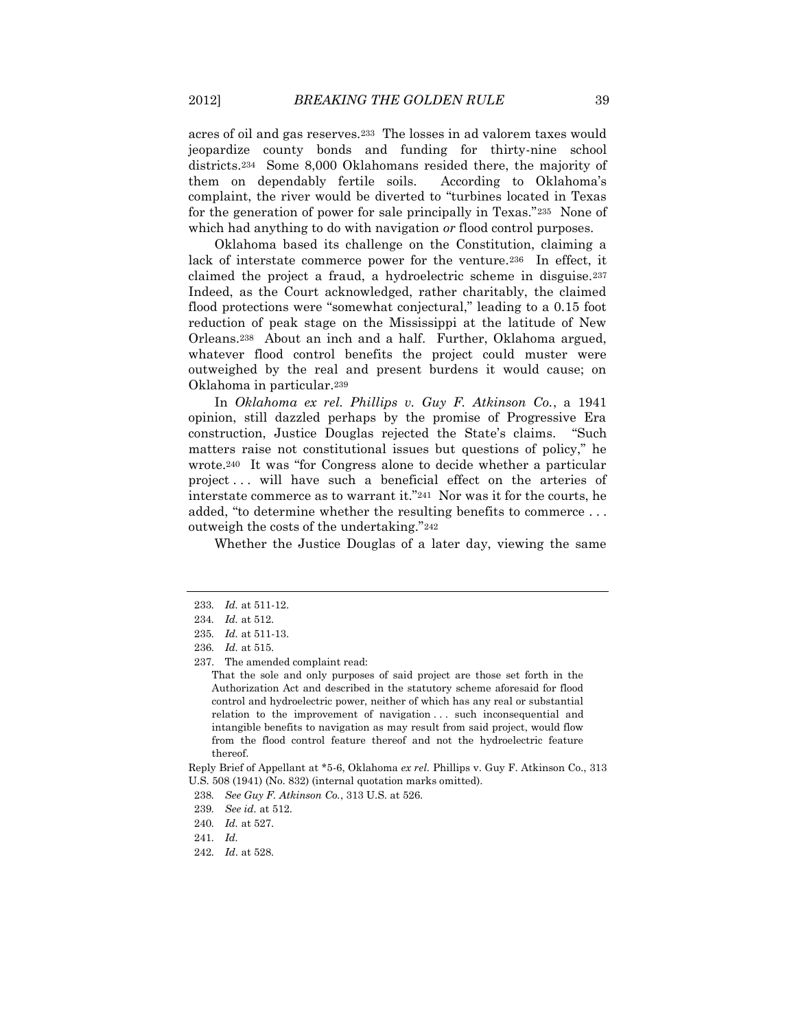acres of oil and gas reserves.233 The losses in ad valorem taxes would jeopardize county bonds and funding for thirty-nine school districts.234 Some 8,000 Oklahomans resided there, the majority of them on dependably fertile soils. According to Oklahoma's complaint, the river would be diverted to "turbines located in Texas for the generation of power for sale principally in Texas."235 None of which had anything to do with navigation *or* flood control purposes.

Oklahoma based its challenge on the Constitution, claiming a lack of interstate commerce power for the venture.236 In effect, it claimed the project a fraud, a hydroelectric scheme in disguise.<sup>237</sup> Indeed, as the Court acknowledged, rather charitably, the claimed flood protections were "somewhat conjectural," leading to a 0.15 foot reduction of peak stage on the Mississippi at the latitude of New Orleans.238 About an inch and a half. Further, Oklahoma argued, whatever flood control benefits the project could muster were outweighed by the real and present burdens it would cause; on Oklahoma in particular.<sup>239</sup>

In *Oklahoma ex rel. Phillips v. Guy F. Atkinson Co.*, a 1941 opinion, still dazzled perhaps by the promise of Progressive Era construction, Justice Douglas rejected the State's claims. "Such matters raise not constitutional issues but questions of policy," he wrote.<sup>240</sup> It was "for Congress alone to decide whether a particular project... will have such a beneficial effect on the arteries of interstate commerce as to warrant it."241 Nor was it for the courts, he added, "to determine whether the resulting benefits to commerce . . . outweigh the costs of the undertaking."<sup>242</sup>

Whether the Justice Douglas of a later day, viewing the same

Reply Brief of Appellant at \*5-6, Oklahoma *ex rel.* Phillips v. Guy F. Atkinson Co., 313 U.S. 508 (1941) (No. 832) (internal quotation marks omitted).

<sup>233</sup>*. Id.* at 511-12.

<sup>234</sup>*. Id.* at 512.

<sup>235</sup>*. Id.* at 511-13.

<sup>236</sup>*. Id.* at 515.

<sup>237.</sup> The amended complaint read:

That the sole and only purposes of said project are those set forth in the Authorization Act and described in the statutory scheme aforesaid for flood control and hydroelectric power, neither of which has any real or substantial relation to the improvement of navigation ... such inconsequential and intangible benefits to navigation as may result from said project, would flow from the flood control feature thereof and not the hydroelectric feature thereof.

<sup>238</sup>*. See Guy F. Atkinson Co.*, 313 U.S. at 526.

<sup>239</sup>*. See id.* at 512.

<sup>240</sup>*. Id.* at 527.

<sup>241</sup>*. Id.*

<sup>242</sup>*. Id*. at 528.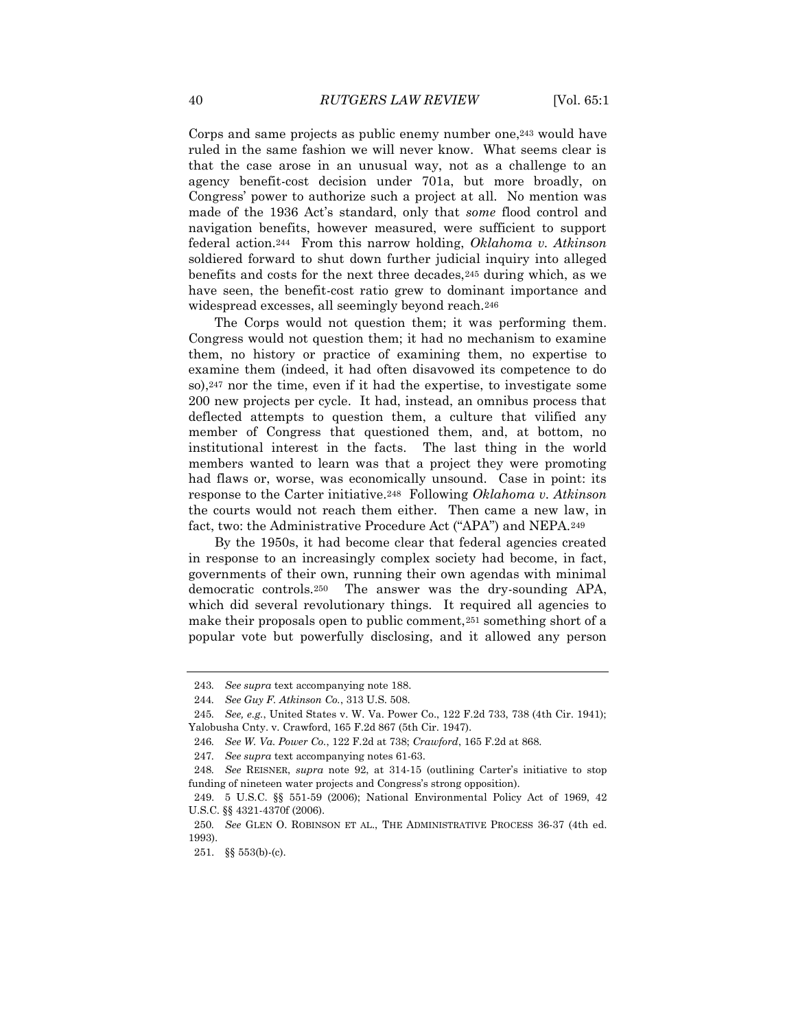Corps and same projects as public enemy number one,<sup>243</sup> would have ruled in the same fashion we will never know. What seems clear is that the case arose in an unusual way, not as a challenge to an agency benefit-cost decision under 701a, but more broadly, on Congress' power to authorize such a project at all. No mention was made of the 1936 Act's standard, only that *some* flood control and navigation benefits, however measured, were sufficient to support federal action.244 From this narrow holding, *Oklahoma v. Atkinson* soldiered forward to shut down further judicial inquiry into alleged benefits and costs for the next three decades,<sup>245</sup> during which, as we have seen, the benefit-cost ratio grew to dominant importance and widespread excesses, all seemingly beyond reach.<sup>246</sup>

The Corps would not question them; it was performing them. Congress would not question them; it had no mechanism to examine them, no history or practice of examining them, no expertise to examine them (indeed, it had often disavowed its competence to do so),<sup>247</sup> nor the time, even if it had the expertise, to investigate some 200 new projects per cycle. It had, instead, an omnibus process that deflected attempts to question them, a culture that vilified any member of Congress that questioned them, and, at bottom, no institutional interest in the facts. The last thing in the world members wanted to learn was that a project they were promoting had flaws or, worse, was economically unsound. Case in point: its response to the Carter initiative.248 Following *Oklahoma v. Atkinson* the courts would not reach them either. Then came a new law, in fact, two: the Administrative Procedure Act ("APA") and NEPA.<sup>249</sup>

By the 1950s, it had become clear that federal agencies created in response to an increasingly complex society had become, in fact, governments of their own, running their own agendas with minimal democratic controls.250 The answer was the dry-sounding APA, which did several revolutionary things. It required all agencies to make their proposals open to public comment,<sup>251</sup> something short of a popular vote but powerfully disclosing, and it allowed any person

<sup>243</sup>*. See supra* text accompanying note 188.

<sup>244</sup>*. See Guy F. Atkinson Co.*, 313 U.S. 508.

<sup>245</sup>*. See, e.g.*, United States v. W. Va. Power Co., 122 F.2d 733, 738 (4th Cir. 1941); Yalobusha Cnty. v. Crawford, 165 F.2d 867 (5th Cir. 1947).

<sup>246</sup>*. See W. Va. Power Co.*, 122 F.2d at 738; *Crawford*, 165 F.2d at 868.

<sup>247</sup>*. See supra* text accompanying notes 61-63.

<sup>248</sup>*. See* REISNER, *supra* note 92, at 314-15 (outlining Carter's initiative to stop funding of nineteen water projects and Congress's strong opposition).

<sup>249.</sup> 5 U.S.C. §§ 551-59 (2006); National Environmental Policy Act of 1969, 42 U.S.C. §§ 4321-4370f (2006).

<sup>250</sup>*. See* GLEN O. ROBINSON ET AL., THE ADMINISTRATIVE PROCESS 36-37 (4th ed. 1993).

<sup>251.</sup> §§ 553(b)-(c).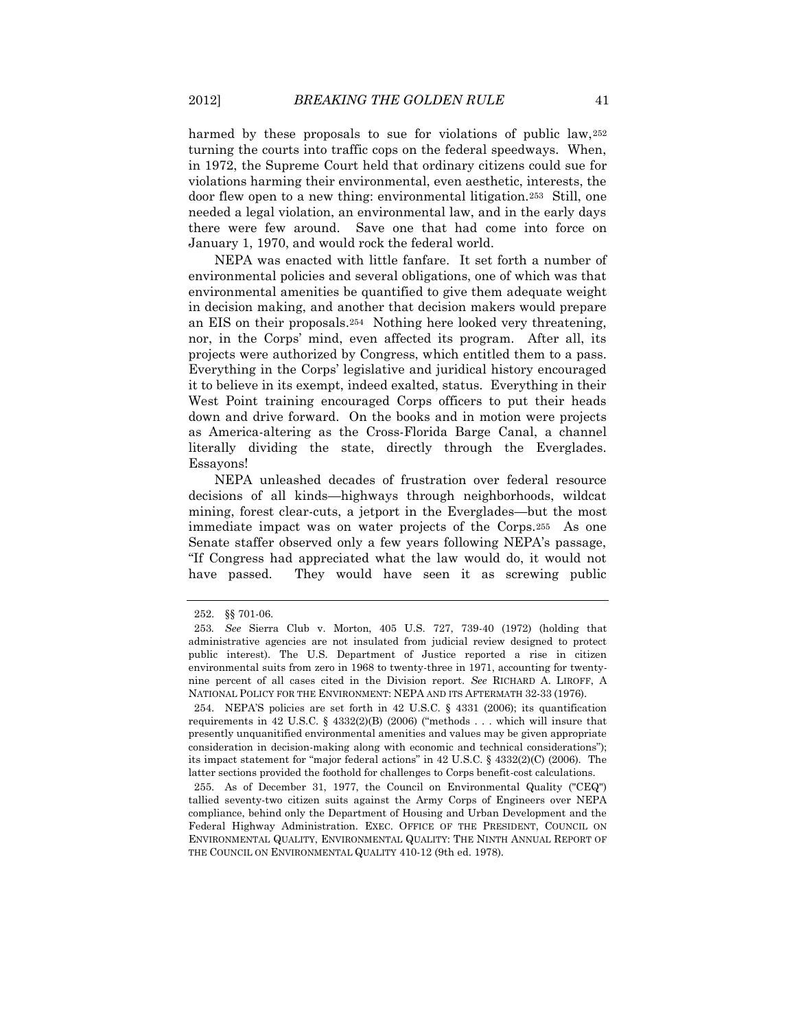harmed by these proposals to sue for violations of public law,<sup>252</sup> turning the courts into traffic cops on the federal speedways. When, in 1972, the Supreme Court held that ordinary citizens could sue for violations harming their environmental, even aesthetic, interests, the door flew open to a new thing: environmental litigation.253 Still, one needed a legal violation, an environmental law, and in the early days there were few around. Save one that had come into force on January 1, 1970, and would rock the federal world.

NEPA was enacted with little fanfare. It set forth a number of environmental policies and several obligations, one of which was that environmental amenities be quantified to give them adequate weight in decision making, and another that decision makers would prepare an EIS on their proposals.254 Nothing here looked very threatening, nor, in the Corps' mind, even affected its program. After all, its projects were authorized by Congress, which entitled them to a pass. Everything in the Corps' legislative and juridical history encouraged it to believe in its exempt, indeed exalted, status. Everything in their West Point training encouraged Corps officers to put their heads down and drive forward. On the books and in motion were projects as America-altering as the Cross-Florida Barge Canal, a channel literally dividing the state, directly through the Everglades. Essayons!

NEPA unleashed decades of frustration over federal resource decisions of all kinds—highways through neighborhoods, wildcat mining, forest clear-cuts, a jetport in the Everglades—but the most immediate impact was on water projects of the Corps.255 As one Senate staffer observed only a few years following NEPA's passage, "If Congress had appreciated what the law would do, it would not have passed. They would have seen it as screwing public

<sup>252.</sup> §§ 701-06.

<sup>253</sup>*. See* Sierra Club v. Morton, 405 U.S. 727, 739-40 (1972) (holding that administrative agencies are not insulated from judicial review designed to protect public interest). The U.S. Department of Justice reported a rise in citizen environmental suits from zero in 1968 to twenty-three in 1971, accounting for twentynine percent of all cases cited in the Division report. *See* RICHARD A. LIROFF, A NATIONAL POLICY FOR THE ENVIRONMENT: NEPA AND ITS AFTERMATH 32-33 (1976).

<sup>254.</sup> NEPA'S policies are set forth in 42 U.S.C. § 4331 (2006); its quantification requirements in 42 U.S.C. § 4332(2)(B) (2006) ("methods . . . which will insure that presently unquanitified environmental amenities and values may be given appropriate consideration in decision-making along with economic and technical considerations"); its impact statement for "major federal actions" in 42 U.S.C. § 4332(2)(C) (2006). The latter sections provided the foothold for challenges to Corps benefit-cost calculations.

<sup>255.</sup> As of December 31, 1977, the Council on Environmental Quality ("CEQ") tallied seventy-two citizen suits against the Army Corps of Engineers over NEPA compliance, behind only the Department of Housing and Urban Development and the Federal Highway Administration. EXEC. OFFICE OF THE PRESIDENT, COUNCIL ON ENVIRONMENTAL QUALITY, ENVIRONMENTAL QUALITY: THE NINTH ANNUAL REPORT OF THE COUNCIL ON ENVIRONMENTAL QUALITY 410-12 (9th ed. 1978).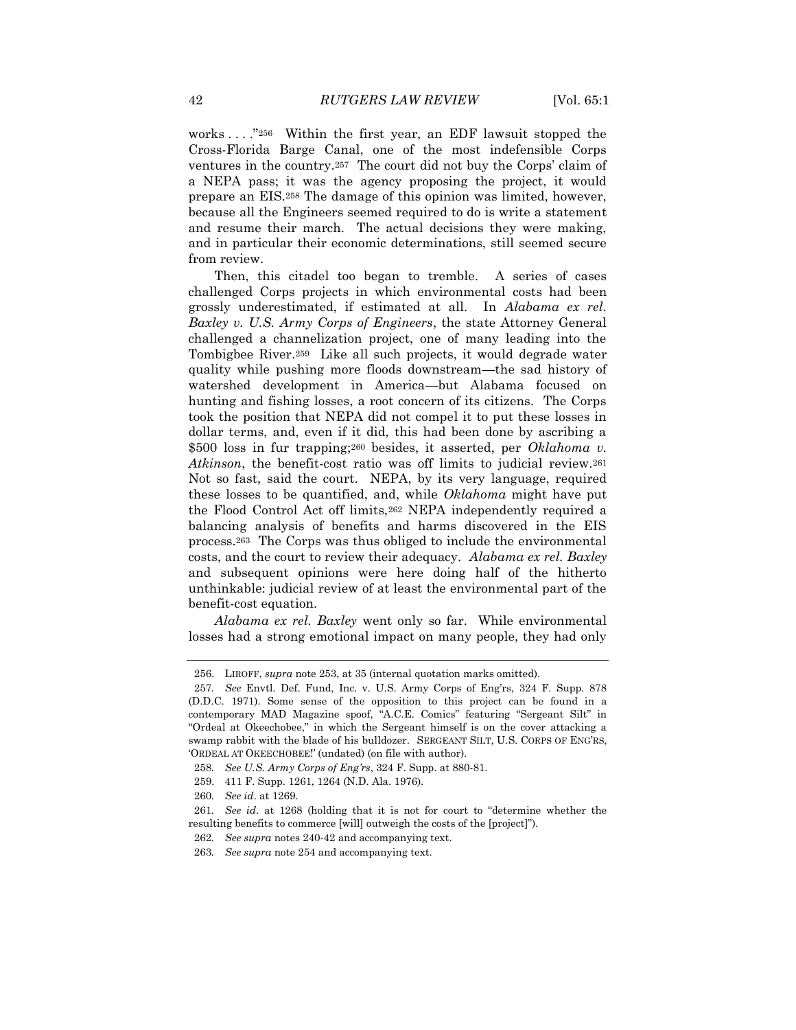works . . . ."256 Within the first year, an EDF lawsuit stopped the Cross-Florida Barge Canal, one of the most indefensible Corps ventures in the country.<sup>257</sup> The court did not buy the Corps' claim of a NEPA pass; it was the agency proposing the project, it would prepare an EIS.<sup>258</sup> The damage of this opinion was limited, however, because all the Engineers seemed required to do is write a statement and resume their march. The actual decisions they were making, and in particular their economic determinations, still seemed secure from review.

Then, this citadel too began to tremble. A series of cases challenged Corps projects in which environmental costs had been grossly underestimated, if estimated at all. In *Alabama ex rel. Baxley v. U.S. Army Corps of Engineers*, the state Attorney General challenged a channelization project, one of many leading into the Tombigbee River.259 Like all such projects, it would degrade water quality while pushing more floods downstream—the sad history of watershed development in America—but Alabama focused on hunting and fishing losses, a root concern of its citizens. The Corps took the position that NEPA did not compel it to put these losses in dollar terms, and, even if it did, this had been done by ascribing a \$500 loss in fur trapping;<sup>260</sup> besides, it asserted, per *Oklahoma v. Atkinson*, the benefit-cost ratio was off limits to judicial review.<sup>261</sup> Not so fast, said the court. NEPA, by its very language, required these losses to be quantified, and, while *Oklahoma* might have put the Flood Control Act off limits,<sup>262</sup> NEPA independently required a balancing analysis of benefits and harms discovered in the EIS process.263 The Corps was thus obliged to include the environmental costs, and the court to review their adequacy. *Alabama ex rel. Baxley* and subsequent opinions were here doing half of the hitherto unthinkable: judicial review of at least the environmental part of the benefit-cost equation.

*Alabama ex rel. Baxley* went only so far. While environmental losses had a strong emotional impact on many people, they had only

<sup>256.</sup> LIROFF, *supra* note 253, at 35 (internal quotation marks omitted).

<sup>257</sup>*. See* Envtl. Def. Fund, Inc. v. U.S. Army Corps of Eng'rs, 324 F. Supp. 878 (D.D.C. 1971). Some sense of the opposition to this project can be found in a contemporary MAD Magazine spoof, "A.C.E. Comics" featuring "Sergeant Silt" in "Ordeal at Okeechobee," in which the Sergeant himself is on the cover attacking a swamp rabbit with the blade of his bulldozer. SERGEANT SILT, U.S. CORPS OF ENG'RS, 'ORDEAL AT OKEECHOBEE!' (undated) (on file with author).

<sup>258</sup>*. See U.S. Army Corps of Eng'rs*, 324 F. Supp. at 880-81.

<sup>259.</sup> 411 F. Supp. 1261, 1264 (N.D. Ala. 1976).

<sup>260</sup>*. See id*. at 1269.

<sup>261</sup>*. See id*. at 1268 (holding that it is not for court to "determine whether the resulting benefits to commerce [will] outweigh the costs of the [project]").

<sup>262</sup>*. See supra* notes 240-42 and accompanying text.

<sup>263</sup>*. See supra* note 254 and accompanying text.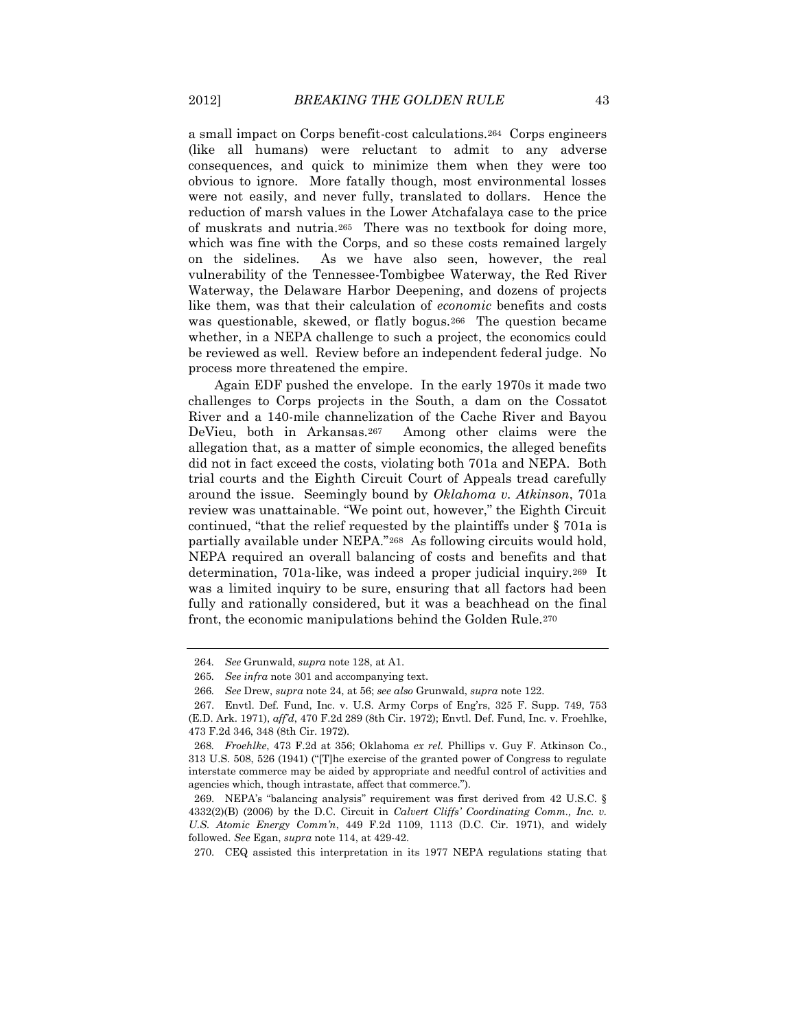a small impact on Corps benefit-cost calculations.264 Corps engineers (like all humans) were reluctant to admit to any adverse consequences, and quick to minimize them when they were too obvious to ignore. More fatally though, most environmental losses were not easily, and never fully, translated to dollars. Hence the reduction of marsh values in the Lower Atchafalaya case to the price of muskrats and nutria.265 There was no textbook for doing more, which was fine with the Corps, and so these costs remained largely on the sidelines. As we have also seen, however, the real vulnerability of the Tennessee-Tombigbee Waterway, the Red River Waterway, the Delaware Harbor Deepening, and dozens of projects like them, was that their calculation of *economic* benefits and costs was questionable, skewed, or flatly bogus.266 The question became whether, in a NEPA challenge to such a project, the economics could be reviewed as well. Review before an independent federal judge. No process more threatened the empire.

Again EDF pushed the envelope. In the early 1970s it made two challenges to Corps projects in the South, a dam on the Cossatot River and a 140-mile channelization of the Cache River and Bayou DeVieu, both in Arkansas.267 Among other claims were the allegation that, as a matter of simple economics, the alleged benefits did not in fact exceed the costs, violating both 701a and NEPA. Both trial courts and the Eighth Circuit Court of Appeals tread carefully around the issue. Seemingly bound by *Oklahoma v. Atkinson*, 701a review was unattainable. "We point out, however," the Eighth Circuit continued, "that the relief requested by the plaintiffs under § 701a is partially available under NEPA."268 As following circuits would hold, NEPA required an overall balancing of costs and benefits and that determination, 701a-like, was indeed a proper judicial inquiry.269 It was a limited inquiry to be sure, ensuring that all factors had been fully and rationally considered, but it was a beachhead on the final front, the economic manipulations behind the Golden Rule.<sup>270</sup>

<sup>264</sup>*. See* Grunwald, *supra* note 128, at A1.

<sup>265</sup>*. See infra* note 301 and accompanying text.

<sup>266</sup>*. See* Drew, *supra* note 24, at 56; *see also* Grunwald, *supra* note 122.

<sup>267.</sup> Envtl. Def. Fund, Inc. v. U.S. Army Corps of Eng'rs, 325 F. Supp. 749, 753 (E.D. Ark. 1971), *aff'd*, 470 F.2d 289 (8th Cir. 1972); Envtl. Def. Fund, Inc. v. Froehlke, 473 F.2d 346, 348 (8th Cir. 1972).

<sup>268</sup>*. Froehlke*, 473 F.2d at 356; Oklahoma *ex rel.* Phillips v. Guy F. Atkinson Co., 313 U.S. 508, 526 (1941) ("[T]he exercise of the granted power of Congress to regulate interstate commerce may be aided by appropriate and needful control of activities and agencies which, though intrastate, affect that commerce.").

<sup>269.</sup> NEPA's "balancing analysis" requirement was first derived from 42 U.S.C. § 4332(2)(B) (2006) by the D.C. Circuit in *Calvert Cliffs' Coordinating Comm., Inc. v. U.S. Atomic Energy Comm'n*, 449 F.2d 1109, 1113 (D.C. Cir. 1971), and widely followed. *See* Egan, *supra* note 114, at 429-42.

<sup>270.</sup> CEQ assisted this interpretation in its 1977 NEPA regulations stating that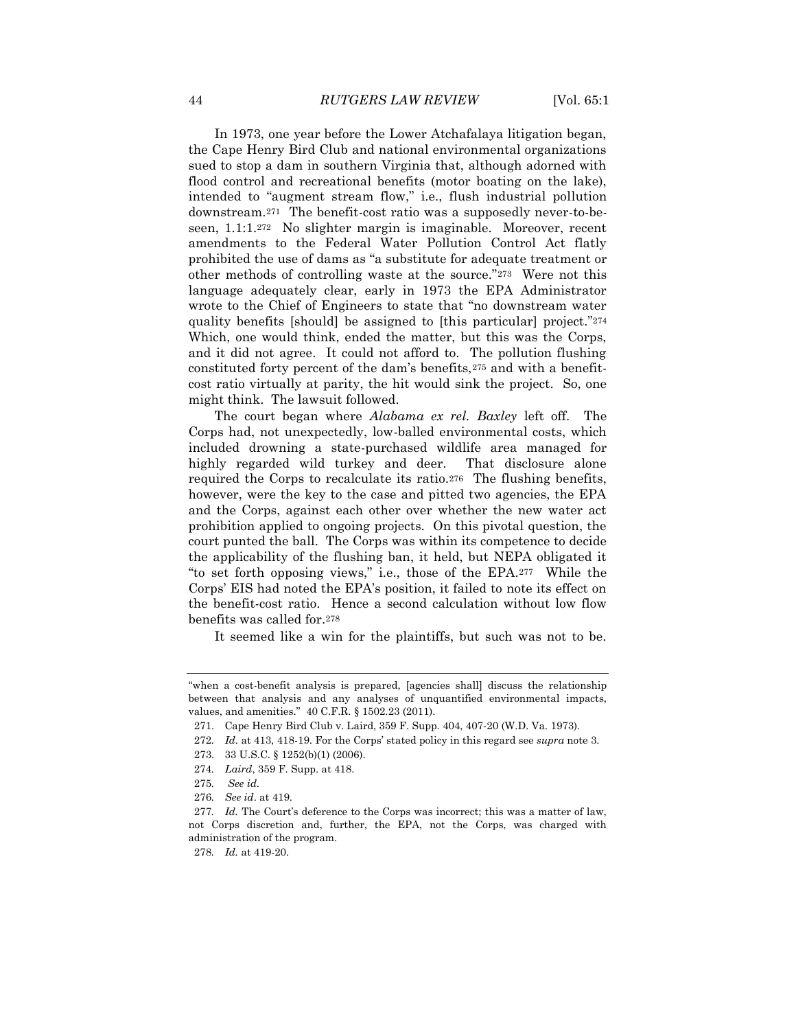In 1973, one year before the Lower Atchafalaya litigation began, the Cape Henry Bird Club and national environmental organizations sued to stop a dam in southern Virginia that, although adorned with flood control and recreational benefits (motor boating on the lake), intended to "augment stream flow," i.e., flush industrial pollution downstream.271 The benefit-cost ratio was a supposedly never-to-beseen, 1.1:1.272 No slighter margin is imaginable. Moreover, recent amendments to the Federal Water Pollution Control Act flatly prohibited the use of dams as "a substitute for adequate treatment or other methods of controlling waste at the source."273 Were not this language adequately clear, early in 1973 the EPA Administrator wrote to the Chief of Engineers to state that "no downstream water quality benefits [should] be assigned to [this particular] project."<sup>274</sup> Which, one would think, ended the matter, but this was the Corps, and it did not agree. It could not afford to. The pollution flushing constituted forty percent of the dam's benefits,<sup>275</sup> and with a benefitcost ratio virtually at parity, the hit would sink the project. So, one might think. The lawsuit followed.

The court began where *Alabama ex rel. Baxley* left off. The Corps had, not unexpectedly, low-balled environmental costs, which included drowning a state-purchased wildlife area managed for highly regarded wild turkey and deer. That disclosure alone required the Corps to recalculate its ratio.276 The flushing benefits, however, were the key to the case and pitted two agencies, the EPA and the Corps, against each other over whether the new water act prohibition applied to ongoing projects. On this pivotal question, the court punted the ball. The Corps was within its competence to decide the applicability of the flushing ban, it held, but NEPA obligated it "to set forth opposing views," i.e., those of the EPA.277 While the Corps' EIS had noted the EPA's position, it failed to note its effect on the benefit-cost ratio. Hence a second calculation without low flow benefits was called for.<sup>278</sup>

It seemed like a win for the plaintiffs, but such was not to be.

<sup>&</sup>quot;when a cost-benefit analysis is prepared, [agencies shall] discuss the relationship between that analysis and any analyses of unquantified environmental impacts, values, and amenities." 40 C.F.R. § 1502.23 (2011).

<sup>271.</sup> Cape Henry Bird Club v. Laird, 359 F. Supp. 404, 407-20 (W.D. Va. 1973).

<sup>272</sup>*. Id*. at 413, 418-19. For the Corps' stated policy in this regard see *supra* not[e 3.](#page-2-0)

<sup>273.</sup> 33 U.S.C. § 1252(b)(1) (2006).

<sup>274</sup>*. Laird*, 359 F. Supp. at 418.

<sup>275</sup>*. See id*.

<sup>276</sup>*. See id*. at 419.

<sup>277</sup>*. Id.* The Court's deference to the Corps was incorrect; this was a matter of law, not Corps discretion and, further, the EPA, not the Corps, was charged with administration of the program.

<sup>278</sup>*. Id.* at 419-20.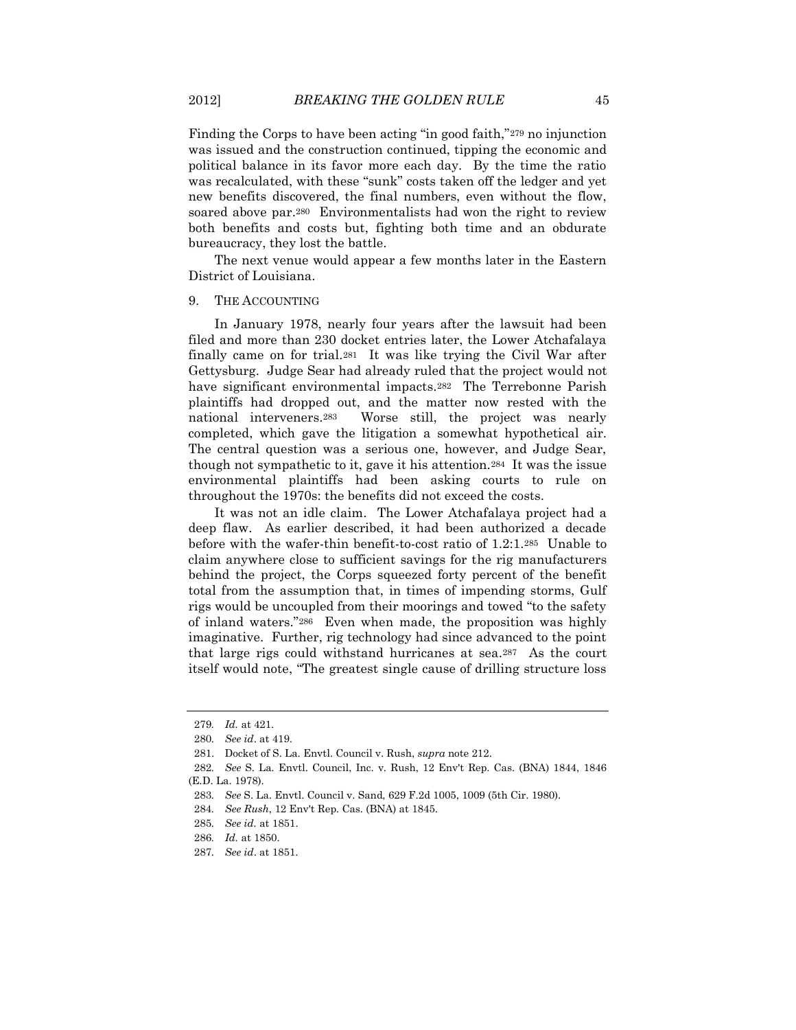Finding the Corps to have been acting "in good faith,"<sup>279</sup> no injunction was issued and the construction continued, tipping the economic and political balance in its favor more each day. By the time the ratio was recalculated, with these "sunk" costs taken off the ledger and yet new benefits discovered, the final numbers, even without the flow, soared above par.280 Environmentalists had won the right to review both benefits and costs but, fighting both time and an obdurate bureaucracy, they lost the battle.

The next venue would appear a few months later in the Eastern District of Louisiana.

#### 9. THE ACCOUNTING

In January 1978, nearly four years after the lawsuit had been filed and more than 230 docket entries later, the Lower Atchafalaya finally came on for trial.281 It was like trying the Civil War after Gettysburg. Judge Sear had already ruled that the project would not have significant environmental impacts.<sup>282</sup> The Terrebonne Parish plaintiffs had dropped out, and the matter now rested with the national interveners.283 Worse still, the project was nearly completed, which gave the litigation a somewhat hypothetical air. The central question was a serious one, however, and Judge Sear, though not sympathetic to it, gave it his attention.284 It was the issue environmental plaintiffs had been asking courts to rule on throughout the 1970s: the benefits did not exceed the costs.

It was not an idle claim. The Lower Atchafalaya project had a deep flaw. As earlier described, it had been authorized a decade before with the wafer-thin benefit-to-cost ratio of 1.2:1.285 Unable to claim anywhere close to sufficient savings for the rig manufacturers behind the project, the Corps squeezed forty percent of the benefit total from the assumption that, in times of impending storms, Gulf rigs would be uncoupled from their moorings and towed "to the safety of inland waters."286 Even when made, the proposition was highly imaginative. Further, rig technology had since advanced to the point that large rigs could withstand hurricanes at sea.287 As the court itself would note, "The greatest single cause of drilling structure loss

<sup>279</sup>*. Id.* at 421.

<sup>280</sup>*. See id*. at 419.

<sup>281.</sup> Docket of S. La. Envtl. Council v. Rush, *supra* note 212.

<sup>282</sup>*. See* S. La. Envtl. Council, Inc. v. Rush, 12 Env't Rep. Cas. (BNA) 1844, 1846 (E.D. La. 1978).

<sup>283</sup>*. See* S. La. Envtl. Council v. Sand, 629 F.2d 1005, 1009 (5th Cir. 1980).

<sup>284</sup>*. See Rush*, 12 Env't Rep. Cas. (BNA) at 1845.

<sup>285</sup>*. See id.* at 1851.

<sup>286</sup>*. Id.* at 1850.

<sup>287</sup>*. See id*. at 1851.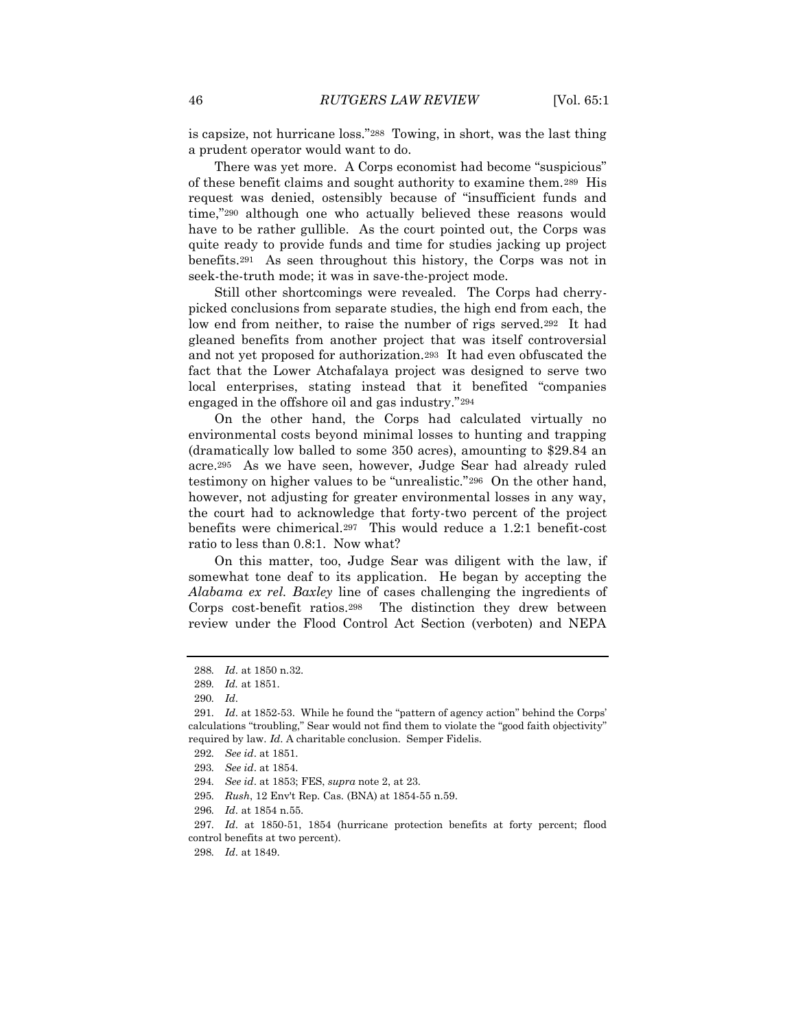is capsize, not hurricane loss."288 Towing, in short, was the last thing a prudent operator would want to do.

There was yet more. A Corps economist had become "suspicious" of these benefit claims and sought authority to examine them.289 His request was denied, ostensibly because of "insufficient funds and time,"<sup>290</sup> although one who actually believed these reasons would have to be rather gullible. As the court pointed out, the Corps was quite ready to provide funds and time for studies jacking up project benefits.291 As seen throughout this history, the Corps was not in seek-the-truth mode; it was in save-the-project mode.

Still other shortcomings were revealed. The Corps had cherrypicked conclusions from separate studies, the high end from each, the low end from neither, to raise the number of rigs served.292 It had gleaned benefits from another project that was itself controversial and not yet proposed for authorization.293 It had even obfuscated the fact that the Lower Atchafalaya project was designed to serve two local enterprises, stating instead that it benefited "companies engaged in the offshore oil and gas industry."<sup>294</sup>

On the other hand, the Corps had calculated virtually no environmental costs beyond minimal losses to hunting and trapping (dramatically low balled to some 350 acres), amounting to \$29.84 an acre.295 As we have seen, however, Judge Sear had already ruled testimony on higher values to be "unrealistic."296 On the other hand, however, not adjusting for greater environmental losses in any way, the court had to acknowledge that forty-two percent of the project benefits were chimerical.297 This would reduce a 1.2:1 benefit-cost ratio to less than 0.8:1. Now what?

On this matter, too, Judge Sear was diligent with the law, if somewhat tone deaf to its application. He began by accepting the *Alabama ex rel. Baxley* line of cases challenging the ingredients of Corps cost-benefit ratios.298 The distinction they drew between review under the Flood Control Act Section (verboten) and NEPA

<sup>288</sup>*. Id*. at 1850 n.32.

<sup>289</sup>*. Id.* at 1851.

<sup>290</sup>*. Id*.

<sup>291</sup>*. Id*. at 1852-53. While he found the "pattern of agency action" behind the Corps' calculations "troubling," Sear would not find them to violate the "good faith objectivity" required by law. *Id*. A charitable conclusion. Semper Fidelis.

<sup>292</sup>*. See id*. at 1851.

<sup>293</sup>*. See id*. at 1854.

<sup>294</sup>*. See id*. at 1853; FES, *supra* note 2, at 23.

<sup>295</sup>*. Rush*, 12 Env't Rep. Cas. (BNA) at 1854-55 n.59.

<sup>296</sup>*. Id*. at 1854 n.55.

<sup>297</sup>*. Id*. at 1850-51, 1854 (hurricane protection benefits at forty percent; flood control benefits at two percent).

<sup>298</sup>*. Id*. at 1849.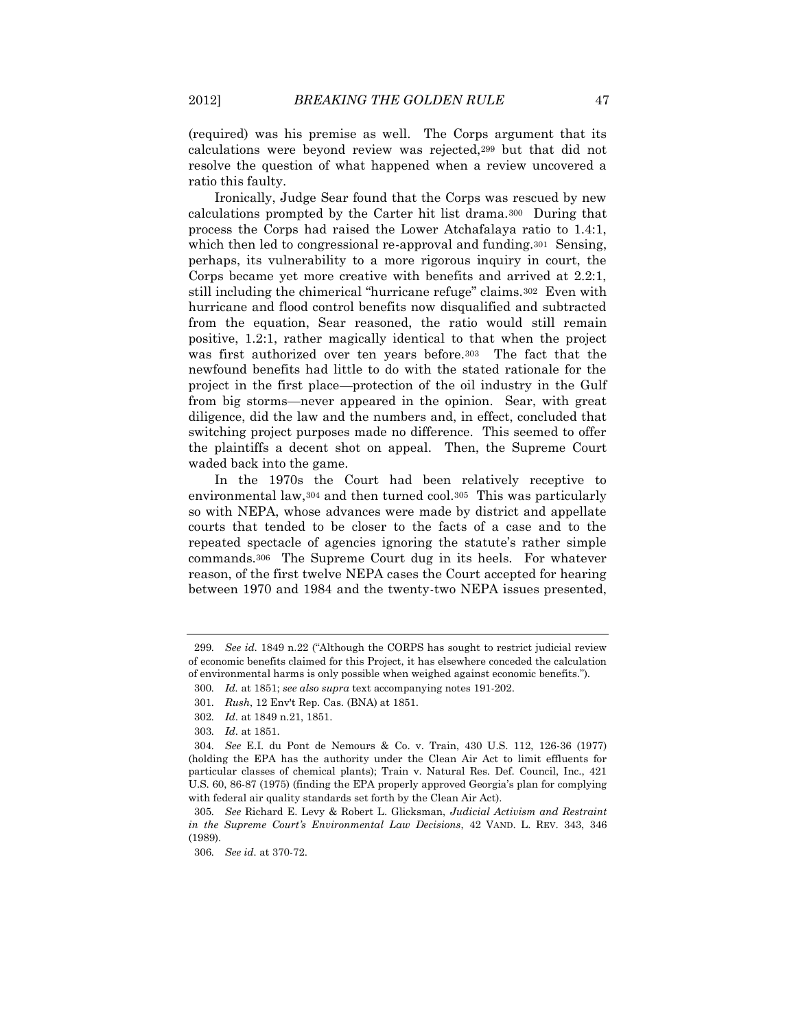(required) was his premise as well. The Corps argument that its calculations were beyond review was rejected,<sup>299</sup> but that did not resolve the question of what happened when a review uncovered a ratio this faulty.

Ironically, Judge Sear found that the Corps was rescued by new calculations prompted by the Carter hit list drama.300 During that process the Corps had raised the Lower Atchafalaya ratio to 1.4:1, which then led to congressional re-approval and funding.<sup>301</sup> Sensing, perhaps, its vulnerability to a more rigorous inquiry in court, the Corps became yet more creative with benefits and arrived at 2.2:1, still including the chimerical "hurricane refuge" claims.302 Even with hurricane and flood control benefits now disqualified and subtracted from the equation, Sear reasoned, the ratio would still remain positive, 1.2:1, rather magically identical to that when the project was first authorized over ten years before.303 The fact that the newfound benefits had little to do with the stated rationale for the project in the first place—protection of the oil industry in the Gulf from big storms—never appeared in the opinion. Sear, with great diligence, did the law and the numbers and, in effect, concluded that switching project purposes made no difference. This seemed to offer the plaintiffs a decent shot on appeal. Then, the Supreme Court waded back into the game.

In the 1970s the Court had been relatively receptive to environmental law,<sup>304</sup> and then turned cool.305 This was particularly so with NEPA, whose advances were made by district and appellate courts that tended to be closer to the facts of a case and to the repeated spectacle of agencies ignoring the statute's rather simple commands.306 The Supreme Court dug in its heels. For whatever reason, of the first twelve NEPA cases the Court accepted for hearing between 1970 and 1984 and the twenty-two NEPA issues presented,

<sup>299</sup>*. See id*. 1849 n.22 ("Although the CORPS has sought to restrict judicial review of economic benefits claimed for this Project, it has elsewhere conceded the calculation of environmental harms is only possible when weighed against economic benefits.").

<sup>300</sup>*. Id.* at 1851; *see also supra* text accompanying notes 191-202.

<sup>301</sup>*. Rush*, 12 Env't Rep. Cas. (BNA) at 1851.

<sup>302</sup>*. Id*. at 1849 n.21, 1851.

<sup>303</sup>*. Id*. at 1851.

<sup>304</sup>*. See* E.I. du Pont de Nemours & Co. v. Train, 430 U.S. 112, 126-36 (1977) (holding the EPA has the authority under the Clean Air Act to limit effluents for particular classes of chemical plants); Train v. Natural Res. Def. Council, Inc., 421 U.S. 60, 86-87 (1975) (finding the EPA properly approved Georgia's plan for complying with federal air quality standards set forth by the Clean Air Act).

<sup>305</sup>*. See* Richard E. Levy & Robert L. Glicksman, *Judicial Activism and Restraint in the Supreme Court's Environmental Law Decisions*, 42 VAND. L. REV. 343, 346 (1989).

<sup>306</sup>*. See id.* at 370-72.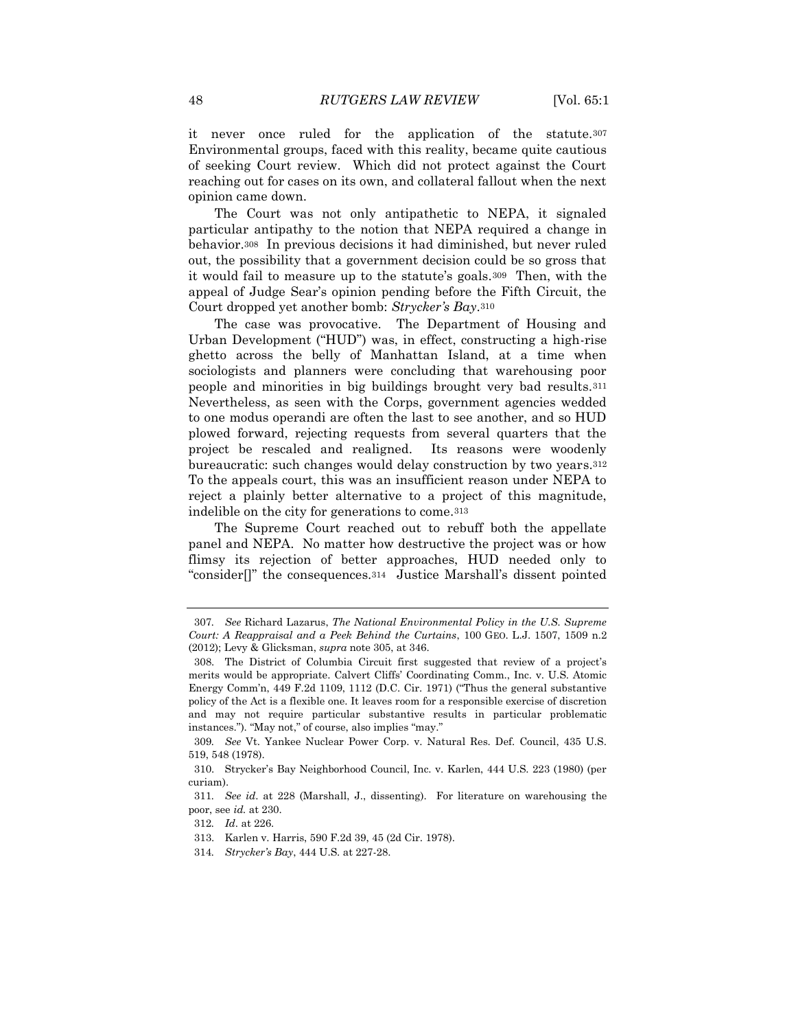it never once ruled for the application of the statute.<sup>307</sup> Environmental groups, faced with this reality, became quite cautious of seeking Court review. Which did not protect against the Court reaching out for cases on its own, and collateral fallout when the next opinion came down.

The Court was not only antipathetic to NEPA, it signaled particular antipathy to the notion that NEPA required a change in behavior.308 In previous decisions it had diminished, but never ruled out, the possibility that a government decision could be so gross that it would fail to measure up to the statute's goals.309 Then, with the appeal of Judge Sear's opinion pending before the Fifth Circuit, the Court dropped yet another bomb: *Strycker's Bay*.<sup>310</sup>

The case was provocative. The Department of Housing and Urban Development ("HUD") was, in effect, constructing a high-rise ghetto across the belly of Manhattan Island, at a time when sociologists and planners were concluding that warehousing poor people and minorities in big buildings brought very bad results.<sup>311</sup> Nevertheless, as seen with the Corps, government agencies wedded to one modus operandi are often the last to see another, and so HUD plowed forward, rejecting requests from several quarters that the project be rescaled and realigned. Its reasons were woodenly bureaucratic: such changes would delay construction by two years.<sup>312</sup> To the appeals court, this was an insufficient reason under NEPA to reject a plainly better alternative to a project of this magnitude, indelible on the city for generations to come.<sup>313</sup>

The Supreme Court reached out to rebuff both the appellate panel and NEPA. No matter how destructive the project was or how flimsy its rejection of better approaches, HUD needed only to "consider[]" the consequences.<sup>314</sup> Justice Marshall's dissent pointed

<sup>307</sup>*. See* Richard Lazarus, *The National Environmental Policy in the U.S. Supreme Court: A Reappraisal and a Peek Behind the Curtains*, 100 GEO. L.J. 1507, 1509 n.2 (2012); Levy & Glicksman, *supra* note 305, at 346.

<sup>308.</sup> The District of Columbia Circuit first suggested that review of a project's merits would be appropriate. Calvert Cliffs' Coordinating Comm., Inc. v. U.S. Atomic Energy Comm'n, 449 F.2d 1109, 1112 (D.C. Cir. 1971) ("Thus the general substantive policy of the Act is a flexible one. It leaves room for a responsible exercise of discretion and may not require particular substantive results in particular problematic instances."). "May not," of course, also implies "may."

<sup>309</sup>*. See* Vt. Yankee Nuclear Power Corp. v. Natural Res. Def. Council, 435 U.S. 519, 548 (1978).

<sup>310.</sup> Strycker's Bay Neighborhood Council, Inc. v. Karlen, 444 U.S. 223 (1980) (per curiam).

<sup>311</sup>*. See id*. at 228 (Marshall, J., dissenting). For literature on warehousing the poor, see *id.* at 230.

<sup>312</sup>*. Id*. at 226.

<sup>313.</sup> Karlen v. Harris, 590 F.2d 39, 45 (2d Cir. 1978).

<sup>314</sup>*. Strycker's Bay*, 444 U.S. at 227-28.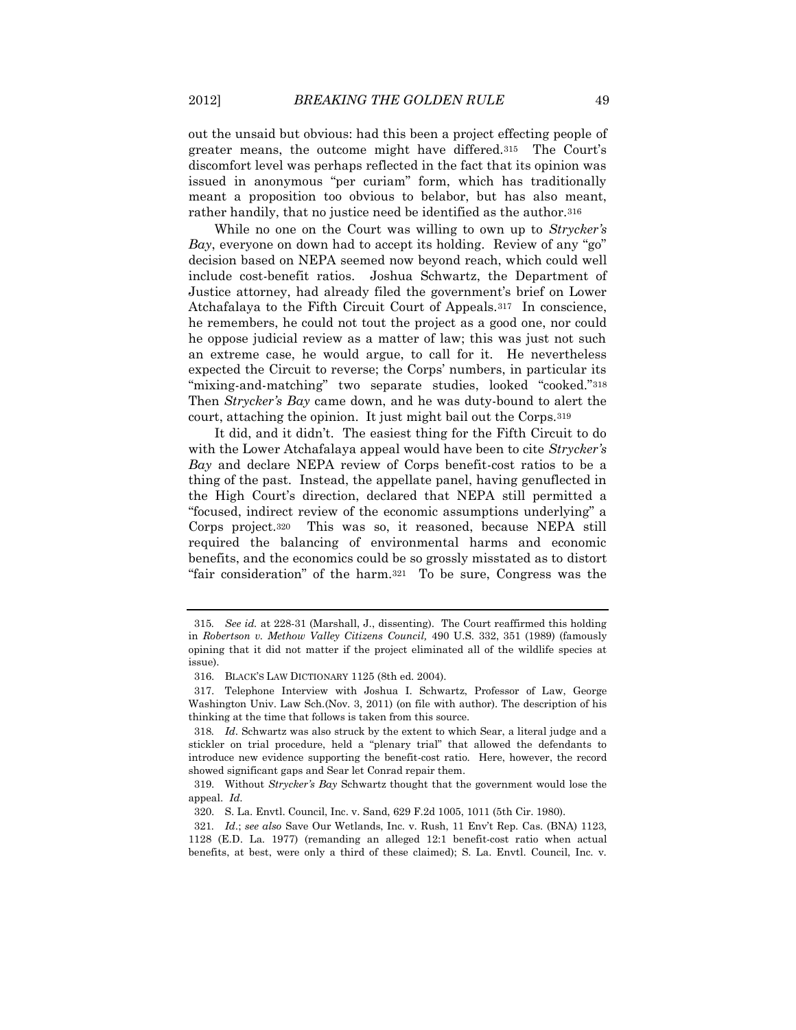out the unsaid but obvious: had this been a project effecting people of greater means, the outcome might have differed.<sup>315</sup> The Court's discomfort level was perhaps reflected in the fact that its opinion was issued in anonymous "per curiam" form, which has traditionally meant a proposition too obvious to belabor, but has also meant, rather handily, that no justice need be identified as the author.<sup>316</sup>

While no one on the Court was willing to own up to *Strycker's Bay*, everyone on down had to accept its holding. Review of any "go" decision based on NEPA seemed now beyond reach, which could well include cost-benefit ratios. Joshua Schwartz, the Department of Justice attorney, had already filed the government's brief on Lower Atchafalaya to the Fifth Circuit Court of Appeals.317 In conscience, he remembers, he could not tout the project as a good one, nor could he oppose judicial review as a matter of law; this was just not such an extreme case, he would argue, to call for it. He nevertheless expected the Circuit to reverse; the Corps' numbers, in particular its "mixing-and-matching" two separate studies, looked "cooked."<sup>318</sup> Then *Strycker's Bay* came down, and he was duty-bound to alert the court, attaching the opinion. It just might bail out the Corps.<sup>319</sup>

It did, and it didn't. The easiest thing for the Fifth Circuit to do with the Lower Atchafalaya appeal would have been to cite *Strycker's Bay* and declare NEPA review of Corps benefit-cost ratios to be a thing of the past. Instead, the appellate panel, having genuflected in the High Court's direction, declared that NEPA still permitted a "focused, indirect review of the economic assumptions underlying" a Corps project.320 This was so, it reasoned, because NEPA still required the balancing of environmental harms and economic benefits, and the economics could be so grossly misstated as to distort "fair consideration" of the harm.321 To be sure, Congress was the

<sup>315</sup>*. See id.* at 228-31 (Marshall, J., dissenting). The Court reaffirmed this holding in *Robertson v. Methow Valley Citizens Council,* 490 U.S. 332, 351 (1989) (famously opining that it did not matter if the project eliminated all of the wildlife species at issue).

<sup>316.</sup> BLACK'S LAW DICTIONARY 1125 (8th ed. 2004).

<sup>317.</sup> Telephone Interview with Joshua I. Schwartz, Professor of Law, George Washington Univ. Law Sch.(Nov. 3, 2011) (on file with author). The description of his thinking at the time that follows is taken from this source.

<sup>318</sup>*. Id*. Schwartz was also struck by the extent to which Sear, a literal judge and a stickler on trial procedure, held a "plenary trial" that allowed the defendants to introduce new evidence supporting the benefit-cost ratio. Here, however, the record showed significant gaps and Sear let Conrad repair them.

<sup>319.</sup> Without *Strycker's Bay* Schwartz thought that the government would lose the appeal. *Id*.

<sup>320.</sup> S. La. Envtl. Council, Inc. v. Sand, 629 F.2d 1005, 1011 (5th Cir. 1980).

<sup>321</sup>*. Id*.; *see also* Save Our Wetlands, Inc. v. Rush, 11 Env't Rep. Cas. (BNA) 1123, 1128 (E.D. La. 1977) (remanding an alleged 12:1 benefit-cost ratio when actual benefits, at best, were only a third of these claimed); S. La. Envtl. Council, Inc. v.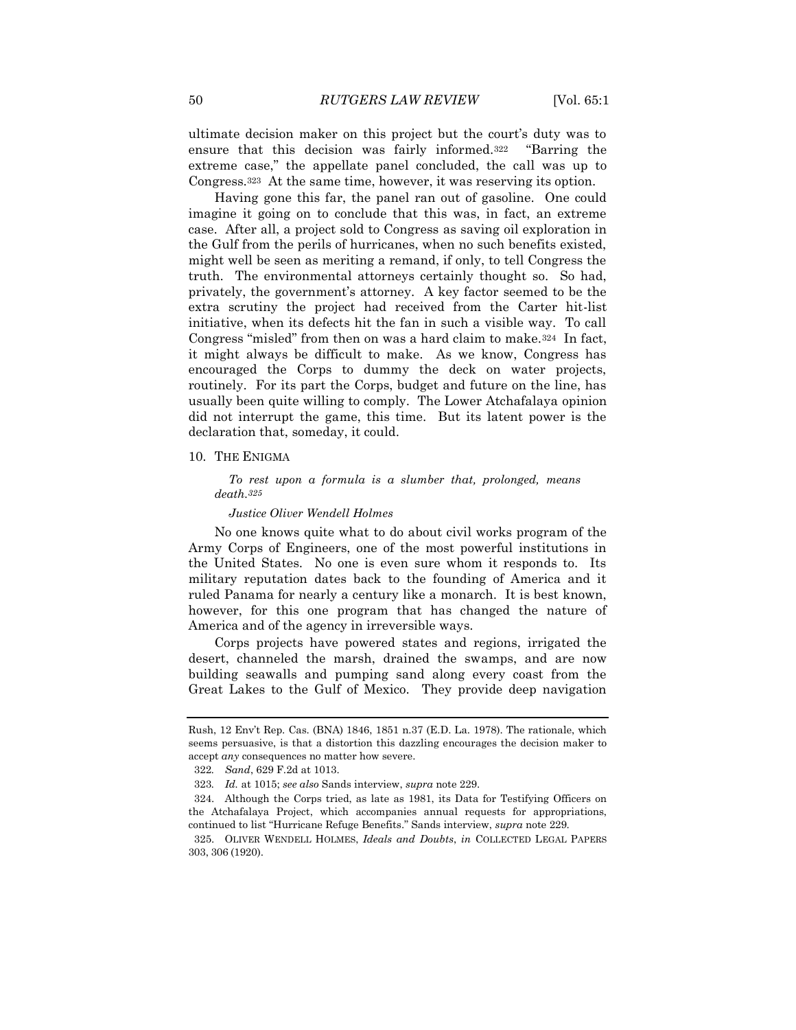ultimate decision maker on this project but the court's duty was to ensure that this decision was fairly informed.<sup>322</sup> "Barring the extreme case," the appellate panel concluded, the call was up to Congress.323 At the same time, however, it was reserving its option.

Having gone this far, the panel ran out of gasoline. One could imagine it going on to conclude that this was, in fact, an extreme case. After all, a project sold to Congress as saving oil exploration in the Gulf from the perils of hurricanes, when no such benefits existed, might well be seen as meriting a remand, if only, to tell Congress the truth. The environmental attorneys certainly thought so. So had, privately, the government's attorney. A key factor seemed to be the extra scrutiny the project had received from the Carter hit-list initiative, when its defects hit the fan in such a visible way. To call Congress "misled" from then on was a hard claim to make.324 In fact, it might always be difficult to make. As we know, Congress has encouraged the Corps to dummy the deck on water projects, routinely. For its part the Corps, budget and future on the line, has usually been quite willing to comply. The Lower Atchafalaya opinion did not interrupt the game, this time. But its latent power is the declaration that, someday, it could.

## 10. THE ENIGMA

*To rest upon a formula is a slumber that, prolonged, means death.325*

#### *Justice Oliver Wendell Holmes*

No one knows quite what to do about civil works program of the Army Corps of Engineers, one of the most powerful institutions in the United States. No one is even sure whom it responds to. Its military reputation dates back to the founding of America and it ruled Panama for nearly a century like a monarch. It is best known, however, for this one program that has changed the nature of America and of the agency in irreversible ways.

Corps projects have powered states and regions, irrigated the desert, channeled the marsh, drained the swamps, and are now building seawalls and pumping sand along every coast from the Great Lakes to the Gulf of Mexico. They provide deep navigation

Rush, 12 Env't Rep. Cas. (BNA) 1846, 1851 n.37 (E.D. La. 1978). The rationale, which seems persuasive, is that a distortion this dazzling encourages the decision maker to accept *any* consequences no matter how severe.

<sup>322</sup>*. Sand*, 629 F.2d at 1013.

<sup>323</sup>*. Id.* at 1015; *see also* Sands interview, *supra* note 229.

<sup>324.</sup> Although the Corps tried, as late as 1981, its Data for Testifying Officers on the Atchafalaya Project, which accompanies annual requests for appropriations, continued to list "Hurricane Refuge Benefits." Sands interview, *supra* note 229.

<sup>325.</sup> OLIVER WENDELL HOLMES, *Ideals and Doubts*, *in* COLLECTED LEGAL PAPERS 303, 306 (1920).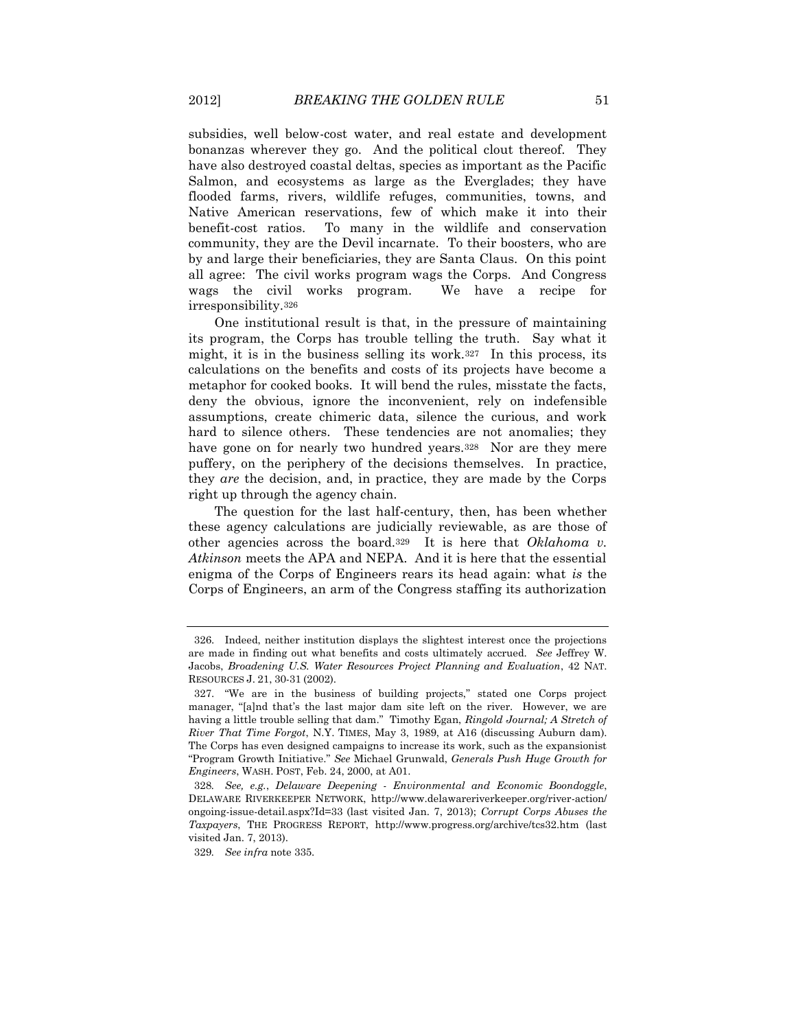subsidies, well below-cost water, and real estate and development bonanzas wherever they go. And the political clout thereof. They have also destroyed coastal deltas, species as important as the Pacific Salmon, and ecosystems as large as the Everglades; they have flooded farms, rivers, wildlife refuges, communities, towns, and Native American reservations, few of which make it into their benefit-cost ratios. To many in the wildlife and conservation community, they are the Devil incarnate. To their boosters, who are by and large their beneficiaries, they are Santa Claus. On this point all agree: The civil works program wags the Corps. And Congress wags the civil works program. We have a recipe for irresponsibility.<sup>326</sup>

One institutional result is that, in the pressure of maintaining its program, the Corps has trouble telling the truth. Say what it might, it is in the business selling its work.327 In this process, its calculations on the benefits and costs of its projects have become a metaphor for cooked books. It will bend the rules, misstate the facts, deny the obvious, ignore the inconvenient, rely on indefensible assumptions, create chimeric data, silence the curious, and work hard to silence others. These tendencies are not anomalies; they have gone on for nearly two hundred years.328 Nor are they mere puffery, on the periphery of the decisions themselves. In practice, they *are* the decision, and, in practice, they are made by the Corps right up through the agency chain.

The question for the last half-century, then, has been whether these agency calculations are judicially reviewable, as are those of other agencies across the board.329 It is here that *Oklahoma v. Atkinson* meets the APA and NEPA. And it is here that the essential enigma of the Corps of Engineers rears its head again: what *is* the Corps of Engineers, an arm of the Congress staffing its authorization

<sup>326.</sup> Indeed, neither institution displays the slightest interest once the projections are made in finding out what benefits and costs ultimately accrued. *See* Jeffrey W. Jacobs, *Broadening U.S. Water Resources Project Planning and Evaluation*, 42 NAT. RESOURCES J. 21, 30-31 (2002).

<sup>327.</sup> "We are in the business of building projects," stated one Corps project manager, "[a]nd that's the last major dam site left on the river. However, we are having a little trouble selling that dam." Timothy Egan, *Ringold Journal; A Stretch of River That Time Forgot*, N.Y. TIMES, May 3, 1989, at A16 (discussing Auburn dam). The Corps has even designed campaigns to increase its work, such as the expansionist "Program Growth Initiative." *See* Michael Grunwald, *Generals Push Huge Growth for Engineers*, WASH. POST, Feb. 24, 2000, at A01.

<sup>328</sup>*. See, e.g.*, *Delaware Deepening - Environmental and Economic Boondoggle*, DELAWARE RIVERKEEPER NETWORK, http://www.delawareriverkeeper.org/river-action/ ongoing-issue-detail.aspx?Id=33 (last visited Jan. 7, 2013); *Corrupt Corps Abuses the Taxpayers*, THE PROGRESS REPORT, http://www.progress.org/archive/tcs32.htm (last visited Jan. 7, 2013).

<sup>329</sup>*. See infra* note 335.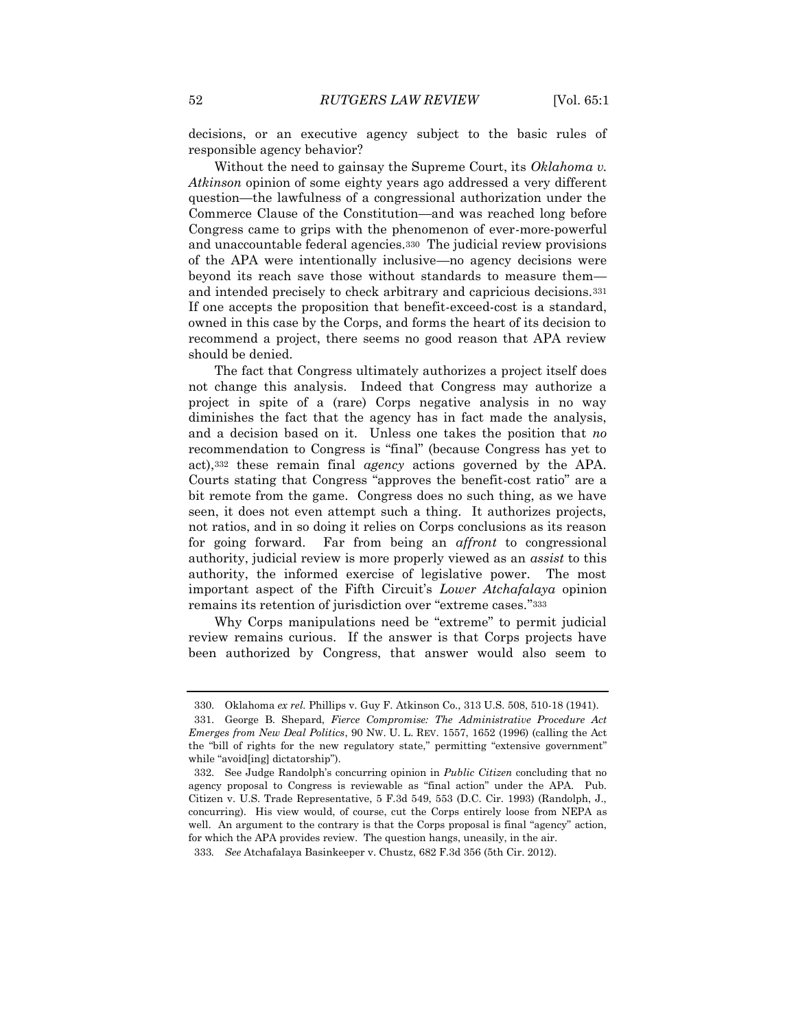decisions, or an executive agency subject to the basic rules of responsible agency behavior?

Without the need to gainsay the Supreme Court, its *Oklahoma v. Atkinson* opinion of some eighty years ago addressed a very different question—the lawfulness of a congressional authorization under the Commerce Clause of the Constitution—and was reached long before Congress came to grips with the phenomenon of ever-more-powerful and unaccountable federal agencies.330 The judicial review provisions of the APA were intentionally inclusive—no agency decisions were beyond its reach save those without standards to measure them and intended precisely to check arbitrary and capricious decisions.<sup>331</sup> If one accepts the proposition that benefit-exceed-cost is a standard, owned in this case by the Corps, and forms the heart of its decision to recommend a project, there seems no good reason that APA review should be denied.

The fact that Congress ultimately authorizes a project itself does not change this analysis. Indeed that Congress may authorize a project in spite of a (rare) Corps negative analysis in no way diminishes the fact that the agency has in fact made the analysis, and a decision based on it. Unless one takes the position that *no* recommendation to Congress is "final" (because Congress has yet to act),<sup>332</sup> these remain final *agency* actions governed by the APA. Courts stating that Congress "approves the benefit-cost ratio" are a bit remote from the game. Congress does no such thing, as we have seen, it does not even attempt such a thing. It authorizes projects, not ratios, and in so doing it relies on Corps conclusions as its reason for going forward. Far from being an *affront* to congressional authority, judicial review is more properly viewed as an *assist* to this authority, the informed exercise of legislative power. The most important aspect of the Fifth Circuit's *Lower Atchafalaya* opinion remains its retention of jurisdiction over "extreme cases."<sup>333</sup>

Why Corps manipulations need be "extreme" to permit judicial review remains curious. If the answer is that Corps projects have been authorized by Congress, that answer would also seem to

<sup>330.</sup> Oklahoma *ex rel.* Phillips v. Guy F. Atkinson Co., 313 U.S. 508, 510-18 (1941).

<sup>331.</sup> George B. Shepard, *Fierce Compromise: The Administrative Procedure Act Emerges from New Deal Politics*, 90 NW. U. L. REV. 1557, 1652 (1996) (calling the Act the "bill of rights for the new regulatory state," permitting "extensive government" while "avoid[ing] dictatorship").

<sup>332.</sup> See Judge Randolph's concurring opinion in *Public Citizen* concluding that no agency proposal to Congress is reviewable as "final action" under the APA. Pub. Citizen v. U.S. Trade Representative, 5 F.3d 549, 553 (D.C. Cir. 1993) (Randolph, J., concurring). His view would, of course, cut the Corps entirely loose from NEPA as well. An argument to the contrary is that the Corps proposal is final "agency" action, for which the APA provides review. The question hangs, uneasily, in the air.

<sup>333</sup>*. See* Atchafalaya Basinkeeper v. Chustz, 682 F.3d 356 (5th Cir. 2012).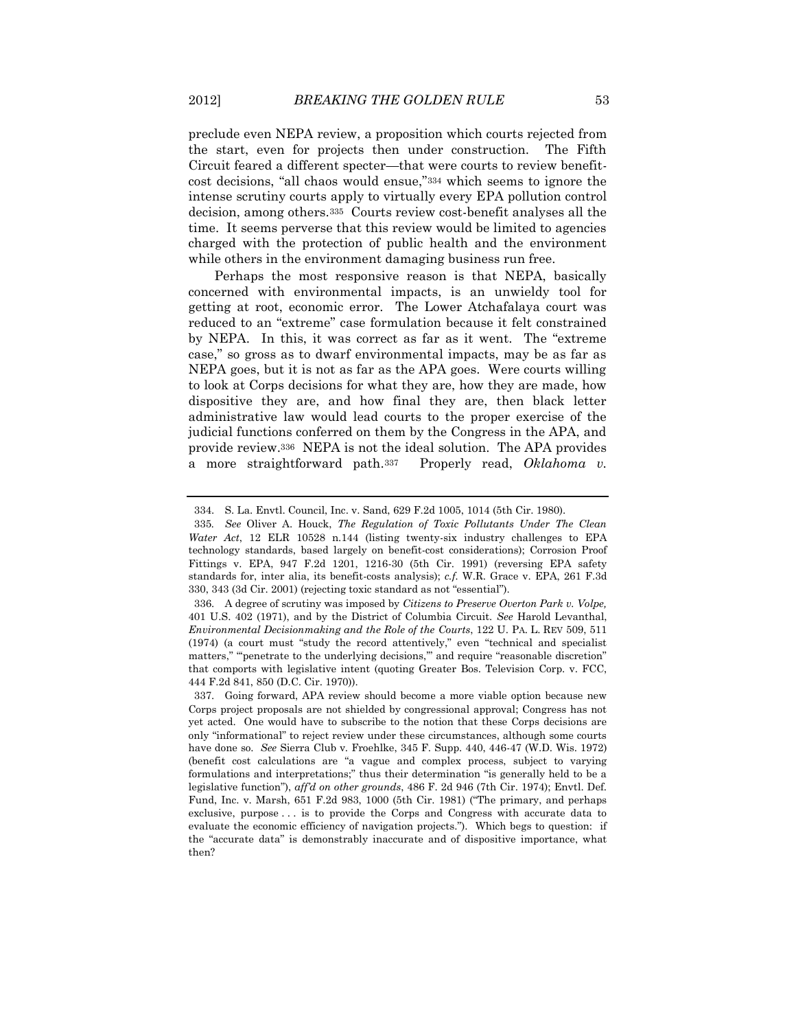preclude even NEPA review, a proposition which courts rejected from the start, even for projects then under construction. The Fifth Circuit feared a different specter—that were courts to review benefitcost decisions, "all chaos would ensue,"<sup>334</sup> which seems to ignore the intense scrutiny courts apply to virtually every EPA pollution control decision, among others.335 Courts review cost-benefit analyses all the time. It seems perverse that this review would be limited to agencies charged with the protection of public health and the environment while others in the environment damaging business run free.

Perhaps the most responsive reason is that NEPA, basically concerned with environmental impacts, is an unwieldy tool for getting at root, economic error. The Lower Atchafalaya court was reduced to an "extreme" case formulation because it felt constrained by NEPA. In this, it was correct as far as it went. The "extreme case," so gross as to dwarf environmental impacts, may be as far as NEPA goes, but it is not as far as the APA goes. Were courts willing to look at Corps decisions for what they are, how they are made, how dispositive they are, and how final they are, then black letter administrative law would lead courts to the proper exercise of the judicial functions conferred on them by the Congress in the APA, and provide review.336 NEPA is not the ideal solution. The APA provides a more straightforward path.337 Properly read, *Oklahoma v.* 

<sup>334.</sup> S. La. Envtl. Council, Inc. v. Sand, 629 F.2d 1005, 1014 (5th Cir. 1980).

<sup>335</sup>*. See* Oliver A. Houck, *The Regulation of Toxic Pollutants Under The Clean Water Act*, 12 ELR 10528 n.144 (listing twenty-six industry challenges to EPA technology standards, based largely on benefit-cost considerations); Corrosion Proof Fittings v. EPA, 947 F.2d 1201, 1216-30 (5th Cir. 1991) (reversing EPA safety standards for, inter alia, its benefit-costs analysis); *c.f.* W.R. Grace v. EPA, 261 F.3d 330, 343 (3d Cir. 2001) (rejecting toxic standard as not "essential").

<sup>336.</sup> A degree of scrutiny was imposed by *Citizens to Preserve Overton Park v. Volpe,*  401 U.S. 402 (1971), and by the District of Columbia Circuit. *See* Harold Levanthal, *Environmental Decisionmaking and the Role of the Courts*, 122 U. PA. L. REV 509, 511 (1974) (a court must "study the record attentively," even "technical and specialist matters," "penetrate to the underlying decisions," and require "reasonable discretion" that comports with legislative intent (quoting Greater Bos. Television Corp. v. FCC, 444 F.2d 841, 850 (D.C. Cir. 1970)).

<sup>337.</sup> Going forward, APA review should become a more viable option because new Corps project proposals are not shielded by congressional approval; Congress has not yet acted. One would have to subscribe to the notion that these Corps decisions are only "informational" to reject review under these circumstances, although some courts have done so. *See* Sierra Club v. Froehlke, 345 F. Supp. 440, 446-47 (W.D. Wis. 1972) (benefit cost calculations are "a vague and complex process, subject to varying formulations and interpretations;" thus their determination "is generally held to be a legislative function"), *aff'd on other grounds*, 486 F. 2d 946 (7th Cir. 1974); Envtl. Def. Fund, Inc. v. Marsh, 651 F.2d 983, 1000 (5th Cir. 1981) ("The primary, and perhaps exclusive, purpose . . . is to provide the Corps and Congress with accurate data to evaluate the economic efficiency of navigation projects."). Which begs to question: if the "accurate data" is demonstrably inaccurate and of dispositive importance, what then?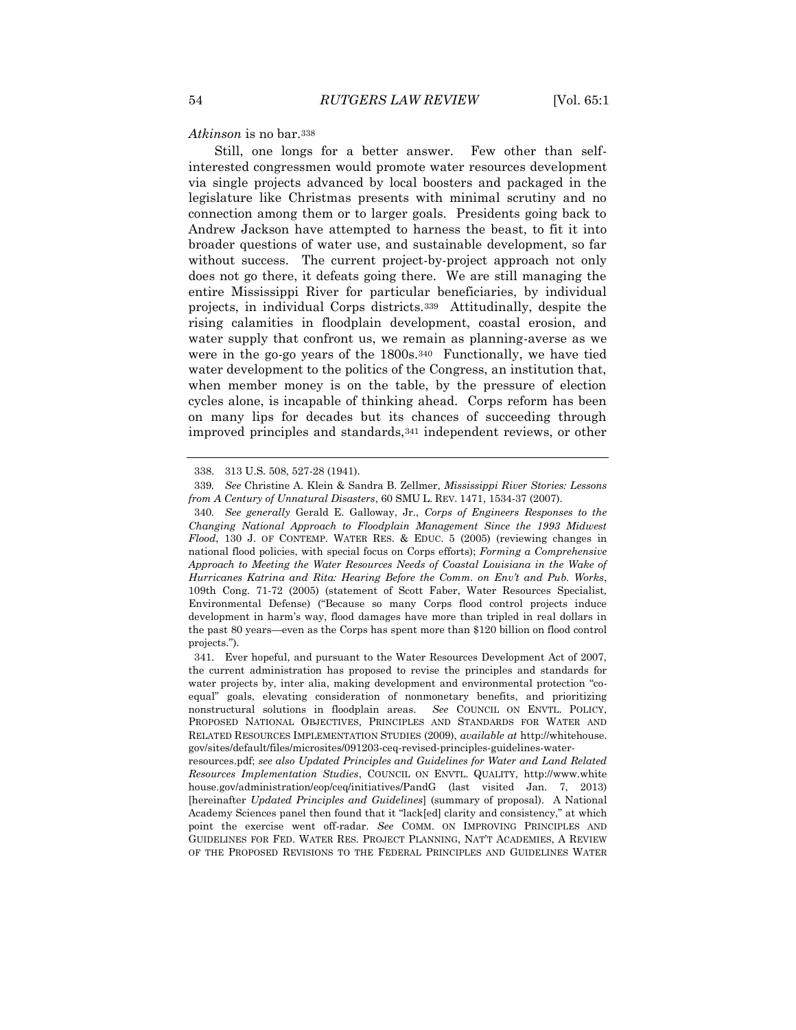#### *Atkinson* is no bar.<sup>338</sup>

Still, one longs for a better answer. Few other than selfinterested congressmen would promote water resources development via single projects advanced by local boosters and packaged in the legislature like Christmas presents with minimal scrutiny and no connection among them or to larger goals. Presidents going back to Andrew Jackson have attempted to harness the beast, to fit it into broader questions of water use, and sustainable development, so far without success. The current project-by-project approach not only does not go there, it defeats going there. We are still managing the entire Mississippi River for particular beneficiaries, by individual projects, in individual Corps districts.339 Attitudinally, despite the rising calamities in floodplain development, coastal erosion, and water supply that confront us, we remain as planning-averse as we were in the go-go years of the 1800s.340 Functionally, we have tied water development to the politics of the Congress, an institution that, when member money is on the table, by the pressure of election cycles alone, is incapable of thinking ahead. Corps reform has been on many lips for decades but its chances of succeeding through improved principles and standards,<sup>341</sup> independent reviews, or other

<sup>338.</sup> 313 U.S. 508, 527-28 (1941).

<sup>339</sup>*. See* Christine A. Klein & Sandra B. Zellmer, *Mississippi River Stories: Lessons from A Century of Unnatural Disasters*, 60 SMU L. REV. 1471, 1534-37 (2007).

<sup>340</sup>*. See generally* Gerald E. Galloway, Jr., *Corps of Engineers Responses to the Changing National Approach to Floodplain Management Since the 1993 Midwest Flood*, 130 J. OF CONTEMP. WATER RES. & EDUC. 5 (2005) (reviewing changes in national flood policies, with special focus on Corps efforts); *Forming a Comprehensive Approach to Meeting the Water Resources Needs of Coastal Louisiana in the Wake of Hurricanes Katrina and Rita: Hearing Before the Comm. on Env't and Pub. Works*, 109th Cong. 71-72 (2005) (statement of Scott Faber, Water Resources Specialist, Environmental Defense) ("Because so many Corps flood control projects induce development in harm's way, flood damages have more than tripled in real dollars in the past 80 years—even as the Corps has spent more than \$120 billion on flood control projects.").

<sup>341.</sup> Ever hopeful, and pursuant to the Water Resources Development Act of 2007, the current administration has proposed to revise the principles and standards for water projects by, inter alia, making development and environmental protection "coequal" goals, elevating consideration of nonmonetary benefits, and prioritizing nonstructural solutions in floodplain areas. *See* COUNCIL ON ENVTL. POLICY, PROPOSED NATIONAL OBJECTIVES, PRINCIPLES AND STANDARDS FOR WATER AND RELATED RESOURCES IMPLEMENTATION STUDIES (2009), *available at* http://whitehouse. gov/sites/default/files/microsites/091203-ceq-revised-principles-guidelines-water-

resources.pdf; *see also Updated Principles and Guidelines for Water and Land Related Resources Implementation Studies*, COUNCIL ON ENVTL. QUALITY, http://www.white house.gov/administration/eop/ceq/initiatives/PandG (last visited Jan. 7, 2013) [hereinafter *Updated Principles and Guidelines*] (summary of proposal). A National Academy Sciences panel then found that it "lack[ed] clarity and consistency," at which point the exercise went off-radar. *See* COMM. ON IMPROVING PRINCIPLES AND GUIDELINES FOR FED. WATER RES. PROJECT PLANNING, NAT'T ACADEMIES, A REVIEW OF THE PROPOSED REVISIONS TO THE FEDERAL PRINCIPLES AND GUIDELINES WATER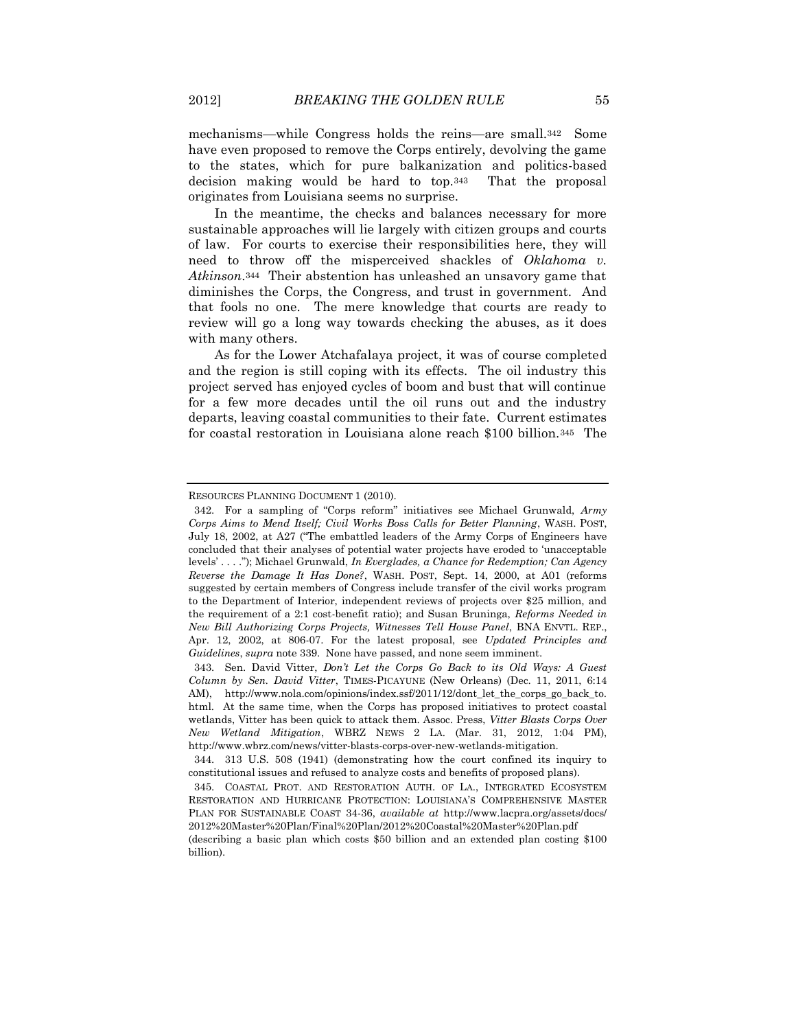mechanisms—while Congress holds the reins—are small.342 Some have even proposed to remove the Corps entirely, devolving the game to the states, which for pure balkanization and politics-based decision making would be hard to top.343 That the proposal originates from Louisiana seems no surprise.

In the meantime, the checks and balances necessary for more sustainable approaches will lie largely with citizen groups and courts of law. For courts to exercise their responsibilities here, they will need to throw off the misperceived shackles of *Oklahoma v. Atkinson*.344 Their abstention has unleashed an unsavory game that diminishes the Corps, the Congress, and trust in government. And that fools no one. The mere knowledge that courts are ready to review will go a long way towards checking the abuses, as it does with many others.

As for the Lower Atchafalaya project, it was of course completed and the region is still coping with its effects. The oil industry this project served has enjoyed cycles of boom and bust that will continue for a few more decades until the oil runs out and the industry departs, leaving coastal communities to their fate. Current estimates for coastal restoration in Louisiana alone reach \$100 billion.345 The

RESOURCES PLANNING DOCUMENT 1 (2010).

<sup>342.</sup> For a sampling of "Corps reform" initiatives see Michael Grunwald, *Army Corps Aims to Mend Itself; Civil Works Boss Calls for Better Planning*, WASH. POST, July 18, 2002, at A27 ("The embattled leaders of the Army Corps of Engineers have concluded that their analyses of potential water projects have eroded to 'unacceptable levels' . . . ."); Michael Grunwald, *In Everglades, a Chance for Redemption; Can Agency Reverse the Damage It Has Done?*, WASH. POST, Sept. 14, 2000, at A01 (reforms suggested by certain members of Congress include transfer of the civil works program to the Department of Interior, independent reviews of projects over \$25 million, and the requirement of a 2:1 cost-benefit ratio); and Susan Bruninga, *Reforms Needed in New Bill Authorizing Corps Projects, Witnesses Tell House Panel*, BNA ENVTL. REP., Apr. 12, 2002, at 806-07. For the latest proposal, see *Updated Principles and Guidelines*, *supra* note 339. None have passed, and none seem imminent.

<sup>343.</sup> Sen. David Vitter, *Don't Let the Corps Go Back to its Old Ways: A Guest Column by Sen. David Vitter*, TIMES-PICAYUNE (New Orleans) (Dec. 11, 2011, 6:14 AM), http://www.nola.com/opinions/index.ssf/2011/12/dont\_let\_the\_corps\_go\_back\_to. html. At the same time, when the Corps has proposed initiatives to protect coastal wetlands, Vitter has been quick to attack them. Assoc. Press, *Vitter Blasts Corps Over New Wetland Mitigation*, WBRZ NEWS 2 LA. (Mar. 31, 2012, 1:04 PM), http://www.wbrz.com/news/vitter-blasts-corps-over-new-wetlands-mitigation.

<sup>344.</sup> 313 U.S. 508 (1941) (demonstrating how the court confined its inquiry to constitutional issues and refused to analyze costs and benefits of proposed plans).

<sup>345.</sup> COASTAL PROT. AND RESTORATION AUTH. OF LA., INTEGRATED ECOSYSTEM RESTORATION AND HURRICANE PROTECTION: LOUISIANA'S COMPREHENSIVE MASTER PLAN FOR SUSTAINABLE COAST 34-36, *available at* http://www.lacpra.org/assets/docs/ 2012%20Master%20Plan/Final%20Plan/2012%20Coastal%20Master%20Plan.pdf

<sup>(</sup>describing a basic plan which costs \$50 billion and an extended plan costing \$100 billion).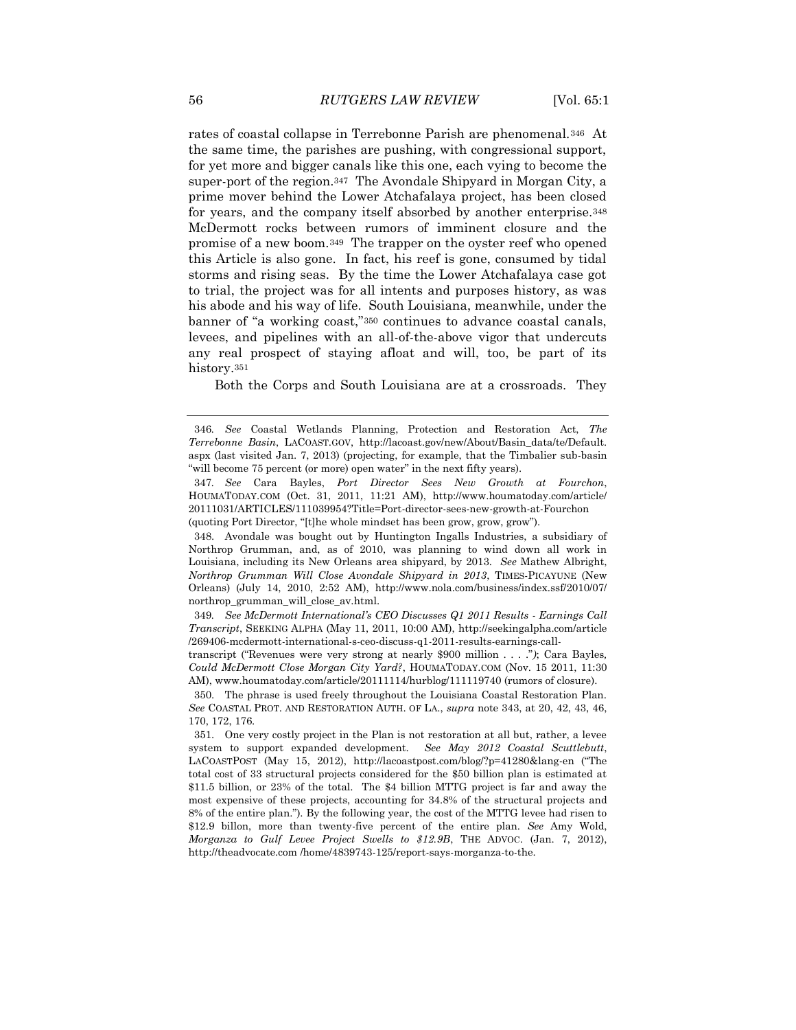rates of coastal collapse in Terrebonne Parish are phenomenal.346 At the same time, the parishes are pushing, with congressional support, for yet more and bigger canals like this one, each vying to become the super-port of the region.347 The Avondale Shipyard in Morgan City, a prime mover behind the Lower Atchafalaya project, has been closed for years, and the company itself absorbed by another enterprise.<sup>348</sup> McDermott rocks between rumors of imminent closure and the promise of a new boom.349 The trapper on the oyster reef who opened this Article is also gone. In fact, his reef is gone, consumed by tidal storms and rising seas. By the time the Lower Atchafalaya case got to trial, the project was for all intents and purposes history, as was his abode and his way of life. South Louisiana, meanwhile, under the banner of "a working coast,"<sup>350</sup> continues to advance coastal canals, levees, and pipelines with an all-of-the-above vigor that undercuts any real prospect of staying afloat and will, too, be part of its history.<sup>351</sup>

Both the Corps and South Louisiana are at a crossroads. They

348. Avondale was bought out by Huntington Ingalls Industries, a subsidiary of Northrop Grumman, and, as of 2010, was planning to wind down all work in Louisiana, including its New Orleans area shipyard, by 2013. *See* Mathew Albright, *Northrop Grumman Will Close Avondale Shipyard in 2013*, TIMES-PICAYUNE (New Orleans) (July 14, 2010, 2:52 AM), http://www.nola.com/business/index.ssf/2010/07/ northrop\_grumman\_will\_close\_av.html.

349. See McDermott International's CEO Discusses Q1 2011 Results - Earnings Call *Transcript*, SEEKING ALPHA (May 11, 2011, 10:00 AM), http://seekingalpha.com/article /269406-mcdermott-international-s-ceo-discuss-q1-2011-results-earnings-call-

transcript ("Revenues were very strong at nearly \$900 million . . . ."*)*; Cara Bayles*, Could McDermott Close Morgan City Yard?*, HOUMATODAY.COM (Nov. 15 2011, 11:30 AM), www.houmatoday.com/article/20111114/hurblog/111119740 (rumors of closure).

350. The phrase is used freely throughout the Louisiana Coastal Restoration Plan. *See* COASTAL PROT. AND RESTORATION AUTH. OF LA., *supra* note 343, at 20, 42, 43, 46, 170, 172, 176.

351. One very costly project in the Plan is not restoration at all but, rather, a levee system to support expanded development. *See May 2012 Coastal Scuttlebutt*, LACOASTPOST (May 15, 2012), http://lacoastpost.com/blog/?p=41280&lang-en ("The total cost of 33 structural projects considered for the \$50 billion plan is estimated at \$11.5 billion, or 23% of the total. The \$4 billion MTTG project is far and away the most expensive of these projects, accounting for 34.8% of the structural projects and 8% of the entire plan."). By the following year, the cost of the MTTG levee had risen to \$12.9 billon, more than twenty-five percent of the entire plan. *See* Amy Wold, *Morganza to Gulf Levee Project Swells to \$12.9B*, THE ADVOC. (Jan. 7, 2012), http://theadvocate.com /home/4839743-125/report-says-morganza-to-the.

<sup>346</sup>*. See* Coastal Wetlands Planning, Protection and Restoration Act, *The Terrebonne Basin*, LACOAST.GOV, http://lacoast.gov/new/About/Basin\_data/te/Default. aspx (last visited Jan. 7, 2013) (projecting, for example, that the Timbalier sub-basin "will become 75 percent (or more) open water" in the next fifty years).

<sup>347</sup>*. See* Cara Bayles, *Port Director Sees New Growth at Fourchon*, HOUMATODAY.COM (Oct. 31, 2011, 11:21 AM), http://www.houmatoday.com/article/ 20111031/ARTICLES/111039954?Title=Port-director-sees-new-growth-at-Fourchon (quoting Port Director, "[t]he whole mindset has been grow, grow, grow").